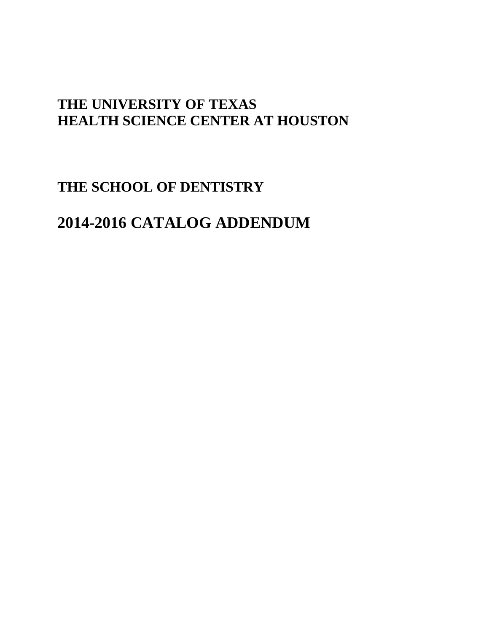## **THE UNIVERSITY OF TEXAS HEALTH SCIENCE CENTER AT HOUSTON**

## **THE SCHOOL OF DENTISTRY**

# **2014-2016 CATALOG ADDENDUM**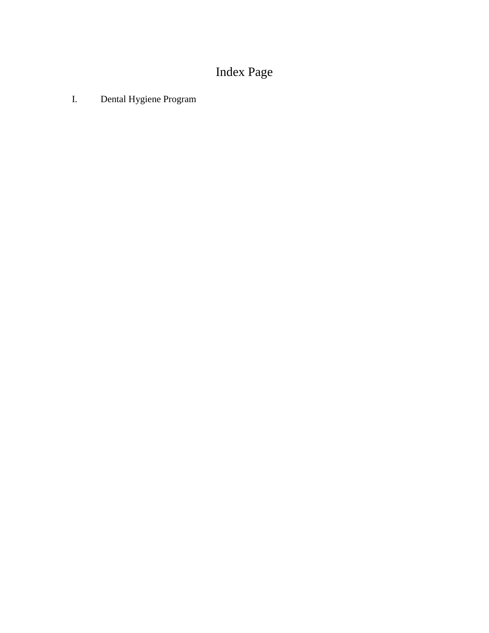# Index Page

I. Dental Hygiene Program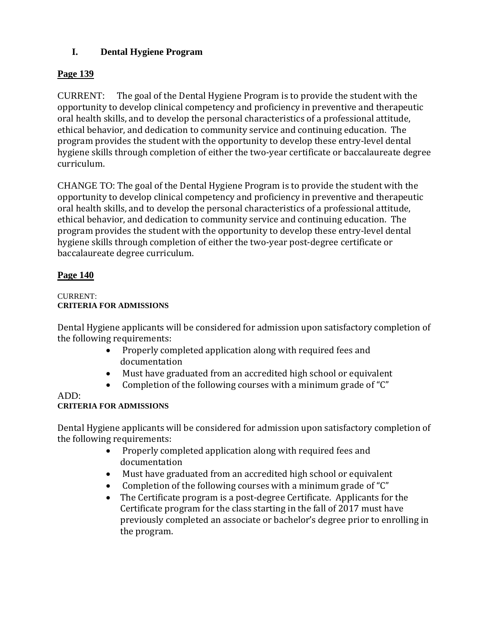## **I. Dental Hygiene Program**

## **Page 139**

CURRENT: The goal of the Dental Hygiene Program is to provide the student with the opportunity to develop clinical competency and proficiency in preventive and therapeutic oral health skills, and to develop the personal characteristics of a professional attitude, ethical behavior, and dedication to community service and continuing education. The program provides the student with the opportunity to develop these entry-level dental hygiene skills through completion of either the two-year certificate or baccalaureate degree curriculum.

CHANGE TO: The goal of the Dental Hygiene Program is to provide the student with the opportunity to develop clinical competency and proficiency in preventive and therapeutic oral health skills, and to develop the personal characteristics of a professional attitude, ethical behavior, and dedication to community service and continuing education. The program provides the student with the opportunity to develop these entry-level dental hygiene skills through completion of either the two-year post-degree certificate or baccalaureate degree curriculum.

## **Page 140**

### CURRENT: **CRITERIA FOR ADMISSIONS**

Dental Hygiene applicants will be considered for admission upon satisfactory completion of the following requirements:

- Properly completed application along with required fees and documentation
- Must have graduated from an accredited high school or equivalent
- Completion of the following courses with a minimum grade of "C"

## ADD:

## **CRITERIA FOR ADMISSIONS**

Dental Hygiene applicants will be considered for admission upon satisfactory completion of the following requirements:

- Properly completed application along with required fees and documentation
- Must have graduated from an accredited high school or equivalent
- Completion of the following courses with a minimum grade of "C"
- The Certificate program is a post-degree Certificate. Applicants for the Certificate program for the class starting in the fall of 2017 must have previously completed an associate or bachelor's degree prior to enrolling in the program.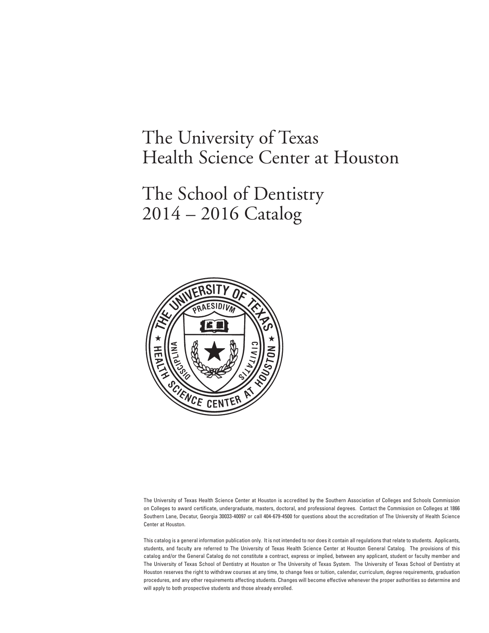# The University of Texas Health Science Center at Houston

# The School of Dentistry 2014 – 2016 Catalog



The University of Texas Health Science Center at Houston is accredited by the Southern Association of Colleges and Schools Commission on Colleges to award certificate, undergraduate, masters, doctoral, and professional degrees. Contact the Commission on Colleges at 1866 Southern Lane, Decatur, Georgia 30033-40097 or call 404-679-4500 for questions about the accreditation of The University of Health Science Center at Houston.

This catalog is a general information publication only. It is not intended to nor does it contain all regulations that relate to students. Applicants, students, and faculty are referred to The University of Texas Health Science Center at Houston General Catalog. The provisions of this catalog and/or the General Catalog do not constitute a contract, express or implied, between any applicant, student or faculty member and The University of Texas School of Dentistry at Houston or The University of Texas System. The University of Texas School of Dentistry at Houston reserves the right to withdraw courses at any time, to change fees or tuition, calendar, curriculum, degree requirements, graduation procedures, and any other requirements affecting students. Changes will become effective whenever the proper authorities so determine and will apply to both prospective students and those already enrolled.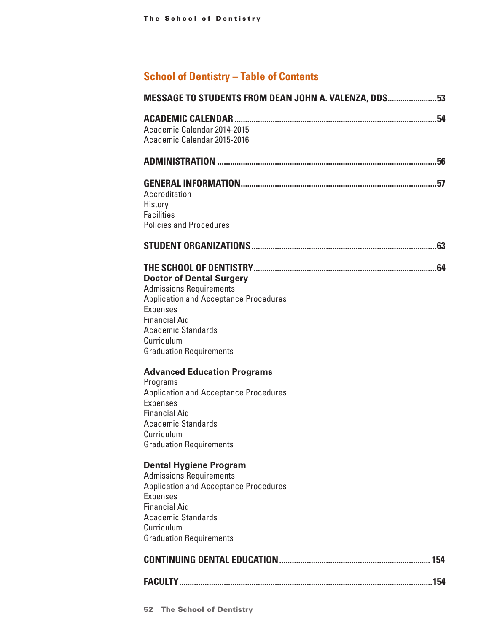## **School of Dentistry – Table of Contents**

| MESSAGE TO STUDENTS FROM DEAN JOHN A. VALENZA, DDS53                                                                                                                                                                                      |  |
|-------------------------------------------------------------------------------------------------------------------------------------------------------------------------------------------------------------------------------------------|--|
| Academic Calendar 2014-2015<br>Academic Calendar 2015-2016                                                                                                                                                                                |  |
|                                                                                                                                                                                                                                           |  |
| Accreditation<br>History<br><b>Facilities</b><br><b>Policies and Procedures</b>                                                                                                                                                           |  |
|                                                                                                                                                                                                                                           |  |
| <b>Doctor of Dental Surgery</b><br><b>Admissions Requirements</b><br><b>Application and Acceptance Procedures</b><br><b>Expenses</b><br><b>Financial Aid</b><br><b>Academic Standards</b><br>Curriculum<br><b>Graduation Requirements</b> |  |
| <b>Advanced Education Programs</b><br>Programs<br><b>Application and Acceptance Procedures</b><br><b>Expenses</b><br><b>Financial Aid</b><br><b>Academic Standards</b><br>Curriculum<br><b>Graduation Requirements</b>                    |  |
| <b>Dental Hygiene Program</b><br><b>Admissions Requirements</b><br><b>Application and Acceptance Procedures</b><br><b>Expenses</b><br><b>Financial Aid</b><br><b>Academic Standards</b><br>Curriculum<br><b>Graduation Requirements</b>   |  |
|                                                                                                                                                                                                                                           |  |
|                                                                                                                                                                                                                                           |  |
|                                                                                                                                                                                                                                           |  |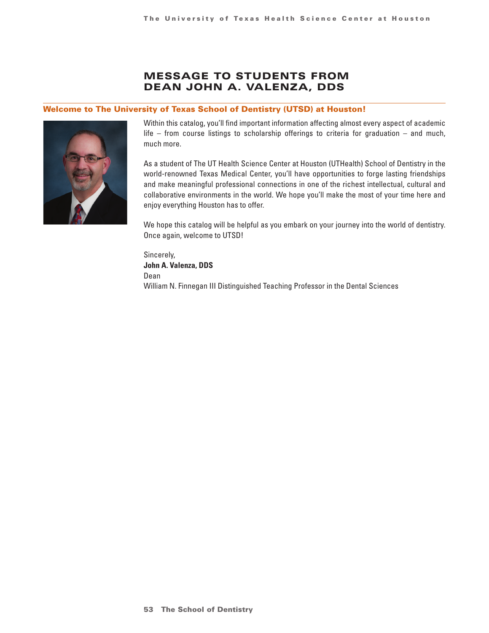## Message to students from Dean John A. Valenza, DDS

#### <span id="page-5-0"></span>Welcome to The University of Texas School of Dentistry (UTSD) at Houston!



Within this catalog, you'll find important information affecting almost every aspect of academic life – from course listings to scholarship offerings to criteria for graduation – and much, much more.

As a student of The UT Health Science Center at Houston (UTHealth) School of Dentistry in the world-renowned Texas Medical Center, you'll have opportunities to forge lasting friendships and make meaningful professional connections in one of the richest intellectual, cultural and collaborative environments in the world. We hope you'll make the most of your time here and enjoy everything Houston has to offer.

We hope this catalog will be helpful as you embark on your journey into the world of dentistry. Once again, welcome to UTSD!

Sincerely, **John A. Valenza, DDS** Dean William N. Finnegan III Distinguished Teaching Professor in the Dental Sciences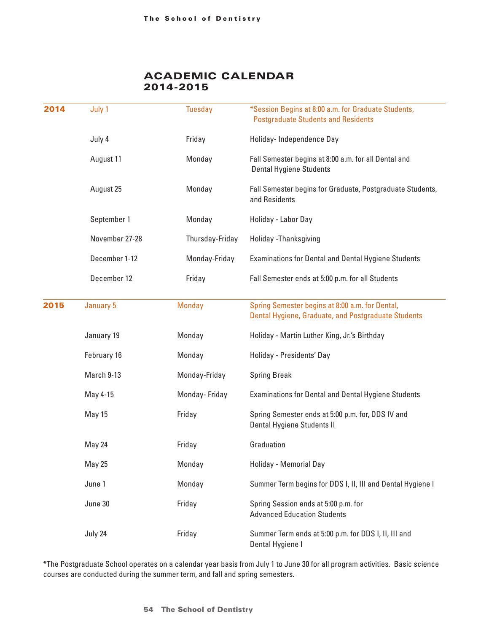## Academic Calendar 2014-2015

<span id="page-6-0"></span>

| 2014 | July 1         | <b>Tuesday</b>  | *Session Begins at 8:00 a.m. for Graduate Students,<br><b>Postgraduate Students and Residents</b>      |
|------|----------------|-----------------|--------------------------------------------------------------------------------------------------------|
|      | July 4         | Friday          | Holiday-Independence Day                                                                               |
|      | August 11      | Monday          | Fall Semester begins at 8:00 a.m. for all Dental and<br><b>Dental Hygiene Students</b>                 |
|      | August 25      | Monday          | Fall Semester begins for Graduate, Postgraduate Students,<br>and Residents                             |
|      | September 1    | Monday          | Holiday - Labor Day                                                                                    |
|      | November 27-28 | Thursday-Friday | Holiday - Thanksgiving                                                                                 |
|      | December 1-12  | Monday-Friday   | <b>Examinations for Dental and Dental Hygiene Students</b>                                             |
|      | December 12    | Friday          | Fall Semester ends at 5:00 p.m. for all Students                                                       |
| 2015 | January 5      | <b>Monday</b>   | Spring Semester begins at 8:00 a.m. for Dental,<br>Dental Hygiene, Graduate, and Postgraduate Students |
|      | January 19     | Monday          | Holiday - Martin Luther King, Jr.'s Birthday                                                           |
|      | February 16    | Monday          | Holiday - Presidents' Day                                                                              |
|      | March 9-13     | Monday-Friday   | <b>Spring Break</b>                                                                                    |
|      | May 4-15       | Monday-Friday   | Examinations for Dental and Dental Hygiene Students                                                    |
|      | May 15         | Friday          | Spring Semester ends at 5:00 p.m. for, DDS IV and<br>Dental Hygiene Students II                        |
|      | May 24         | Friday          | Graduation                                                                                             |
|      | May 25         | Monday          | Holiday - Memorial Day                                                                                 |
|      | June 1         | Monday          | Summer Term begins for DDS I, II, III and Dental Hygiene I                                             |
|      | June 30        | Friday          | Spring Session ends at 5:00 p.m. for<br><b>Advanced Education Students</b>                             |
|      | July 24        | Friday          | Summer Term ends at 5:00 p.m. for DDS I, II, III and<br>Dental Hygiene I                               |

\*The Postgraduate School operates on a calendar year basis from July 1 to June 30 for all program activities. Basic science courses are conducted during the summer term, and fall and spring semesters.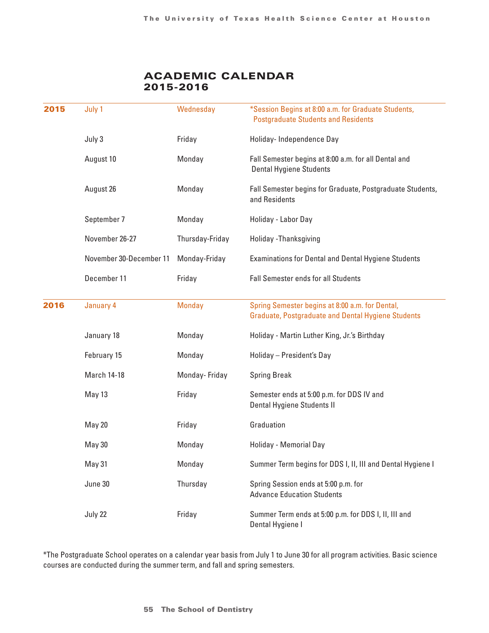## Academic Calendar 2015-2016

<span id="page-7-0"></span>

| 2015 | July 1                  | Wednesday       | *Session Begins at 8:00 a.m. for Graduate Students,<br><b>Postgraduate Students and Residents</b>            |
|------|-------------------------|-----------------|--------------------------------------------------------------------------------------------------------------|
|      | July 3                  | Friday          | Holiday-Independence Day                                                                                     |
|      | August 10               | Monday          | Fall Semester begins at 8:00 a.m. for all Dental and<br><b>Dental Hygiene Students</b>                       |
|      | August 26               | Monday          | Fall Semester begins for Graduate, Postgraduate Students,<br>and Residents                                   |
|      | September 7             | Monday          | Holiday - Labor Day                                                                                          |
|      | November 26-27          | Thursday-Friday | Holiday - Thanksgiving                                                                                       |
|      | November 30-December 11 | Monday-Friday   | <b>Examinations for Dental and Dental Hygiene Students</b>                                                   |
|      | December 11             | Friday          | <b>Fall Semester ends for all Students</b>                                                                   |
| 2016 | January 4               | <b>Monday</b>   | Spring Semester begins at 8:00 a.m. for Dental,<br><b>Graduate, Postgraduate and Dental Hygiene Students</b> |
|      | January 18              | Monday          | Holiday - Martin Luther King, Jr.'s Birthday                                                                 |
|      | February 15             | Monday          | Holiday - President's Day                                                                                    |
|      | <b>March 14-18</b>      | Monday-Friday   | <b>Spring Break</b>                                                                                          |
|      | May 13                  | Friday          | Semester ends at 5:00 p.m. for DDS IV and<br>Dental Hygiene Students II                                      |
|      | May 20                  | Friday          | Graduation                                                                                                   |
|      | May 30                  | Monday          | Holiday - Memorial Day                                                                                       |
|      | May 31                  | Monday          | Summer Term begins for DDS I, II, III and Dental Hygiene I                                                   |
|      | June 30                 | Thursday        | Spring Session ends at 5:00 p.m. for<br><b>Advance Education Students</b>                                    |
|      | July 22                 | Friday          | Summer Term ends at 5:00 p.m. for DDS I, II, III and<br>Dental Hygiene I                                     |

\*The Postgraduate School operates on a calendar year basis from July 1 to June 30 for all program activities. Basic science courses are conducted during the summer term, and fall and spring semesters.

#### **55 The School of Dentistry**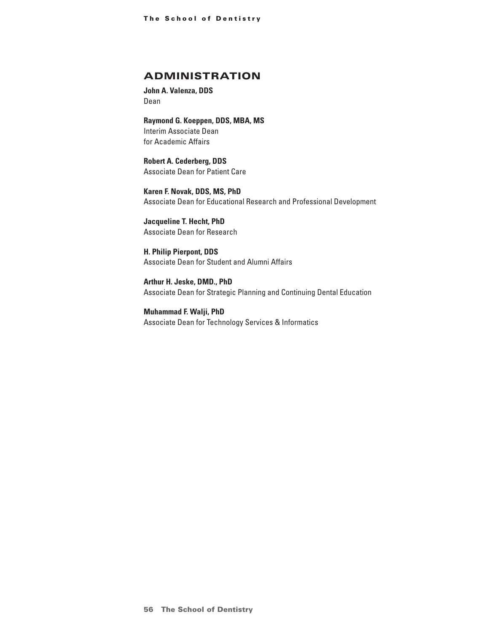## <span id="page-8-0"></span>ADMINISTRATION

**John A. Valenza, DDS** Dean

**Raymond G. Koeppen, DDS, MBA, MS** Interim Associate Dean for Academic Affairs

**Robert A. Cederberg, DDS** Associate Dean for Patient Care

**Karen F. Novak, DDS, MS, PhD** Associate Dean for Educational Research and Professional Development

**Jacqueline T. Hecht, PhD** Associate Dean for Research

**H. Philip Pierpont, DDS** Associate Dean for Student and Alumni Affairs

**Arthur H. Jeske, DMD., PhD** Associate Dean for Strategic Planning and Continuing Dental Education

**Muhammad F. Walji, PhD** Associate Dean for Technology Services & Informatics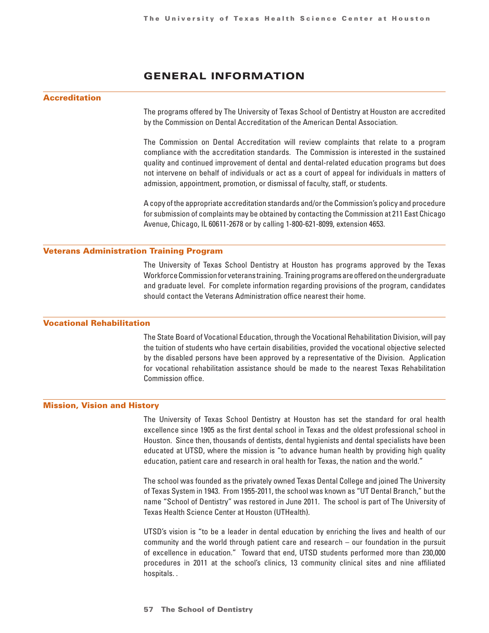## GENERAL INFORMATION

#### <span id="page-9-0"></span>Accreditation

The programs offered by The University of Texas School of Dentistry at Houston are accredited by the Commission on Dental Accreditation of the American Dental Association.

The Commission on Dental Accreditation will review complaints that relate to a program compliance with the accreditation standards. The Commission is interested in the sustained quality and continued improvement of dental and dental-related education programs but does not intervene on behalf of individuals or act as a court of appeal for individuals in matters of admission, appointment, promotion, or dismissal of faculty, staff, or students.

A copy of the appropriate accreditation standards and/or the Commission's policy and procedure for submission of complaints may be obtained by contacting the Commission at 211 East Chicago Avenue, Chicago, IL 60611-2678 or by calling 1-800-621-8099, extension 4653.

#### Veterans Administration Training Program

The University of Texas School Dentistry at Houston has programs approved by the Texas Workforce Commission for veterans training. Training programs are offered on the undergraduate and graduate level. For complete information regarding provisions of the program, candidates should contact the Veterans Administration office nearest their home.

#### Vocational Rehabilitation

The State Board of Vocational Education, through the Vocational Rehabilitation Division, will pay the tuition of students who have certain disabilities, provided the vocational objective selected by the disabled persons have been approved by a representative of the Division. Application for vocational rehabilitation assistance should be made to the nearest Texas Rehabilitation Commission office.

#### Mission, Vision and History

The University of Texas School Dentistry at Houston has set the standard for oral health excellence since 1905 as the first dental school in Texas and the oldest professional school in Houston. Since then, thousands of dentists, dental hygienists and dental specialists have been educated at UTSD, where the mission is "to advance human health by providing high quality education, patient care and research in oral health for Texas, the nation and the world."

The school was founded as the privately owned Texas Dental College and joined The University of Texas System in 1943. From 1955-2011, the school was known as "UT Dental Branch," but the name "School of Dentistry" was restored in June 2011. The school is part of The University of Texas Health Science Center at Houston (UTHealth).

UTSD's vision is "to be a leader in dental education by enriching the lives and health of our community and the world through patient care and research – our foundation in the pursuit of excellence in education." Toward that end, UTSD students performed more than 230,000 procedures in 2011 at the school's clinics, 13 community clinical sites and nine affiliated hospitals. .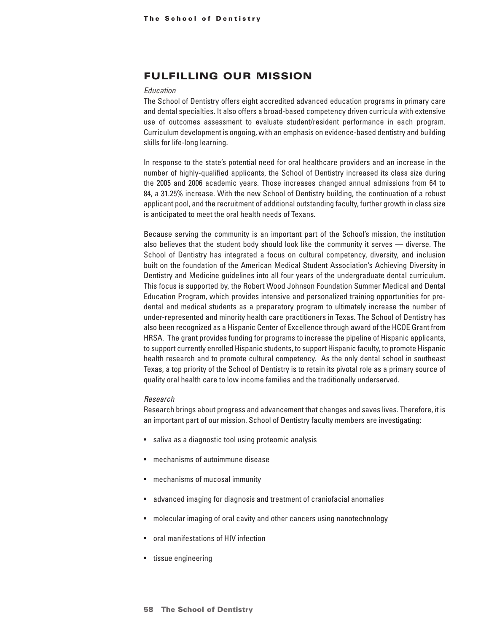## Fulfilling our mission

#### *Education*

The School of Dentistry offers eight accredited advanced education programs in primary care and dental specialties. It also offers a broad-based competency driven curricula with extensive use of outcomes assessment to evaluate student/resident performance in each program. Curriculum development is ongoing, with an emphasis on evidence-based dentistry and building skills for life-long learning.

In response to the state's potential need for oral healthcare providers and an increase in the number of highly-qualified applicants, the School of Dentistry increased its class size during the 2005 and 2006 academic years. Those increases changed annual admissions from 64 to 84, a 31.25% increase. With the new School of Dentistry building, the continuation of a robust applicant pool, and the recruitment of additional outstanding faculty, further growth in class size is anticipated to meet the oral health needs of Texans.

Because serving the community is an important part of the School's mission, the institution also believes that the student body should look like the community it serves — diverse. The School of Dentistry has integrated a focus on cultural competency, diversity, and inclusion built on the foundation of the American Medical Student Association's Achieving Diversity in Dentistry and Medicine guidelines into all four years of the undergraduate dental curriculum. This focus is supported by, the Robert Wood Johnson Foundation Summer Medical and Dental Education Program, which provides intensive and personalized training opportunities for predental and medical students as a preparatory program to ultimately increase the number of under-represented and minority health care practitioners in Texas. The School of Dentistry has also been recognized as a Hispanic Center of Excellence through award of the HCOE Grant from HRSA. The grant provides funding for programs to increase the pipeline of Hispanic applicants, to support currently enrolled Hispanic students, to support Hispanic faculty, to promote Hispanic health research and to promote cultural competency. As the only dental school in southeast Texas, a top priority of the School of Dentistry is to retain its pivotal role as a primary source of quality oral health care to low income families and the traditionally underserved.

#### *Research*

Research brings about progress and advancement that changes and saves lives. Therefore, it is an important part of our mission. School of Dentistry faculty members are investigating:

- saliva as a diagnostic tool using proteomic analysis
- mechanisms of autoimmune disease
- mechanisms of mucosal immunity
- advanced imaging for diagnosis and treatment of craniofacial anomalies
- molecular imaging of oral cavity and other cancers using nanotechnology
- oral manifestations of HIV infection
- tissue engineering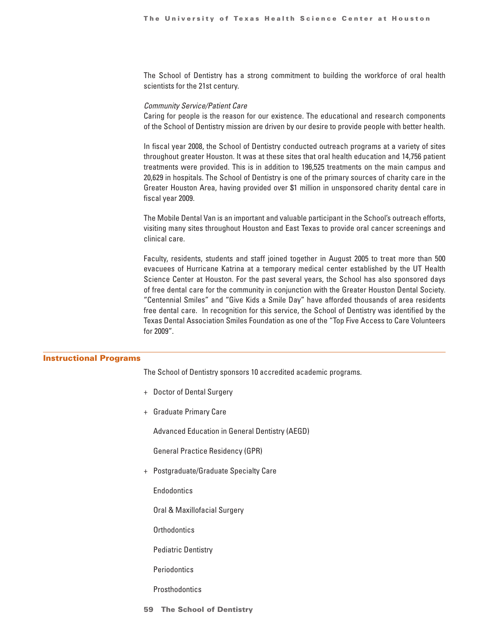The School of Dentistry has a strong commitment to building the workforce of oral health scientists for the 21st century.

#### *Community Service/Patient Care*

Caring for people is the reason for our existence. The educational and research components of the School of Dentistry mission are driven by our desire to provide people with better health.

In fiscal year 2008, the School of Dentistry conducted outreach programs at a variety of sites throughout greater Houston. It was at these sites that oral health education and 14,756 patient treatments were provided. This is in addition to 196,525 treatments on the main campus and 20,629 in hospitals. The School of Dentistry is one of the primary sources of charity care in the Greater Houston Area, having provided over \$1 million in unsponsored charity dental care in fiscal year 2009.

The Mobile Dental Van is an important and valuable participant in the School's outreach efforts, visiting many sites throughout Houston and East Texas to provide oral cancer screenings and clinical care.

Faculty, residents, students and staff joined together in August 2005 to treat more than 500 evacuees of Hurricane Katrina at a temporary medical center established by the UT Health Science Center at Houston. For the past several years, the School has also sponsored days of free dental care for the community in conjunction with the Greater Houston Dental Society. "Centennial Smiles" and "Give Kids a Smile Day" have afforded thousands of area residents free dental care. In recognition for this service, the School of Dentistry was identified by the Texas Dental Association Smiles Foundation as one of the "Top Five Access to Care Volunteers for 2009".

#### Instructional Programs

The School of Dentistry sponsors 10 accredited academic programs.

- + Doctor of Dental Surgery
- + Graduate Primary Care

Advanced Education in General Dentistry (AEGD)

General Practice Residency (GPR)

+ Postgraduate/Graduate Specialty Care

**Endodontics** 

Oral & Maxillofacial Surgery

**Orthodontics** 

Pediatric Dentistry

**Periodontics** 

**Prosthodontics** 

**59 The School of Dentistry**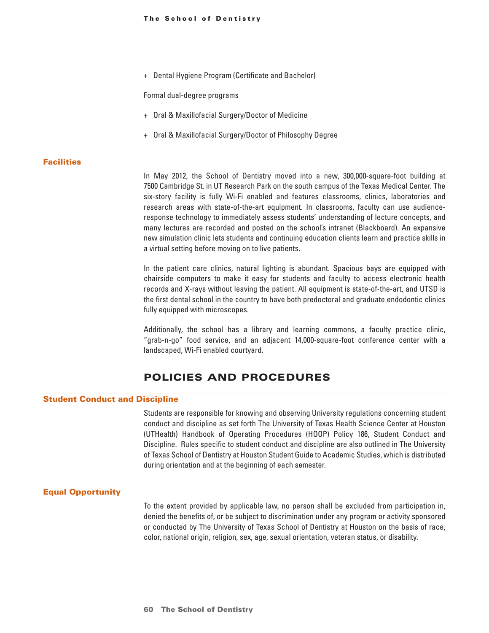<span id="page-12-0"></span>+ Dental Hygiene Program (Certificate and Bachelor)

Formal dual-degree programs

- + Oral & Maxillofacial Surgery/Doctor of Medicine
- + Oral & Maxillofacial Surgery/Doctor of Philosophy Degree

#### **Facilities**

In May 2012, the School of Dentistry moved into a new, 300,000-square-foot building at 7500 Cambridge St. in UT Research Park on the south campus of the Texas Medical Center. The six-story facility is fully Wi-Fi enabled and features classrooms, clinics, laboratories and research areas with state-of-the-art equipment. In classrooms, faculty can use audienceresponse technology to immediately assess students' understanding of lecture concepts, and many lectures are recorded and posted on the school's intranet (Blackboard). An expansive new simulation clinic lets students and continuing education clients learn and practice skills in a virtual setting before moving on to live patients.

In the patient care clinics, natural lighting is abundant. Spacious bays are equipped with chairside computers to make it easy for students and faculty to access electronic health records and X-rays without leaving the patient. All equipment is state-of-the-art, and UTSD is the first dental school in the country to have both predoctoral and graduate endodontic clinics fully equipped with microscopes.

Additionally, the school has a library and learning commons, a faculty practice clinic, "grab-n-go" food service, and an adjacent 14,000-square-foot conference center with a landscaped, Wi-Fi enabled courtyard.

## POLICIES AND PROCEDURES

#### Student Conduct and Discipline

Students are responsible for knowing and observing University regulations concerning student conduct and discipline as set forth The University of Texas Health Science Center at Houston (UTHealth) Handbook of Operating Procedures (HOOP) Policy 186, Student Conduct and Discipline. Rules specific to student conduct and discipline are also outlined in The University of Texas School of Dentistry at Houston Student Guide to Academic Studies, which is distributed during orientation and at the beginning of each semester.

#### Equal Opportunity

To the extent provided by applicable law, no person shall be excluded from participation in, denied the benefits of, or be subject to discrimination under any program or activity sponsored or conducted by The University of Texas School of Dentistry at Houston on the basis of race, color, national origin, religion, sex, age, sexual orientation, veteran status, or disability.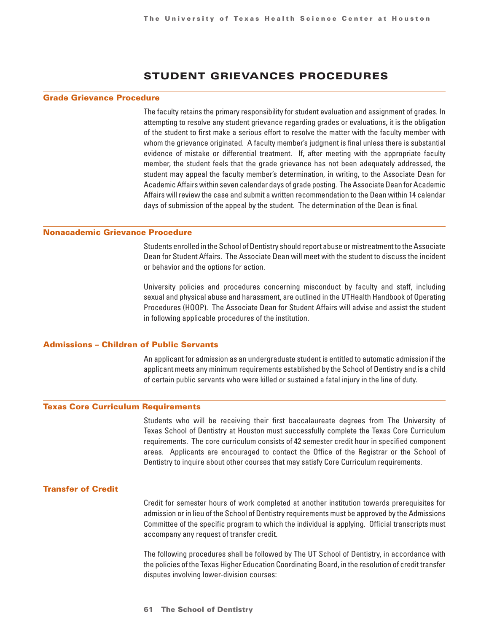## Student Grievances Procedures

#### Grade Grievance Procedure

The faculty retains the primary responsibility for student evaluation and assignment of grades. In attempting to resolve any student grievance regarding grades or evaluations, it is the obligation of the student to first make a serious effort to resolve the matter with the faculty member with whom the grievance originated. A faculty member's judgment is final unless there is substantial evidence of mistake or differential treatment. If, after meeting with the appropriate faculty member, the student feels that the grade grievance has not been adequately addressed, the student may appeal the faculty member's determination, in writing, to the Associate Dean for Academic Affairs within seven calendar days of grade posting. The Associate Dean for Academic Affairs will review the case and submit a written recommendation to the Dean within 14 calendar days of submission of the appeal by the student. The determination of the Dean is final.

#### Nonacademic Grievance Procedure

Students enrolled in the School of Dentistry should report abuse or mistreatment to the Associate Dean for Student Affairs. The Associate Dean will meet with the student to discuss the incident or behavior and the options for action.

University policies and procedures concerning misconduct by faculty and staff, including sexual and physical abuse and harassment, are outlined in the UTHealth Handbook of Operating Procedures (HOOP). The Associate Dean for Student Affairs will advise and assist the student in following applicable procedures of the institution.

#### Admissions – Children of Public Servants

An applicant for admission as an undergraduate student is entitled to automatic admission if the applicant meets any minimum requirements established by the School of Dentistry and is a child of certain public servants who were killed or sustained a fatal injury in the line of duty.

#### Texas Core Curriculum Requirements

Students who will be receiving their first baccalaureate degrees from The University of Texas School of Dentistry at Houston must successfully complete the Texas Core Curriculum requirements. The core curriculum consists of 42 semester credit hour in specified component areas. Applicants are encouraged to contact the Office of the Registrar or the School of Dentistry to inquire about other courses that may satisfy Core Curriculum requirements.

#### Transfer of Credit

Credit for semester hours of work completed at another institution towards prerequisites for admission or in lieu of the School of Dentistry requirements must be approved by the Admissions Committee of the specific program to which the individual is applying. Official transcripts must accompany any request of transfer credit.

The following procedures shall be followed by The UT School of Dentistry, in accordance with the policies of the Texas Higher Education Coordinating Board, in the resolution of credit transfer disputes involving lower-division courses: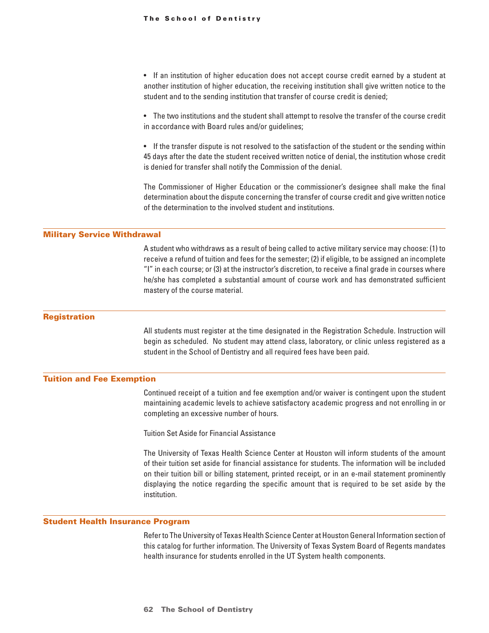• If an institution of higher education does not accept course credit earned by a student at another institution of higher education, the receiving institution shall give written notice to the student and to the sending institution that transfer of course credit is denied;

• The two institutions and the student shall attempt to resolve the transfer of the course credit in accordance with Board rules and/or guidelines;

• If the transfer dispute is not resolved to the satisfaction of the student or the sending within 45 days after the date the student received written notice of denial, the institution whose credit is denied for transfer shall notify the Commission of the denial.

The Commissioner of Higher Education or the commissioner's designee shall make the final determination about the dispute concerning the transfer of course credit and give written notice of the determination to the involved student and institutions.

#### Military Service Withdrawal

A student who withdraws as a result of being called to active military service may choose: (1) to receive a refund of tuition and fees for the semester; (2) if eligible, to be assigned an incomplete "I" in each course; or (3) at the instructor's discretion, to receive a final grade in courses where he/she has completed a substantial amount of course work and has demonstrated sufficient mastery of the course material.

#### **Registration**

All students must register at the time designated in the Registration Schedule. Instruction will begin as scheduled. No student may attend class, laboratory, or clinic unless registered as a student in the School of Dentistry and all required fees have been paid.

#### Tuition and Fee Exemption

Continued receipt of a tuition and fee exemption and/or waiver is contingent upon the student maintaining academic levels to achieve satisfactory academic progress and not enrolling in or completing an excessive number of hours.

Tuition Set Aside for Financial Assistance

The University of Texas Health Science Center at Houston will inform students of the amount of their tuition set aside for financial assistance for students. The information will be included on their tuition bill or billing statement, printed receipt, or in an e-mail statement prominently displaying the notice regarding the specific amount that is required to be set aside by the institution.

#### Student Health Insurance Program

Refer to The University of Texas Health Science Center at Houston General Information section of this catalog for further information. The University of Texas System Board of Regents mandates health insurance for students enrolled in the UT System health components.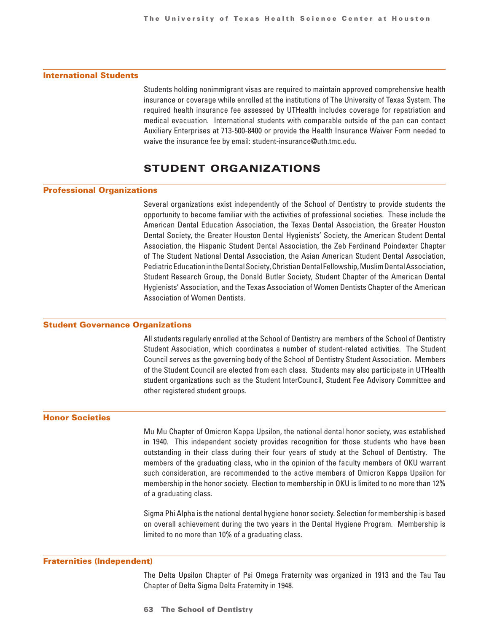#### <span id="page-15-0"></span>International Students

Students holding nonimmigrant visas are required to maintain approved comprehensive health insurance or coverage while enrolled at the institutions of The University of Texas System. The required health insurance fee assessed by UTHealth includes coverage for repatriation and medical evacuation. International students with comparable outside of the pan can contact Auxiliary Enterprises at 713-500-8400 or provide the Health Insurance Waiver Form needed to waive the insurance fee by email: student-insurance@uth.tmc.edu.

## STUDENT ORGANIZATIONS

#### Professional Organizations

Several organizations exist independently of the School of Dentistry to provide students the opportunity to become familiar with the activities of professional societies. These include the American Dental Education Association, the Texas Dental Association, the Greater Houston Dental Society, the Greater Houston Dental Hygienists' Society, the American Student Dental Association, the Hispanic Student Dental Association, the Zeb Ferdinand Poindexter Chapter of The Student National Dental Association, the Asian American Student Dental Association, Pediatric Education in the Dental Society, Christian Dental Fellowship, Muslim Dental Association, Student Research Group, the Donald Butler Society, Student Chapter of the American Dental Hygienists' Association, and the Texas Association of Women Dentists Chapter of the American Association of Women Dentists.

#### Student Governance Organizations

All students regularly enrolled at the School of Dentistry are members of the School of Dentistry Student Association, which coordinates a number of student-related activities. The Student Council serves as the governing body of the School of Dentistry Student Association. Members of the Student Council are elected from each class. Students may also participate in UTHealth student organizations such as the Student InterCouncil, Student Fee Advisory Committee and other registered student groups.

#### Honor Societies

Mu Mu Chapter of Omicron Kappa Upsilon, the national dental honor society, was established in 1940. This independent society provides recognition for those students who have been outstanding in their class during their four years of study at the School of Dentistry. The members of the graduating class, who in the opinion of the faculty members of OKU warrant such consideration, are recommended to the active members of Omicron Kappa Upsilon for membership in the honor society. Election to membership in OKU is limited to no more than 12% of a graduating class.

Sigma Phi Alpha is the national dental hygiene honor society. Selection for membership is based on overall achievement during the two years in the Dental Hygiene Program. Membership is limited to no more than 10% of a graduating class.

#### Fraternities (Independent)

The Delta Upsilon Chapter of Psi Omega Fraternity was organized in 1913 and the Tau Tau Chapter of Delta Sigma Delta Fraternity in 1948.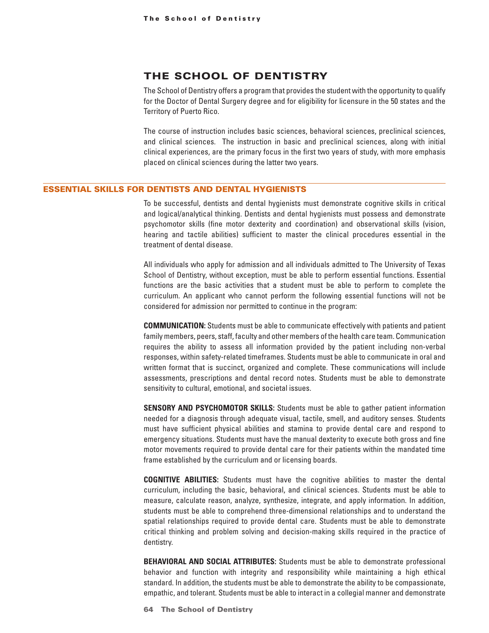## <span id="page-16-0"></span>THE SCHOOL OF DENTISTRY

The School of Dentistry offers a program that provides the student with the opportunity to qualify for the Doctor of Dental Surgery degree and for eligibility for licensure in the 50 states and the Territory of Puerto Rico.

The course of instruction includes basic sciences, behavioral sciences, preclinical sciences, and clinical sciences. The instruction in basic and preclinical sciences, along with initial clinical experiences, are the primary focus in the first two years of study, with more emphasis placed on clinical sciences during the latter two years.

#### ESSENTIAL SKILLS FOR DENTISTS AND DENTAL HYGIENISTS

To be successful, dentists and dental hygienists must demonstrate cognitive skills in critical and logical/analytical thinking. Dentists and dental hygienists must possess and demonstrate psychomotor skills (fine motor dexterity and coordination) and observational skills (vision, hearing and tactile abilities) sufficient to master the clinical procedures essential in the treatment of dental disease.

All individuals who apply for admission and all individuals admitted to The University of Texas School of Dentistry, without exception, must be able to perform essential functions. Essential functions are the basic activities that a student must be able to perform to complete the curriculum. An applicant who cannot perform the following essential functions will not be considered for admission nor permitted to continue in the program:

**COMMUNICATION:** Students must be able to communicate effectively with patients and patient family members, peers, staff, faculty and other members of the health care team. Communication requires the ability to assess all information provided by the patient including non-verbal responses, within safety-related timeframes. Students must be able to communicate in oral and written format that is succinct, organized and complete. These communications will include assessments, prescriptions and dental record notes. Students must be able to demonstrate sensitivity to cultural, emotional, and societal issues.

**SENSORY AND PSYCHOMOTOR SKILLS:** Students must be able to gather patient information needed for a diagnosis through adequate visual, tactile, smell, and auditory senses. Students must have sufficient physical abilities and stamina to provide dental care and respond to emergency situations. Students must have the manual dexterity to execute both gross and fine motor movements required to provide dental care for their patients within the mandated time frame established by the curriculum and or licensing boards.

**COGNITIVE ABILITIES:** Students must have the cognitive abilities to master the dental curriculum, including the basic, behavioral, and clinical sciences. Students must be able to measure, calculate reason, analyze, synthesize, integrate, and apply information. In addition, students must be able to comprehend three-dimensional relationships and to understand the spatial relationships required to provide dental care. Students must be able to demonstrate critical thinking and problem solving and decision-making skills required in the practice of dentistry.

**BEHAVIORAL AND SOCIAL ATTRIBUTES:** Students must be able to demonstrate professional behavior and function with integrity and responsibility while maintaining a high ethical standard. In addition, the students must be able to demonstrate the ability to be compassionate, empathic, and tolerant. Students must be able to interact in a collegial manner and demonstrate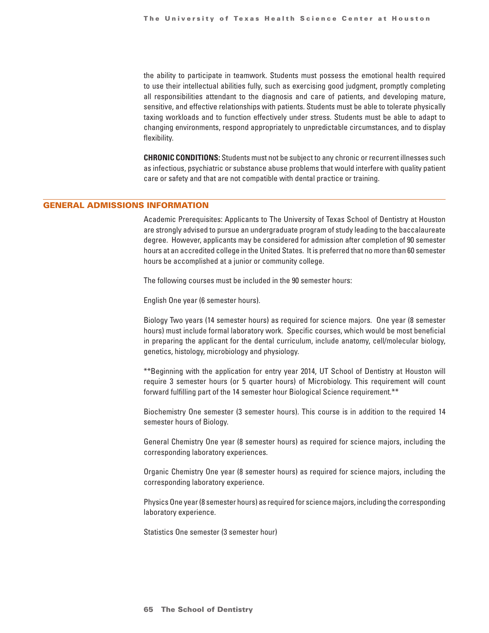the ability to participate in teamwork. Students must possess the emotional health required to use their intellectual abilities fully, such as exercising good judgment, promptly completing all responsibilities attendant to the diagnosis and care of patients, and developing mature, sensitive, and effective relationships with patients. Students must be able to tolerate physically taxing workloads and to function effectively under stress. Students must be able to adapt to changing environments, respond appropriately to unpredictable circumstances, and to display flexibility.

**CHRONIC CONDITIONS:** Students must not be subject to any chronic or recurrent illnesses such as infectious, psychiatric or substance abuse problems that would interfere with quality patient care or safety and that are not compatible with dental practice or training.

#### GENERAL ADMISSIONS INFORMATION

Academic Prerequisites: Applicants to The University of Texas School of Dentistry at Houston are strongly advised to pursue an undergraduate program of study leading to the baccalaureate degree. However, applicants may be considered for admission after completion of 90 semester hours at an accredited college in the United States. It is preferred that no more than 60 semester hours be accomplished at a junior or community college.

The following courses must be included in the 90 semester hours:

English One year (6 semester hours).

Biology Two years (14 semester hours) as required for science majors. One year (8 semester hours) must include formal laboratory work. Specific courses, which would be most beneficial in preparing the applicant for the dental curriculum, include anatomy, cell/molecular biology, genetics, histology, microbiology and physiology.

\*\*Beginning with the application for entry year 2014, UT School of Dentistry at Houston will require 3 semester hours (or 5 quarter hours) of Microbiology. This requirement will count forward fulfilling part of the 14 semester hour Biological Science requirement.\*\*

Biochemistry One semester (3 semester hours). This course is in addition to the required 14 semester hours of Biology.

General Chemistry One year (8 semester hours) as required for science majors, including the corresponding laboratory experiences.

Organic Chemistry One year (8 semester hours) as required for science majors, including the corresponding laboratory experience.

Physics One year (8 semester hours) as required for science majors, including the corresponding laboratory experience.

Statistics One semester (3 semester hour)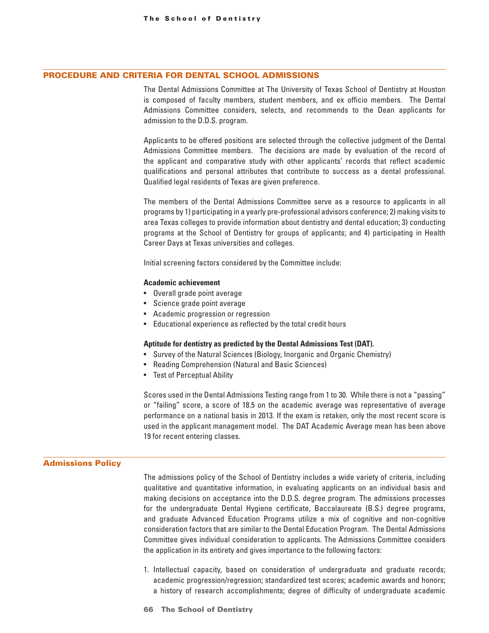#### <span id="page-18-0"></span>PROCEDURE AND CRITERIA FOR DENTAL SCHOOL ADMISSIONS

The Dental Admissions Committee at The University of Texas School of Dentistry at Houston is composed of faculty members, student members, and ex officio members. The Dental Admissions Committee considers, selects, and recommends to the Dean applicants for admission to the D.D.S. program.

Applicants to be offered positions are selected through the collective judgment of the Dental Admissions Committee members. The decisions are made by evaluation of the record of the applicant and comparative study with other applicants' records that reflect academic qualifications and personal attributes that contribute to success as a dental professional. Qualified legal residents of Texas are given preference.

The members of the Dental Admissions Committee serve as a resource to applicants in all programs by 1) participating in a yearly pre-professional advisors conference; 2) making visits to area Texas colleges to provide information about dentistry and dental education; 3) conducting programs at the School of Dentistry for groups of applicants; and 4) participating in Health Career Days at Texas universities and colleges.

Initial screening factors considered by the Committee include:

#### **Academic achievement**

- Overall grade point average
- Science grade point average
- Academic progression or regression
- Educational experience as reflected by the total credit hours

#### **Aptitude for dentistry as predicted by the Dental Admissions Test (DAT).**

- Survey of the Natural Sciences (Biology, Inorganic and Organic Chemistry)
- Reading Comprehension (Natural and Basic Sciences)
- Test of Perceptual Ability

Scores used in the Dental Admissions Testing range from 1 to 30. While there is not a "passing" or "failing" score, a score of 18.5 on the academic average was representative of average performance on a national basis in 2013. If the exam is retaken, only the most recent score is used in the applicant management model. The DAT Academic Average mean has been above 19 for recent entering classes.

#### Admissions Policy

The admissions policy of the School of Dentistry includes a wide variety of criteria, including qualitative and quantitative information, in evaluating applicants on an individual basis and making decisions on acceptance into the D.D.S. degree program. The admissions processes for the undergraduate Dental Hygiene certificate, Baccalaureate (B.S.) degree programs, and graduate Advanced Education Programs utilize a mix of cognitive and non-cognitive consideration factors that are similar to the Dental Education Program. The Dental Admissions Committee gives individual consideration to applicants. The Admissions Committee considers the application in its entirety and gives importance to the following factors:

- 1. Intellectual capacity, based on consideration of undergraduate and graduate records; academic progression/regression; standardized test scores; academic awards and honors; a history of research accomplishments; degree of difficulty of undergraduate academic
- **66 The School of Dentistry**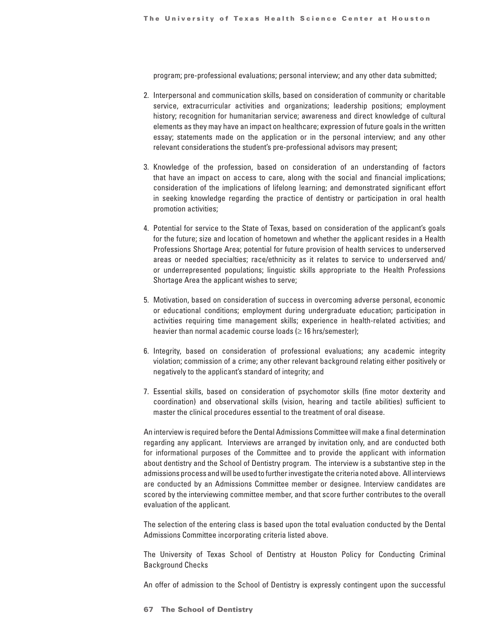program; pre-professional evaluations; personal interview; and any other data submitted;

- 2. Interpersonal and communication skills, based on consideration of community or charitable service, extracurricular activities and organizations; leadership positions; employment history; recognition for humanitarian service; awareness and direct knowledge of cultural elements as they may have an impact on healthcare; expression of future goals in the written essay; statements made on the application or in the personal interview; and any other relevant considerations the student's pre-professional advisors may present;
- 3. Knowledge of the profession, based on consideration of an understanding of factors that have an impact on access to care, along with the social and financial implications; consideration of the implications of lifelong learning; and demonstrated significant effort in seeking knowledge regarding the practice of dentistry or participation in oral health promotion activities;
- 4. Potential for service to the State of Texas, based on consideration of the applicant's goals for the future; size and location of hometown and whether the applicant resides in a Health Professions Shortage Area; potential for future provision of health services to underserved areas or needed specialties; race/ethnicity as it relates to service to underserved and/ or underrepresented populations; linguistic skills appropriate to the Health Professions Shortage Area the applicant wishes to serve;
- 5. Motivation, based on consideration of success in overcoming adverse personal, economic or educational conditions; employment during undergraduate education; participation in activities requiring time management skills; experience in health-related activities; and heavier than normal academic course loads ( $\geq$  16 hrs/semester):
- 6. Integrity, based on consideration of professional evaluations; any academic integrity violation; commission of a crime; any other relevant background relating either positively or negatively to the applicant's standard of integrity; and
- 7. Essential skills, based on consideration of psychomotor skills (fine motor dexterity and coordination) and observational skills (vision, hearing and tactile abilities) sufficient to master the clinical procedures essential to the treatment of oral disease.

An interview is required before the Dental Admissions Committee will make a final determination regarding any applicant. Interviews are arranged by invitation only, and are conducted both for informational purposes of the Committee and to provide the applicant with information about dentistry and the School of Dentistry program. The interview is a substantive step in the admissions process and will be used to further investigate the criteria noted above. All interviews are conducted by an Admissions Committee member or designee. Interview candidates are scored by the interviewing committee member, and that score further contributes to the overall evaluation of the applicant.

The selection of the entering class is based upon the total evaluation conducted by the Dental Admissions Committee incorporating criteria listed above.

The University of Texas School of Dentistry at Houston Policy for Conducting Criminal Background Checks

An offer of admission to the School of Dentistry is expressly contingent upon the successful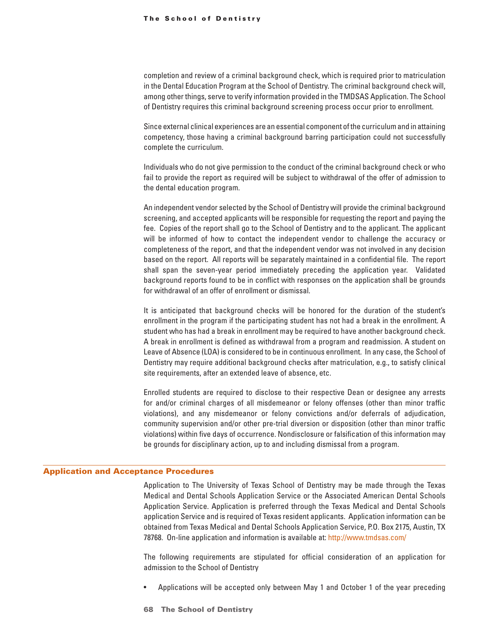<span id="page-20-0"></span>completion and review of a criminal background check, which is required prior to matriculation in the Dental Education Program at the School of Dentistry. The criminal background check will, among other things, serve to verify information provided in the TMDSAS Application. The School of Dentistry requires this criminal background screening process occur prior to enrollment.

Since external clinical experiences are an essential component of the curriculum and in attaining competency, those having a criminal background barring participation could not successfully complete the curriculum.

Individuals who do not give permission to the conduct of the criminal background check or who fail to provide the report as required will be subject to withdrawal of the offer of admission to the dental education program.

An independent vendor selected by the School of Dentistry will provide the criminal background screening, and accepted applicants will be responsible for requesting the report and paying the fee. Copies of the report shall go to the School of Dentistry and to the applicant. The applicant will be informed of how to contact the independent vendor to challenge the accuracy or completeness of the report, and that the independent vendor was not involved in any decision based on the report. All reports will be separately maintained in a confidential file. The report shall span the seven-year period immediately preceding the application year. Validated background reports found to be in conflict with responses on the application shall be grounds for withdrawal of an offer of enrollment or dismissal.

It is anticipated that background checks will be honored for the duration of the student's enrollment in the program if the participating student has not had a break in the enrollment. A student who has had a break in enrollment may be required to have another background check. A break in enrollment is defined as withdrawal from a program and readmission. A student on Leave of Absence (LOA) is considered to be in continuous enrollment. In any case, the School of Dentistry may require additional background checks after matriculation, e.g., to satisfy clinical site requirements, after an extended leave of absence, etc.

Enrolled students are required to disclose to their respective Dean or designee any arrests for and/or criminal charges of all misdemeanor or felony offenses (other than minor traffic violations), and any misdemeanor or felony convictions and/or deferrals of adjudication, community supervision and/or other pre-trial diversion or disposition (other than minor traffic violations) within five days of occurrence. Nondisclosure or falsification of this information may be grounds for disciplinary action, up to and including dismissal from a program.

#### Application and Acceptance Procedures

Application to The University of Texas School of Dentistry may be made through the Texas Medical and Dental Schools Application Service or the Associated American Dental Schools Application Service. Application is preferred through the Texas Medical and Dental Schools application Service and is required of Texas resident applicants. Application information can be obtained from Texas Medical and Dental Schools Application Service, P.O. Box 2175, Austin, TX 78768. On-line application and information is available at: http://www.tmdsas.com/

The following requirements are stipulated for official consideration of an application for admission to the School of Dentistry

- Applications will be accepted only between May 1 and October 1 of the year preceding
- **68 The School of Dentistry**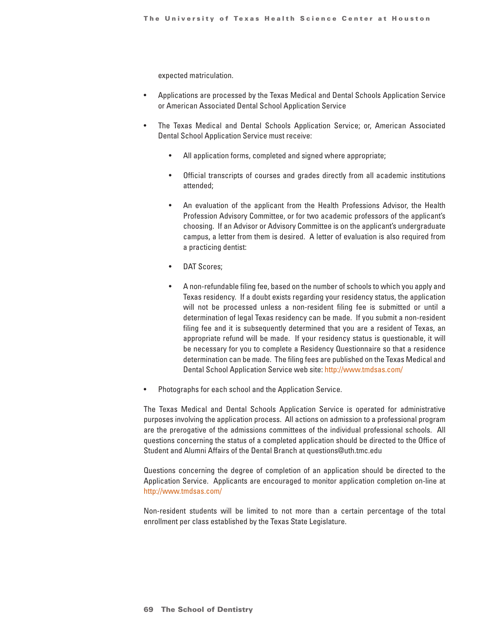expected matriculation.

- Applications are processed by the Texas Medical and Dental Schools Application Service or American Associated Dental School Application Service
- The Texas Medical and Dental Schools Application Service; or, American Associated Dental School Application Service must receive:
	- All application forms, completed and signed where appropriate;
	- Official transcripts of courses and grades directly from all academic institutions attended;
	- An evaluation of the applicant from the Health Professions Advisor, the Health Profession Advisory Committee, or for two academic professors of the applicant's choosing. If an Advisor or Advisory Committee is on the applicant's undergraduate campus, a letter from them is desired. A letter of evaluation is also required from a practicing dentist:
	- DAT Scores;
	- A non-refundable filing fee, based on the number of schools to which you apply and Texas residency. If a doubt exists regarding your residency status, the application will not be processed unless a non-resident filing fee is submitted or until a determination of legal Texas residency can be made. If you submit a non-resident filing fee and it is subsequently determined that you are a resident of Texas, an appropriate refund will be made. If your residency status is questionable, it will be necessary for you to complete a Residency Questionnaire so that a residence determination can be made. The filing fees are published on the Texas Medical and Dental School Application Service web site: http://www.tmdsas.com/
- Photographs for each school and the Application Service.

The Texas Medical and Dental Schools Application Service is operated for administrative purposes involving the application process. All actions on admission to a professional program are the prerogative of the admissions committees of the individual professional schools. All questions concerning the status of a completed application should be directed to the Office of Student and Alumni Affairs of the Dental Branch at questions@uth.tmc.edu

Questions concerning the degree of completion of an application should be directed to the Application Service. Applicants are encouraged to monitor application completion on-line at http://www.tmdsas.com/

Non-resident students will be limited to not more than a certain percentage of the total enrollment per class established by the Texas State Legislature.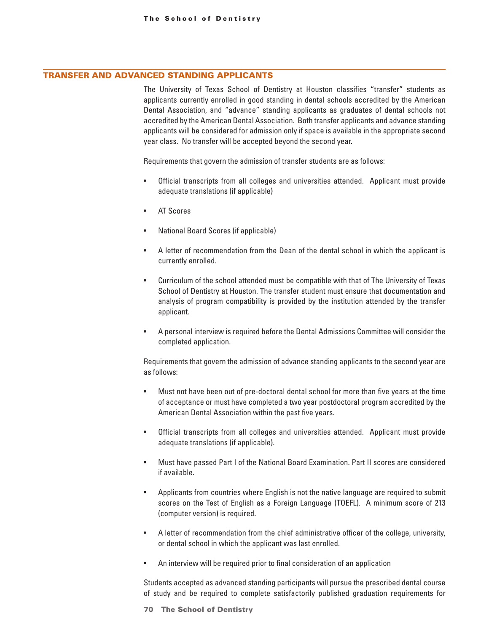#### TRANSFER AND ADVANCED STANDING APPLICANTS

The University of Texas School of Dentistry at Houston classifies "transfer" students as applicants currently enrolled in good standing in dental schools accredited by the American Dental Association, and "advance" standing applicants as graduates of dental schools not accredited by the American Dental Association. Both transfer applicants and advance standing applicants will be considered for admission only if space is available in the appropriate second year class. No transfer will be accepted beyond the second year.

Requirements that govern the admission of transfer students are as follows:

- Official transcripts from all colleges and universities attended. Applicant must provide adequate translations (if applicable)
- AT Scores
- National Board Scores (if applicable)
- A letter of recommendation from the Dean of the dental school in which the applicant is currently enrolled.
- Curriculum of the school attended must be compatible with that of The University of Texas School of Dentistry at Houston. The transfer student must ensure that documentation and analysis of program compatibility is provided by the institution attended by the transfer applicant.
- A personal interview is required before the Dental Admissions Committee will consider the completed application.

Requirements that govern the admission of advance standing applicants to the second year are as follows:

- Must not have been out of pre-doctoral dental school for more than five years at the time of acceptance or must have completed a two year postdoctoral program accredited by the American Dental Association within the past five years.
- Official transcripts from all colleges and universities attended. Applicant must provide adequate translations (if applicable).
- Must have passed Part I of the National Board Examination. Part II scores are considered if available.
- Applicants from countries where English is not the native language are required to submit scores on the Test of English as a Foreign Language (TOEFL). A minimum score of 213 (computer version) is required.
- A letter of recommendation from the chief administrative officer of the college, university, or dental school in which the applicant was last enrolled.
- An interview will be required prior to final consideration of an application

Students accepted as advanced standing participants will pursue the prescribed dental course of study and be required to complete satisfactorily published graduation requirements for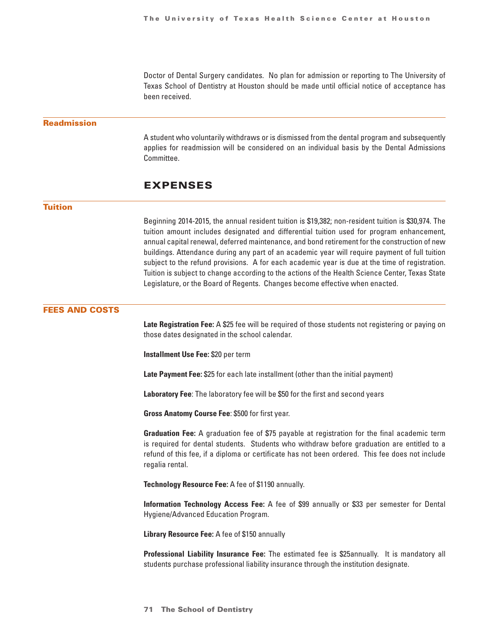Doctor of Dental Surgery candidates. No plan for admission or reporting to The University of Texas School of Dentistry at Houston should be made until official notice of acceptance has been received.

#### <span id="page-23-0"></span>Readmission

A student who voluntarily withdraws or is dismissed from the dental program and subsequently applies for readmission will be considered on an individual basis by the Dental Admissions Committee.

### EXPENSES

#### Tuition

Beginning 2014-2015, the annual resident tuition is \$19,382; non-resident tuition is \$30,974. The tuition amount includes designated and differential tuition used for program enhancement, annual capital renewal, deferred maintenance, and bond retirement for the construction of new buildings. Attendance during any part of an academic year will require payment of full tuition subject to the refund provisions. A for each academic year is due at the time of registration. Tuition is subject to change according to the actions of the Health Science Center, Texas State Legislature, or the Board of Regents. Changes become effective when enacted.

#### FEES AND COSTS

**Late Registration Fee:** A \$25 fee will be required of those students not registering or paying on those dates designated in the school calendar.

**Installment Use Fee:** \$20 per term

**Late Payment Fee:** \$25 for each late installment (other than the initial payment)

**Laboratory Fee**: The laboratory fee will be \$50 for the first and second years

**Gross Anatomy Course Fee**: \$500 for first year.

**Graduation Fee:** A graduation fee of \$75 payable at registration for the final academic term is required for dental students. Students who withdraw before graduation are entitled to a refund of this fee, if a diploma or certificate has not been ordered. This fee does not include regalia rental.

**Technology Resource Fee:** A fee of \$1190 annually.

**Information Technology Access Fee:** A fee of \$99 annually or \$33 per semester for Dental Hygiene/Advanced Education Program.

**Library Resource Fee:** A fee of \$150 annually

**Professional Liability Insurance Fee:** The estimated fee is \$25annually. It is mandatory all students purchase professional liability insurance through the institution designate.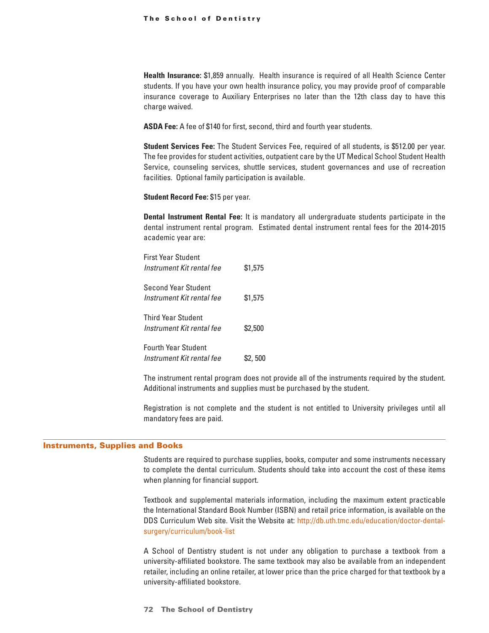#### The School of Dentistry

**Health Insurance:** \$1,859 annually. Health insurance is required of all Health Science Center students. If you have your own health insurance policy, you may provide proof of comparable insurance coverage to Auxiliary Enterprises no later than the 12th class day to have this charge waived.

**ASDA Fee:** A fee of \$140 for first, second, third and fourth year students.

**Student Services Fee:** The Student Services Fee, required of all students, is \$512.00 per year. The fee provides for student activities, outpatient care by the UT Medical School Student Health Service, counseling services, shuttle services, student governances and use of recreation facilities. Optional family participation is available.

**Student Record Fee:** \$15 per year.

**Dental Instrument Rental Fee:** It is mandatory all undergraduate students participate in the dental instrument rental program. Estimated dental instrument rental fees for the 2014-2015 academic year are:

First Year Student *Instrument Kit rental fee* \$1,575 Second Year Student *Instrument Kit rental fee* \$1,575 Third Year Student *Instrument Kit rental fee* \$2,500 Fourth Year Student *Instrument Kit rental fee* \$2,500

The instrument rental program does not provide all of the instruments required by the student. Additional instruments and supplies must be purchased by the student.

Registration is not complete and the student is not entitled to University privileges until all mandatory fees are paid.

#### Instruments, Supplies and Books

Students are required to purchase supplies, books, computer and some instruments necessary to complete the dental curriculum. Students should take into account the cost of these items when planning for financial support.

Textbook and supplemental materials information, including the maximum extent practicable the International Standard Book Number (ISBN) and retail price information, is available on the DDS Curriculum Web site. Visit the Website at: http://db.uth.tmc.edu/education/doctor-dentalsurgery/curriculum/book-list

A School of Dentistry student is not under any obligation to purchase a textbook from a university-affiliated bookstore. The same textbook may also be available from an independent retailer, including an online retailer, at lower price than the price charged for that textbook by a university-affiliated bookstore.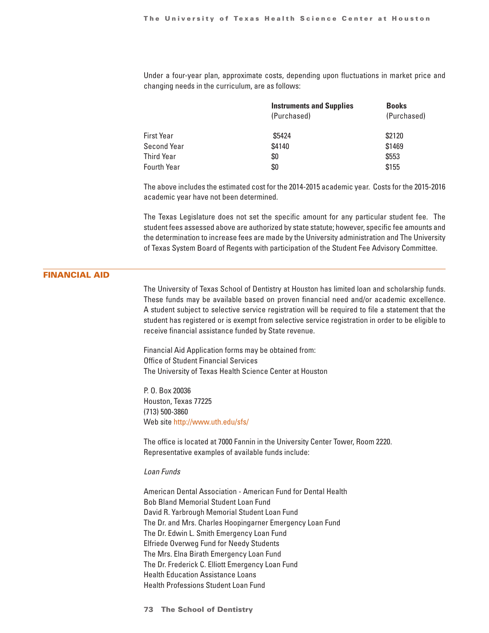<span id="page-25-0"></span>Under a four-year plan, approximate costs, depending upon fluctuations in market price and changing needs in the curriculum, are as follows:

|                    | <b>Instruments and Supplies</b> | <b>Books</b> |  |
|--------------------|---------------------------------|--------------|--|
|                    | (Purchased)                     | (Purchased)  |  |
| First Year         | \$5424                          | \$2120       |  |
| Second Year        | \$4140                          | \$1469       |  |
| Third Year         | \$0                             | \$553        |  |
| <b>Fourth Year</b> | \$0                             | \$155        |  |

The above includes the estimated cost for the 2014-2015 academic year. Costs for the 2015-2016 academic year have not been determined.

The Texas Legislature does not set the specific amount for any particular student fee. The student fees assessed above are authorized by state statute; however, specific fee amounts and the determination to increase fees are made by the University administration and The University of Texas System Board of Regents with participation of the Student Fee Advisory Committee.

#### FINANCIAL AID

The University of Texas School of Dentistry at Houston has limited loan and scholarship funds. These funds may be available based on proven financial need and/or academic excellence. A student subject to selective service registration will be required to file a statement that the student has registered or is exempt from selective service registration in order to be eligible to receive financial assistance funded by State revenue.

Financial Aid Application forms may be obtained from: Office of Student Financial Services The University of Texas Health Science Center at Houston

P. O. Box 20036 Houston, Texas 77225 (713) 500-3860 Web site http://www.uth.edu/sfs/

The office is located at 7000 Fannin in the University Center Tower, Room 2220. Representative examples of available funds include:

#### *Loan Funds*

American Dental Association - American Fund for Dental Health Bob Bland Memorial Student Loan Fund David R. Yarbrough Memorial Student Loan Fund The Dr. and Mrs. Charles Hoopingarner Emergency Loan Fund The Dr. Edwin L. Smith Emergency Loan Fund Elfriede Overweg Fund for Needy Students The Mrs. Elna Birath Emergency Loan Fund The Dr. Frederick C. Elliott Emergency Loan Fund Health Education Assistance Loans Health Professions Student Loan Fund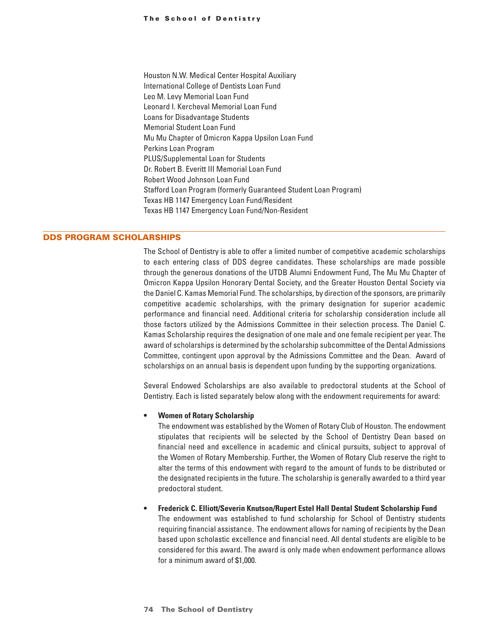Houston N.W. Medical Center Hospital Auxiliary International College of Dentists Loan Fund Leo M. Levy Memorial Loan Fund Leonard I. Kercheval Memorial Loan Fund Loans for Disadvantage Students Memorial Student Loan Fund Mu Mu Chapter of Omicron Kappa Upsilon Loan Fund Perkins Loan Program PLUS/Supplemental Loan for Students Dr. Robert B. Everitt III Memorial Loan Fund Robert Wood Johnson Loan Fund Stafford Loan Program (formerly Guaranteed Student Loan Program) Texas HB 1147 Emergency Loan Fund/Resident Texas HB 1147 Emergency Loan Fund/Non-Resident

#### DDS PROGRAM SCHOLARSHIPS

The School of Dentistry is able to offer a limited number of competitive academic scholarships to each entering class of DDS degree candidates. These scholarships are made possible through the generous donations of the UTDB Alumni Endowment Fund, The Mu Mu Chapter of Omicron Kappa Upsilon Honorary Dental Society, and the Greater Houston Dental Society via the Daniel C. Kamas Memorial Fund. The scholarships, by direction of the sponsors, are primarily competitive academic scholarships, with the primary designation for superior academic performance and financial need. Additional criteria for scholarship consideration include all those factors utilized by the Admissions Committee in their selection process. The Daniel C. Kamas Scholarship requires the designation of one male and one female recipient per year. The award of scholarships is determined by the scholarship subcommittee of the Dental Admissions Committee, contingent upon approval by the Admissions Committee and the Dean. Award of scholarships on an annual basis is dependent upon funding by the supporting organizations.

Several Endowed Scholarships are also available to predoctoral students at the School of Dentistry. Each is listed separately below along with the endowment requirements for award:

#### **• Women of Rotary Scholarship**

The endowment was established by the Women of Rotary Club of Houston. The endowment stipulates that recipients will be selected by the School of Dentistry Dean based on financial need and excellence in academic and clinical pursuits, subject to approval of the Women of Rotary Membership. Further, the Women of Rotary Club reserve the right to alter the terms of this endowment with regard to the amount of funds to be distributed or the designated recipients in the future. The scholarship is generally awarded to a third year predoctoral student.

#### **• Frederick C. Elliott/Severin Knutson/Rupert Estel Hall Dental Student Scholarship Fund**

The endowment was established to fund scholarship for School of Dentistry students requiring financial assistance. The endowment allows for naming of recipients by the Dean based upon scholastic excellence and financial need. All dental students are eligible to be considered for this award. The award is only made when endowment performance allows for a minimum award of \$1,000.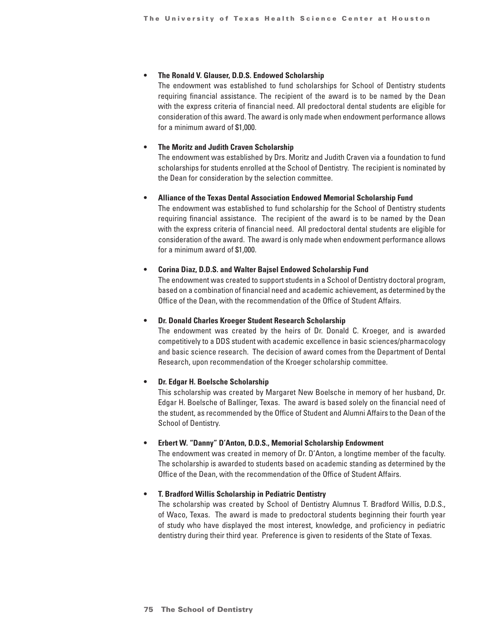#### **• The Ronald V. Glauser, D.D.S. Endowed Scholarship**

The endowment was established to fund scholarships for School of Dentistry students requiring financial assistance. The recipient of the award is to be named by the Dean with the express criteria of financial need. All predoctoral dental students are eligible for consideration of this award. The award is only made when endowment performance allows for a minimum award of \$1,000.

#### **• The Moritz and Judith Craven Scholarship**

The endowment was established by Drs. Moritz and Judith Craven via a foundation to fund scholarships for students enrolled at the School of Dentistry. The recipient is nominated by the Dean for consideration by the selection committee.

#### **• Alliance of the Texas Dental Association Endowed Memorial Scholarship Fund**

The endowment was established to fund scholarship for the School of Dentistry students requiring financial assistance. The recipient of the award is to be named by the Dean with the express criteria of financial need. All predoctoral dental students are eligible for consideration of the award. The award is only made when endowment performance allows for a minimum award of \$1,000.

#### **• Corina Diaz, D.D.S. and Walter Bajsel Endowed Scholarship Fund**

The endowment was created to support students in a School of Dentistry doctoral program, based on a combination of financial need and academic achievement, as determined by the Office of the Dean, with the recommendation of the Office of Student Affairs.

#### **• Dr. Donald Charles Kroeger Student Research Scholarship**

The endowment was created by the heirs of Dr. Donald C. Kroeger, and is awarded competitively to a DDS student with academic excellence in basic sciences/pharmacology and basic science research. The decision of award comes from the Department of Dental Research, upon recommendation of the Kroeger scholarship committee.

#### **• Dr. Edgar H. Boelsche Scholarship**

This scholarship was created by Margaret New Boelsche in memory of her husband, Dr. Edgar H. Boelsche of Ballinger, Texas. The award is based solely on the financial need of the student, as recommended by the Office of Student and Alumni Affairs to the Dean of the School of Dentistry.

#### **• Erbert W. "Danny" D'Anton, D.D.S., Memorial Scholarship Endowment**

The endowment was created in memory of Dr. D'Anton, a longtime member of the faculty. The scholarship is awarded to students based on academic standing as determined by the Office of the Dean, with the recommendation of the Office of Student Affairs.

#### **• T. Bradford Willis Scholarship in Pediatric Dentistry**

The scholarship was created by School of Dentistry Alumnus T. Bradford Willis, D.D.S., of Waco, Texas. The award is made to predoctoral students beginning their fourth year of study who have displayed the most interest, knowledge, and proficiency in pediatric dentistry during their third year. Preference is given to residents of the State of Texas.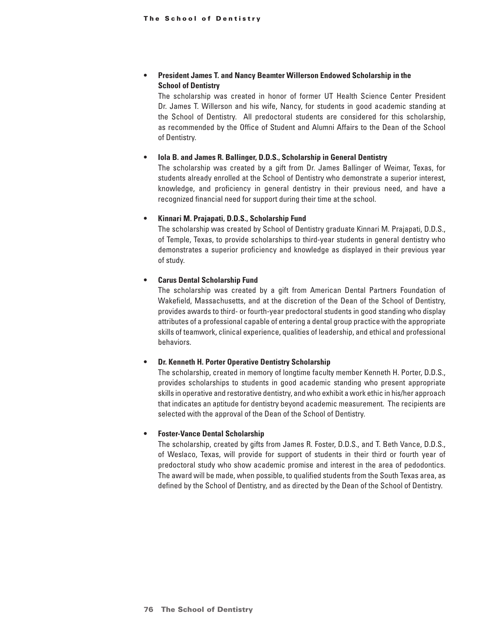#### **• President James T. and Nancy Beamter Willerson Endowed Scholarship in the School of Dentistry**

The scholarship was created in honor of former UT Health Science Center President Dr. James T. Willerson and his wife, Nancy, for students in good academic standing at the School of Dentistry. All predoctoral students are considered for this scholarship, as recommended by the Office of Student and Alumni Affairs to the Dean of the School of Dentistry.

#### **• Iola B. and James R. Ballinger, D.D.S., Scholarship in General Dentistry**

The scholarship was created by a gift from Dr. James Ballinger of Weimar, Texas, for students already enrolled at the School of Dentistry who demonstrate a superior interest, knowledge, and proficiency in general dentistry in their previous need, and have a recognized financial need for support during their time at the school.

#### **• Kinnari M. Prajapati, D.D.S., Scholarship Fund**

The scholarship was created by School of Dentistry graduate Kinnari M. Prajapati, D.D.S., of Temple, Texas, to provide scholarships to third-year students in general dentistry who demonstrates a superior proficiency and knowledge as displayed in their previous year of study.

#### **• Carus Dental Scholarship Fund**

The scholarship was created by a gift from American Dental Partners Foundation of Wakefield, Massachusetts, and at the discretion of the Dean of the School of Dentistry, provides awards to third- or fourth-year predoctoral students in good standing who display attributes of a professional capable of entering a dental group practice with the appropriate skills of teamwork, clinical experience, qualities of leadership, and ethical and professional behaviors.

#### **• Dr. Kenneth H. Porter Operative Dentistry Scholarship**

The scholarship, created in memory of longtime faculty member Kenneth H. Porter, D.D.S., provides scholarships to students in good academic standing who present appropriate skills in operative and restorative dentistry, and who exhibit a work ethic in his/her approach that indicates an aptitude for dentistry beyond academic measurement. The recipients are selected with the approval of the Dean of the School of Dentistry.

#### **• Foster-Vance Dental Scholarship**

The scholarship, created by gifts from James R. Foster, D.D.S., and T. Beth Vance, D.D.S., of Weslaco, Texas, will provide for support of students in their third or fourth year of predoctoral study who show academic promise and interest in the area of pedodontics. The award will be made, when possible, to qualified students from the South Texas area, as defined by the School of Dentistry, and as directed by the Dean of the School of Dentistry.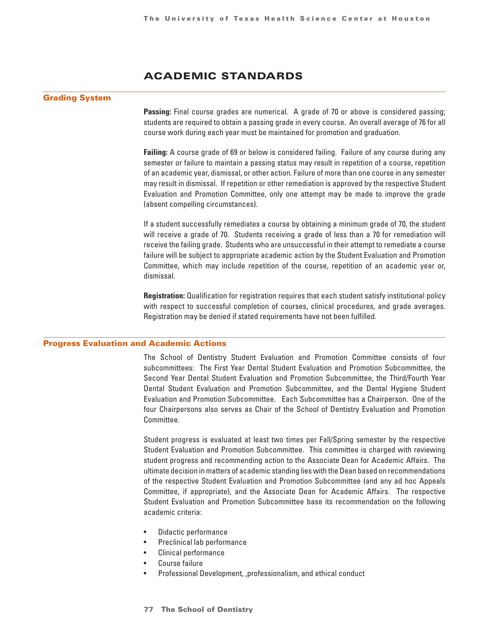## ACADEMIC STANDARDS

#### <span id="page-29-0"></span>Grading System

**Passing:** Final course grades are numerical. A grade of 70 or above is considered passing; students are required to obtain a passing grade in every course. An overall average of 76 for all course work during each year must be maintained for promotion and graduation.

**Failing:** A course grade of 69 or below is considered failing. Failure of any course during any semester or failure to maintain a passing status may result in repetition of a course, repetition of an academic year, dismissal, or other action. Failure of more than one course in any semester may result in dismissal. If repetition or other remediation is approved by the respective Student Evaluation and Promotion Committee, only one attempt may be made to improve the grade (absent compelling circumstances).

If a student successfully remediates a course by obtaining a minimum grade of 70, the student will receive a grade of 70. Students receiving a grade of less than a 70 for remediation will receive the failing grade. Students who are unsuccessful in their attempt to remediate a course failure will be subject to appropriate academic action by the Student Evaluation and Promotion Committee, which may include repetition of the course, repetition of an academic year or, dismissal.

**Registration:** Qualification for registration requires that each student satisfy institutional policy with respect to successful completion of courses, clinical procedures, and grade averages. Registration may be denied if stated requirements have not been fulfilled.

#### Progress Evaluation and Academic Actions

The School of Dentistry Student Evaluation and Promotion Committee consists of four subcommittees: The First Year Dental Student Evaluation and Promotion Subcommittee, the Second Year Dental Student Evaluation and Promotion Subcommittee, the Third/Fourth Year Dental Student Evaluation and Promotion Subcommittee, and the Dental Hygiene Student Evaluation and Promotion Subcommittee. Each Subcommittee has a Chairperson. One of the four Chairpersons also serves as Chair of the School of Dentistry Evaluation and Promotion Committee.

Student progress is evaluated at least two times per Fall/Spring semester by the respective Student Evaluation and Promotion Subcommittee. This committee is charged with reviewing student progress and recommending action to the Associate Dean for Academic Affairs. The ultimate decision in matters of academic standing lies with the Dean based on recommendations of the respective Student Evaluation and Promotion Subcommittee (and any ad hoc Appeals Committee, if appropriate), and the Associate Dean for Academic Affairs. The respective Student Evaluation and Promotion Subcommittee base its recommendation on the following academic criteria:

- Didactic performance
- Preclinical lab performance
- Clinical performance
- Course failure
- Professional Development, ,professionalism, and ethical conduct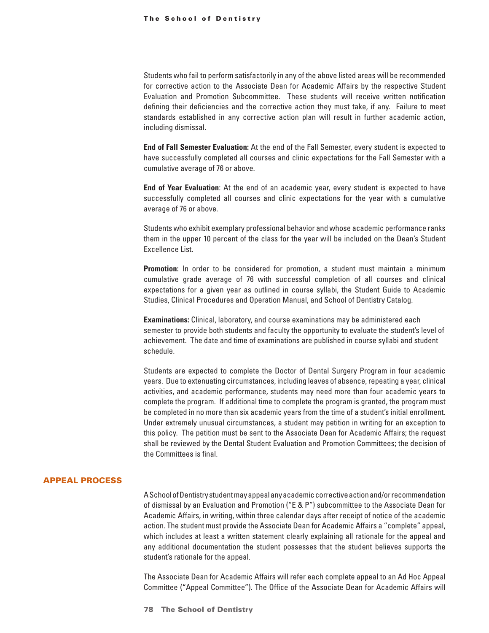Students who fail to perform satisfactorily in any of the above listed areas will be recommended for corrective action to the Associate Dean for Academic Affairs by the respective Student Evaluation and Promotion Subcommittee. These students will receive written notification defining their deficiencies and the corrective action they must take, if any. Failure to meet standards established in any corrective action plan will result in further academic action, including dismissal.

**End of Fall Semester Evaluation:** At the end of the Fall Semester, every student is expected to have successfully completed all courses and clinic expectations for the Fall Semester with a cumulative average of 76 or above.

**End of Year Evaluation**: At the end of an academic year, every student is expected to have successfully completed all courses and clinic expectations for the year with a cumulative average of 76 or above.

Students who exhibit exemplary professional behavior and whose academic performance ranks them in the upper 10 percent of the class for the year will be included on the Dean's Student Excellence List.

**Promotion:** In order to be considered for promotion, a student must maintain a minimum cumulative grade average of 76 with successful completion of all courses and clinical expectations for a given year as outlined in course syllabi, the Student Guide to Academic Studies, Clinical Procedures and Operation Manual, and School of Dentistry Catalog.

**Examinations:** Clinical, laboratory, and course examinations may be administered each semester to provide both students and faculty the opportunity to evaluate the student's level of achievement. The date and time of examinations are published in course syllabi and student schedule.

Students are expected to complete the Doctor of Dental Surgery Program in four academic years. Due to extenuating circumstances, including leaves of absence, repeating a year, clinical activities, and academic performance, students may need more than four academic years to complete the program. If additional time to complete the program is granted, the program must be completed in no more than six academic years from the time of a student's initial enrollment. Under extremely unusual circumstances, a student may petition in writing for an exception to this policy. The petition must be sent to the Associate Dean for Academic Affairs; the request shall be reviewed by the Dental Student Evaluation and Promotion Committees; the decision of the Committees is final.

#### APPEAL PROCESS

A School of Dentistry student may appeal any academic corrective action and/or recommendation of dismissal by an Evaluation and Promotion ("E & P") subcommittee to the Associate Dean for Academic Affairs, in writing, within three calendar days after receipt of notice of the academic action. The student must provide the Associate Dean for Academic Affairs a "complete" appeal, which includes at least a written statement clearly explaining all rationale for the appeal and any additional documentation the student possesses that the student believes supports the student's rationale for the appeal.

The Associate Dean for Academic Affairs will refer each complete appeal to an Ad Hoc Appeal Committee ("Appeal Committee"). The Office of the Associate Dean for Academic Affairs will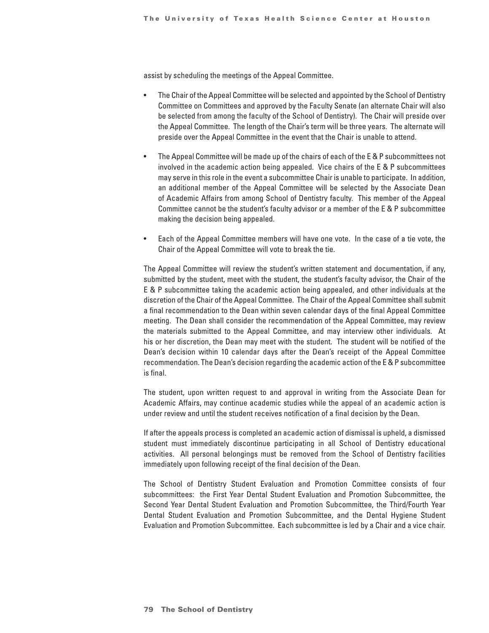assist by scheduling the meetings of the Appeal Committee.

- The Chair of the Appeal Committee will be selected and appointed by the School of Dentistry Committee on Committees and approved by the Faculty Senate (an alternate Chair will also be selected from among the faculty of the School of Dentistry). The Chair will preside over the Appeal Committee. The length of the Chair's term will be three years. The alternate will preside over the Appeal Committee in the event that the Chair is unable to attend.
- The Appeal Committee will be made up of the chairs of each of the E & P subcommittees not involved in the academic action being appealed. Vice chairs of the E & P subcommittees may serve in this role in the event a subcommittee Chair is unable to participate. In addition, an additional member of the Appeal Committee will be selected by the Associate Dean of Academic Affairs from among School of Dentistry faculty. This member of the Appeal Committee cannot be the student's faculty advisor or a member of the E & P subcommittee making the decision being appealed.
- Each of the Appeal Committee members will have one vote. In the case of a tie vote, the Chair of the Appeal Committee will vote to break the tie.

The Appeal Committee will review the student's written statement and documentation, if any, submitted by the student, meet with the student, the student's faculty advisor, the Chair of the E & P subcommittee taking the academic action being appealed, and other individuals at the discretion of the Chair of the Appeal Committee. The Chair of the Appeal Committee shall submit a final recommendation to the Dean within seven calendar days of the final Appeal Committee meeting. The Dean shall consider the recommendation of the Appeal Committee, may review the materials submitted to the Appeal Committee, and may interview other individuals. At his or her discretion, the Dean may meet with the student. The student will be notified of the Dean's decision within 10 calendar days after the Dean's receipt of the Appeal Committee recommendation. The Dean's decision regarding the academic action of the E & P subcommittee is final.

The student, upon written request to and approval in writing from the Associate Dean for Academic Affairs, may continue academic studies while the appeal of an academic action is under review and until the student receives notification of a final decision by the Dean.

If after the appeals process is completed an academic action of dismissal is upheld, a dismissed student must immediately discontinue participating in all School of Dentistry educational activities. All personal belongings must be removed from the School of Dentistry facilities immediately upon following receipt of the final decision of the Dean.

The School of Dentistry Student Evaluation and Promotion Committee consists of four subcommittees: the First Year Dental Student Evaluation and Promotion Subcommittee, the Second Year Dental Student Evaluation and Promotion Subcommittee, the Third/Fourth Year Dental Student Evaluation and Promotion Subcommittee, and the Dental Hygiene Student Evaluation and Promotion Subcommittee. Each subcommittee is led by a Chair and a vice chair.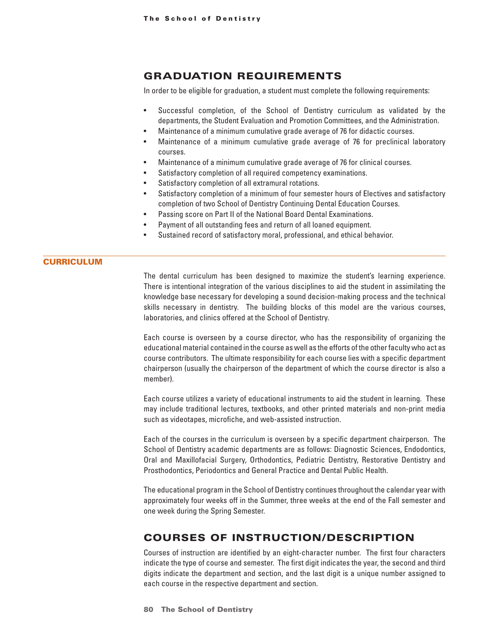## <span id="page-32-0"></span>GRADUATION REQUIREMENTS

In order to be eligible for graduation, a student must complete the following requirements:

- Successful completion, of the School of Dentistry curriculum as validated by the departments, the Student Evaluation and Promotion Committees, and the Administration.
- Maintenance of a minimum cumulative grade average of 76 for didactic courses.
- Maintenance of a minimum cumulative grade average of 76 for preclinical laboratory courses.
- Maintenance of a minimum cumulative grade average of 76 for clinical courses.
- Satisfactory completion of all required competency examinations.
- Satisfactory completion of all extramural rotations.
- Satisfactory completion of a minimum of four semester hours of Electives and satisfactory completion of two School of Dentistry Continuing Dental Education Courses.
- Passing score on Part II of the National Board Dental Examinations.
- Payment of all outstanding fees and return of all loaned equipment.
- Sustained record of satisfactory moral, professional, and ethical behavior.

#### **CURRICULUM**

The dental curriculum has been designed to maximize the student's learning experience. There is intentional integration of the various disciplines to aid the student in assimilating the knowledge base necessary for developing a sound decision-making process and the technical skills necessary in dentistry. The building blocks of this model are the various courses, laboratories, and clinics offered at the School of Dentistry.

Each course is overseen by a course director, who has the responsibility of organizing the educational material contained in the course as well as the efforts of the other faculty who act as course contributors. The ultimate responsibility for each course lies with a specific department chairperson (usually the chairperson of the department of which the course director is also a member).

Each course utilizes a variety of educational instruments to aid the student in learning. These may include traditional lectures, textbooks, and other printed materials and non-print media such as videotapes, microfiche, and web-assisted instruction.

Each of the courses in the curriculum is overseen by a specific department chairperson. The School of Dentistry academic departments are as follows: Diagnostic Sciences, Endodontics, Oral and Maxillofacial Surgery, Orthodontics, Pediatric Dentistry, Restorative Dentistry and Prosthodontics, Periodontics and General Practice and Dental Public Health.

The educational program in the School of Dentistry continues throughout the calendar year with approximately four weeks off in the Summer, three weeks at the end of the Fall semester and one week during the Spring Semester.

## COURSES OF INSTRUCTION/DESCRIPTION

Courses of instruction are identified by an eight-character number. The first four characters indicate the type of course and semester. The first digit indicates the year, the second and third digits indicate the department and section, and the last digit is a unique number assigned to each course in the respective department and section.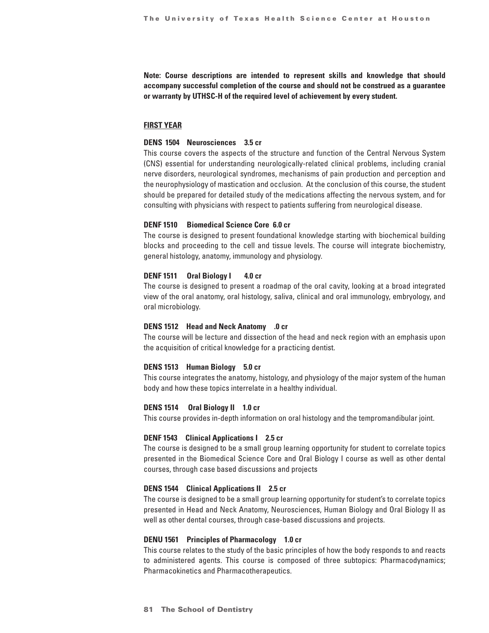**Note: Course descriptions are intended to represent skills and knowledge that should accompany successful completion of the course and should not be construed as a guarantee or warranty by UTHSC-H of the required level of achievement by every student.**

#### **FIRST YEAR**

#### **DENS 1504 Neurosciences 3.5 cr**

This course covers the aspects of the structure and function of the Central Nervous System (CNS) essential for understanding neurologically-related clinical problems, including cranial nerve disorders, neurological syndromes, mechanisms of pain production and perception and the neurophysiology of mastication and occlusion. At the conclusion of this course, the student should be prepared for detailed study of the medications affecting the nervous system, and for consulting with physicians with respect to patients suffering from neurological disease.

#### **DENF 1510 Biomedical Science Core 6.0 cr**

The course is designed to present foundational knowledge starting with biochemical building blocks and proceeding to the cell and tissue levels. The course will integrate biochemistry, general histology, anatomy, immunology and physiology.

#### **DENF 1511 Oral Biology I 4.0 cr**

The course is designed to present a roadmap of the oral cavity, looking at a broad integrated view of the oral anatomy, oral histology, saliva, clinical and oral immunology, embryology, and oral microbiology.

#### **DENS 1512 Head and Neck Anatomy .0 cr**

The course will be lecture and dissection of the head and neck region with an emphasis upon the acquisition of critical knowledge for a practicing dentist.

#### **DENS 1513 Human Biology 5.0 cr**

This course integrates the anatomy, histology, and physiology of the major system of the human body and how these topics interrelate in a healthy individual.

#### **DENS 1514 Oral Biology II 1.0 cr**

This course provides in-depth information on oral histology and the tempromandibular joint.

#### **DENF 1543 Clinical Applications I 2.5 cr**

The course is designed to be a small group learning opportunity for student to correlate topics presented in the Biomedical Science Core and Oral Biology I course as well as other dental courses, through case based discussions and projects

#### **DENS 1544 Clinical Applications II 2.5 cr**

The course is designed to be a small group learning opportunity for student's to correlate topics presented in Head and Neck Anatomy, Neurosciences, Human Biology and Oral Biology II as well as other dental courses, through case-based discussions and projects.

#### **DENU 1561 Principles of Pharmacology 1.0 cr**

This course relates to the study of the basic principles of how the body responds to and reacts to administered agents. This course is composed of three subtopics: Pharmacodynamics; Pharmacokinetics and Pharmacotherapeutics.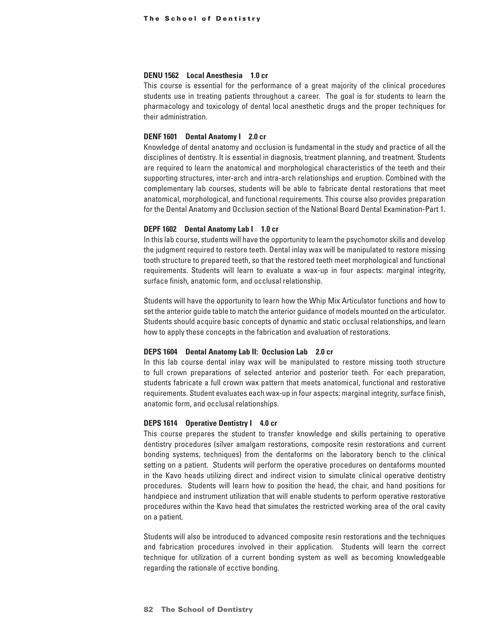#### **DENU 1562 Local Anesthesia 1.0 cr**

This course is essential for the performance of a great majority of the clinical procedures students use in treating patients throughout a career. The goal is for students to learn the pharmacology and toxicology of dental local anesthetic drugs and the proper techniques for their administration.

#### **DENF 1601 Dental Anatomy I 2.0 cr**

Knowledge of dental anatomy and occlusion is fundamental in the study and practice of all the disciplines of dentistry. It is essential in diagnosis, treatment planning, and treatment. Students are required to learn the anatomical and morphological characteristics of the teeth and their supporting structures, inter-arch and intra-arch relationships and eruption. Combined with the complementary lab courses, students will be able to fabricate dental restorations that meet anatomical, morphological, and functional requirements. This course also provides preparation for the Dental Anatomy and Occlusion section of the National Board Dental Examination-Part 1.

#### **DEPF 1602 Dental Anatomy Lab I 1.0 cr**

In this lab course, students will have the opportunity to learn the psychomotor skills and develop the judgment required to restore teeth. Dental inlay wax will be manipulated to restore missing tooth structure to prepared teeth, so that the restored teeth meet morphological and functional requirements. Students will learn to evaluate a wax-up in four aspects: marginal integrity, surface finish, anatomic form, and occlusal relationship.

Students will have the opportunity to learn how the Whip Mix Articulator functions and how to set the anterior guide table to match the anterior guidance of models mounted on the articulator. Students should acquire basic concepts of dynamic and static occlusal relationships, and learn how to apply these concepts in the fabrication and evaluation of restorations.

#### **DEPS 1604 Dental Anatomy Lab II: Occlusion Lab 2.0 cr**

In this lab course dental inlay wax will be manipulated to restore missing tooth structure to full crown preparations of selected anterior and posterior teeth. For each preparation, students fabricate a full crown wax pattern that meets anatomical, functional and restorative requirements. Student evaluates each wax-up in four aspects: marginal integrity, surface finish, anatomic form, and occlusal relationships.

#### **DEPS 1614 Operative Dentistry I 4.0 cr**

This course prepares the student to transfer knowledge and skills pertaining to operative dentistry procedures (silver amalgam restorations, composite resin restorations and current bonding systems, techniques) from the dentaforms on the laboratory bench to the clinical setting on a patient. Students will perform the operative procedures on dentaforms mounted in the Kavo heads utilizing direct and indirect vision to simulate clinical operative dentistry procedures. Students will learn how to position the head, the chair, and hand positions for handpiece and instrument utilization that will enable students to perform operative restorative procedures within the Kavo head that simulates the restricted working area of the oral cavity on a patient.

Students will also be introduced to advanced composite resin restorations and the techniques and fabrication procedures involved in their application. Students will learn the correct technique for utilization of a current bonding system as well as becoming knowledgeable regarding the rationale of ecctive bonding.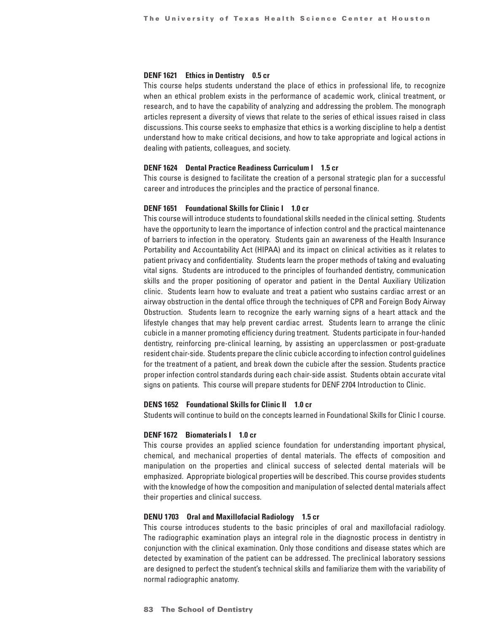#### **DENF 1621 Ethics in Dentistry 0.5 cr**

This course helps students understand the place of ethics in professional life, to recognize when an ethical problem exists in the performance of academic work, clinical treatment, or research, and to have the capability of analyzing and addressing the problem. The monograph articles represent a diversity of views that relate to the series of ethical issues raised in class discussions. This course seeks to emphasize that ethics is a working discipline to help a dentist understand how to make critical decisions, and how to take appropriate and logical actions in dealing with patients, colleagues, and society.

#### **DENF 1624 Dental Practice Readiness Curriculum I 1.5 cr**

This course is designed to facilitate the creation of a personal strategic plan for a successful career and introduces the principles and the practice of personal finance.

#### **DENF 1651 Foundational Skills for Clinic I 1.0 cr**

This course will introduce students to foundational skills needed in the clinical setting. Students have the opportunity to learn the importance of infection control and the practical maintenance of barriers to infection in the operatory. Students gain an awareness of the Health Insurance Portability and Accountability Act (HIPAA) and its impact on clinical activities as it relates to patient privacy and confidentiality. Students learn the proper methods of taking and evaluating vital signs. Students are introduced to the principles of fourhanded dentistry, communication skills and the proper positioning of operator and patient in the Dental Auxiliary Utilization clinic. Students learn how to evaluate and treat a patient who sustains cardiac arrest or an airway obstruction in the dental office through the techniques of CPR and Foreign Body Airway Obstruction. Students learn to recognize the early warning signs of a heart attack and the lifestyle changes that may help prevent cardiac arrest. Students learn to arrange the clinic cubicle in a manner promoting efficiency during treatment. Students participate in four-handed dentistry, reinforcing pre-clinical learning, by assisting an upperclassmen or post-graduate resident chair-side. Students prepare the clinic cubicle according to infection control guidelines for the treatment of a patient, and break down the cubicle after the session. Students practice proper infection control standards during each chair-side assist. Students obtain accurate vital signs on patients. This course will prepare students for DENF 2704 Introduction to Clinic.

#### **DENS 1652 Foundational Skills for Clinic II 1.0 cr**

Students will continue to build on the concepts learned in Foundational Skills for Clinic I course.

#### **DENF 1672 Biomaterials I 1.0 cr**

This course provides an applied science foundation for understanding important physical, chemical, and mechanical properties of dental materials. The effects of composition and manipulation on the properties and clinical success of selected dental materials will be emphasized. Appropriate biological properties will be described. This course provides students with the knowledge of how the composition and manipulation of selected dental materials affect their properties and clinical success.

#### **DENU 1703 Oral and Maxillofacial Radiology 1.5 cr**

This course introduces students to the basic principles of oral and maxillofacial radiology. The radiographic examination plays an integral role in the diagnostic process in dentistry in conjunction with the clinical examination. Only those conditions and disease states which are detected by examination of the patient can be addressed. The preclinical laboratory sessions are designed to perfect the student's technical skills and familiarize them with the variability of normal radiographic anatomy.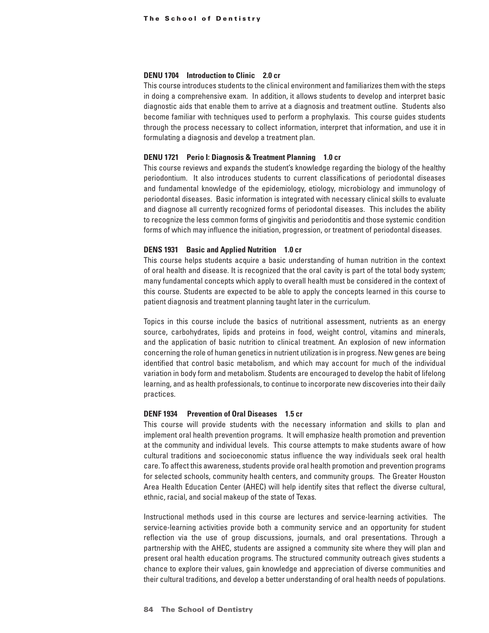## **DENU 1704 Introduction to Clinic 2.0 cr**

This course introduces students to the clinical environment and familiarizes them with the steps in doing a comprehensive exam. In addition, it allows students to develop and interpret basic diagnostic aids that enable them to arrive at a diagnosis and treatment outline. Students also become familiar with techniques used to perform a prophylaxis. This course guides students through the process necessary to collect information, interpret that information, and use it in formulating a diagnosis and develop a treatment plan.

## **DENU 1721 Perio I: Diagnosis & Treatment Planning 1.0 cr**

This course reviews and expands the student's knowledge regarding the biology of the healthy periodontium. It also introduces students to current classifications of periodontal diseases and fundamental knowledge of the epidemiology, etiology, microbiology and immunology of periodontal diseases. Basic information is integrated with necessary clinical skills to evaluate and diagnose all currently recognized forms of periodontal diseases. This includes the ability to recognize the less common forms of gingivitis and periodontitis and those systemic condition forms of which may influence the initiation, progression, or treatment of periodontal diseases.

## **DENS 1931 Basic and Applied Nutrition 1.0 cr**

This course helps students acquire a basic understanding of human nutrition in the context of oral health and disease. It is recognized that the oral cavity is part of the total body system; many fundamental concepts which apply to overall health must be considered in the context of this course. Students are expected to be able to apply the concepts learned in this course to patient diagnosis and treatment planning taught later in the curriculum.

Topics in this course include the basics of nutritional assessment, nutrients as an energy source, carbohydrates, lipids and proteins in food, weight control, vitamins and minerals, and the application of basic nutrition to clinical treatment. An explosion of new information concerning the role of human genetics in nutrient utilization is in progress. New genes are being identified that control basic metabolism, and which may account for much of the individual variation in body form and metabolism. Students are encouraged to develop the habit of lifelong learning, and as health professionals, to continue to incorporate new discoveries into their daily practices.

## **DENF 1934 Prevention of Oral Diseases 1.5 cr**

This course will provide students with the necessary information and skills to plan and implement oral health prevention programs. It will emphasize health promotion and prevention at the community and individual levels. This course attempts to make students aware of how cultural traditions and socioeconomic status influence the way individuals seek oral health care. To affect this awareness, students provide oral health promotion and prevention programs for selected schools, community health centers, and community groups. The Greater Houston Area Health Education Center (AHEC) will help identify sites that reflect the diverse cultural, ethnic, racial, and social makeup of the state of Texas.

Instructional methods used in this course are lectures and service-learning activities. The service-learning activities provide both a community service and an opportunity for student reflection via the use of group discussions, journals, and oral presentations. Through a partnership with the AHEC, students are assigned a community site where they will plan and present oral health education programs. The structured community outreach gives students a chance to explore their values, gain knowledge and appreciation of diverse communities and their cultural traditions, and develop a better understanding of oral health needs of populations.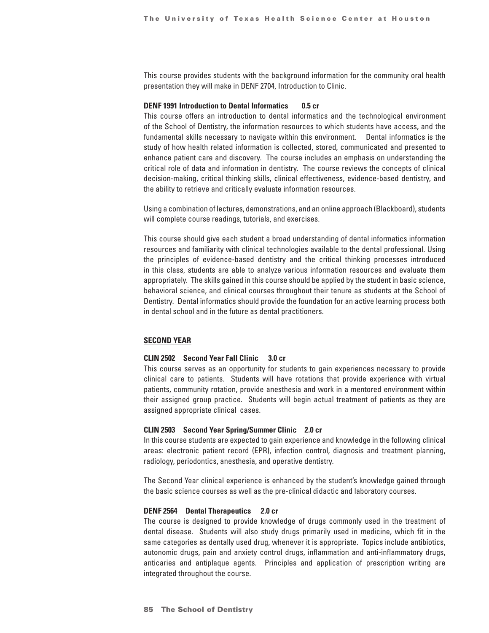This course provides students with the background information for the community oral health presentation they will make in DENF 2704, Introduction to Clinic.

## **DENF 1991 Introduction to Dental Informatics 0.5 cr**

This course offers an introduction to dental informatics and the technological environment of the School of Dentistry, the information resources to which students have access, and the fundamental skills necessary to navigate within this environment. Dental informatics is the study of how health related information is collected, stored, communicated and presented to enhance patient care and discovery. The course includes an emphasis on understanding the critical role of data and information in dentistry. The course reviews the concepts of clinical decision-making, critical thinking skills, clinical effectiveness, evidence-based dentistry, and the ability to retrieve and critically evaluate information resources.

Using a combination of lectures, demonstrations, and an online approach (Blackboard), students will complete course readings, tutorials, and exercises.

This course should give each student a broad understanding of dental informatics information resources and familiarity with clinical technologies available to the dental professional. Using the principles of evidence-based dentistry and the critical thinking processes introduced in this class, students are able to analyze various information resources and evaluate them appropriately. The skills gained in this course should be applied by the student in basic science, behavioral science, and clinical courses throughout their tenure as students at the School of Dentistry. Dental informatics should provide the foundation for an active learning process both in dental school and in the future as dental practitioners.

## **SECOND YEAR**

## **CLIN 2502 Second Year Fall Clinic 3.0 cr**

This course serves as an opportunity for students to gain experiences necessary to provide clinical care to patients. Students will have rotations that provide experience with virtual patients, community rotation, provide anesthesia and work in a mentored environment within their assigned group practice. Students will begin actual treatment of patients as they are assigned appropriate clinical cases.

#### **CLIN 2503 Second Year Spring/Summer Clinic 2.0 cr**

In this course students are expected to gain experience and knowledge in the following clinical areas: electronic patient record (EPR), infection control, diagnosis and treatment planning, radiology, periodontics, anesthesia, and operative dentistry.

The Second Year clinical experience is enhanced by the student's knowledge gained through the basic science courses as well as the pre-clinical didactic and laboratory courses.

## **DENF 2564 Dental Therapeutics 2.0 cr**

The course is designed to provide knowledge of drugs commonly used in the treatment of dental disease. Students will also study drugs primarily used in medicine, which fit in the same categories as dentally used drug, whenever it is appropriate. Topics include antibiotics, autonomic drugs, pain and anxiety control drugs, inflammation and anti-inflammatory drugs, anticaries and antiplaque agents. Principles and application of prescription writing are integrated throughout the course.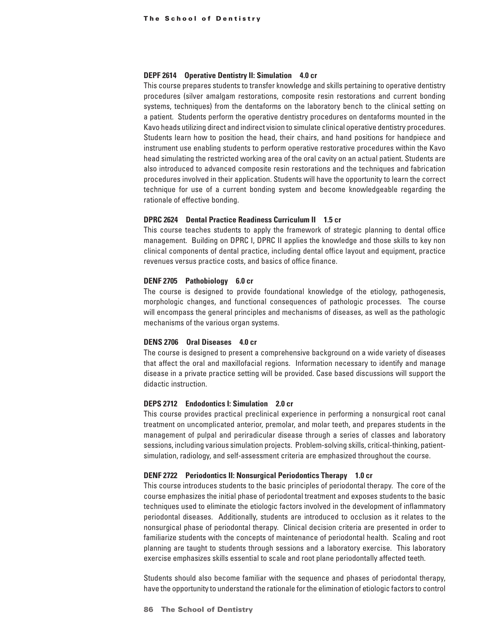#### **DEPF 2614 Operative Dentistry II: Simulation 4.0 cr**

This course prepares students to transfer knowledge and skills pertaining to operative dentistry procedures (silver amalgam restorations, composite resin restorations and current bonding systems, techniques) from the dentaforms on the laboratory bench to the clinical setting on a patient. Students perform the operative dentistry procedures on dentaforms mounted in the Kavo heads utilizing direct and indirect vision to simulate clinical operative dentistry procedures. Students learn how to position the head, their chairs, and hand positions for handpiece and instrument use enabling students to perform operative restorative procedures within the Kavo head simulating the restricted working area of the oral cavity on an actual patient. Students are also introduced to advanced composite resin restorations and the techniques and fabrication procedures involved in their application. Students will have the opportunity to learn the correct technique for use of a current bonding system and become knowledgeable regarding the rationale of effective bonding.

## **DPRC 2624 Dental Practice Readiness Curriculum II 1.5 cr**

This course teaches students to apply the framework of strategic planning to dental office management. Building on DPRC I, DPRC II applies the knowledge and those skills to key non clinical components of dental practice, including dental office layout and equipment, practice revenues versus practice costs, and basics of office finance.

## **DENF 2705 Pathobiology 6.0 cr**

The course is designed to provide foundational knowledge of the etiology, pathogenesis, morphologic changes, and functional consequences of pathologic processes. The course will encompass the general principles and mechanisms of diseases, as well as the pathologic mechanisms of the various organ systems.

## **DENS 2706 Oral Diseases 4.0 cr**

The course is designed to present a comprehensive background on a wide variety of diseases that affect the oral and maxillofacial regions. Information necessary to identify and manage disease in a private practice setting will be provided. Case based discussions will support the didactic instruction.

## **DEPS 2712 Endodontics I: Simulation 2.0 cr**

This course provides practical preclinical experience in performing a nonsurgical root canal treatment on uncomplicated anterior, premolar, and molar teeth, and prepares students in the management of pulpal and periradicular disease through a series of classes and laboratory sessions, including various simulation projects. Problem-solving skills, critical-thinking, patientsimulation, radiology, and self-assessment criteria are emphasized throughout the course.

## **DENF 2722 Periodontics II: Nonsurgical Periodontics Therapy 1.0 cr**

This course introduces students to the basic principles of periodontal therapy. The core of the course emphasizes the initial phase of periodontal treatment and exposes students to the basic techniques used to eliminate the etiologic factors involved in the development of inflammatory periodontal diseases. Additionally, students are introduced to occlusion as it relates to the nonsurgical phase of periodontal therapy. Clinical decision criteria are presented in order to familiarize students with the concepts of maintenance of periodontal health. Scaling and root planning are taught to students through sessions and a laboratory exercise. This laboratory exercise emphasizes skills essential to scale and root plane periodontally affected teeth.

Students should also become familiar with the sequence and phases of periodontal therapy, have the opportunity to understand the rationale for the elimination of etiologic factors to control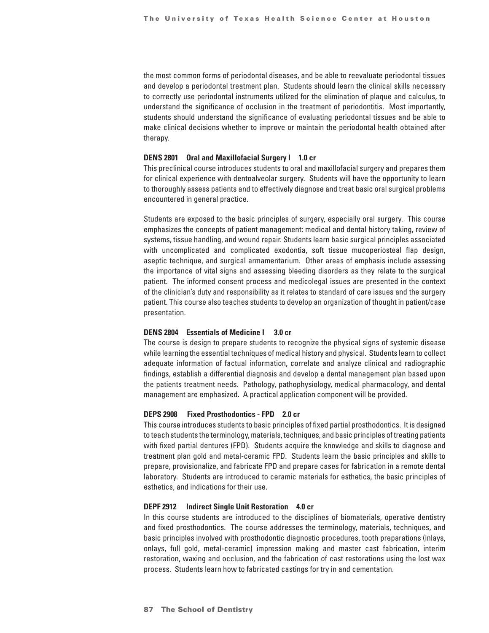the most common forms of periodontal diseases, and be able to reevaluate periodontal tissues and develop a periodontal treatment plan. Students should learn the clinical skills necessary to correctly use periodontal instruments utilized for the elimination of plaque and calculus, to understand the significance of occlusion in the treatment of periodontitis. Most importantly, students should understand the significance of evaluating periodontal tissues and be able to make clinical decisions whether to improve or maintain the periodontal health obtained after therapy.

## **DENS 2801 Oral and Maxillofacial Surgery I 1.0 cr**

This preclinical course introduces students to oral and maxillofacial surgery and prepares them for clinical experience with dentoalveolar surgery. Students will have the opportunity to learn to thoroughly assess patients and to effectively diagnose and treat basic oral surgical problems encountered in general practice.

Students are exposed to the basic principles of surgery, especially oral surgery. This course emphasizes the concepts of patient management: medical and dental history taking, review of systems, tissue handling, and wound repair. Students learn basic surgical principles associated with uncomplicated and complicated exodontia, soft tissue mucoperiosteal flap design, aseptic technique, and surgical armamentarium. Other areas of emphasis include assessing the importance of vital signs and assessing bleeding disorders as they relate to the surgical patient. The informed consent process and medicolegal issues are presented in the context of the clinician's duty and responsibility as it relates to standard of care issues and the surgery patient. This course also teaches students to develop an organization of thought in patient/case presentation.

#### **DENS 2804 Essentials of Medicine I 3.0 cr**

The course is design to prepare students to recognize the physical signs of systemic disease while learning the essential techniques of medical history and physical. Students learn to collect adequate information of factual information, correlate and analyze clinical and radiographic findings, establish a differential diagnosis and develop a dental management plan based upon the patients treatment needs. Pathology, pathophysiology, medical pharmacology, and dental management are emphasized. A practical application component will be provided.

## **DEPS 2908 Fixed Prosthodontics - FPD 2.0 cr**

This course introduces students to basic principles of fixed partial prosthodontics. It is designed to teach students the terminology, materials, techniques, and basic principles of treating patients with fixed partial dentures (FPD). Students acquire the knowledge and skills to diagnose and treatment plan gold and metal-ceramic FPD. Students learn the basic principles and skills to prepare, provisionalize, and fabricate FPD and prepare cases for fabrication in a remote dental laboratory. Students are introduced to ceramic materials for esthetics, the basic principles of esthetics, and indications for their use.

## **DEPF 2912 Indirect Single Unit Restoration 4.0 cr**

In this course students are introduced to the disciplines of biomaterials, operative dentistry and fixed prosthodontics. The course addresses the terminology, materials, techniques, and basic principles involved with prosthodontic diagnostic procedures, tooth preparations (inlays, onlays, full gold, metal-ceramic) impression making and master cast fabrication, interim restoration, waxing and occlusion, and the fabrication of cast restorations using the lost wax process. Students learn how to fabricated castings for try in and cementation.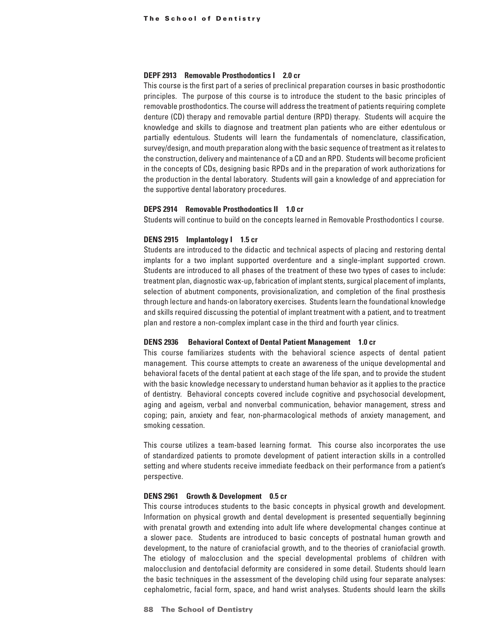## **DEPF 2913 Removable Prosthodontics I 2.0 cr**

This course is the first part of a series of preclinical preparation courses in basic prosthodontic principles. The purpose of this course is to introduce the student to the basic principles of removable prosthodontics. The course will address the treatment of patients requiring complete denture (CD) therapy and removable partial denture (RPD) therapy. Students will acquire the knowledge and skills to diagnose and treatment plan patients who are either edentulous or partially edentulous. Students will learn the fundamentals of nomenclature, classification, survey/design, and mouth preparation along with the basic sequence of treatment as it relates to the construction, delivery and maintenance of a CD and an RPD. Students will become proficient in the concepts of CDs, designing basic RPDs and in the preparation of work authorizations for the production in the dental laboratory. Students will gain a knowledge of and appreciation for the supportive dental laboratory procedures.

## **DEPS 2914 Removable Prosthodontics II 1.0 cr**

Students will continue to build on the concepts learned in Removable Prosthodontics I course.

#### **DENS 2915 Implantology I 1.5 cr**

Students are introduced to the didactic and technical aspects of placing and restoring dental implants for a two implant supported overdenture and a single-implant supported crown. Students are introduced to all phases of the treatment of these two types of cases to include: treatment plan, diagnostic wax-up, fabrication of implant stents, surgical placement of implants, selection of abutment components, provisionalization, and completion of the final prosthesis through lecture and hands-on laboratory exercises. Students learn the foundational knowledge and skills required discussing the potential of implant treatment with a patient, and to treatment plan and restore a non-complex implant case in the third and fourth year clinics.

#### **DENS 2936 Behavioral Context of Dental Patient Management 1.0 cr**

This course familiarizes students with the behavioral science aspects of dental patient management. This course attempts to create an awareness of the unique developmental and behavioral facets of the dental patient at each stage of the life span, and to provide the student with the basic knowledge necessary to understand human behavior as it applies to the practice of dentistry. Behavioral concepts covered include cognitive and psychosocial development, aging and ageism, verbal and nonverbal communication, behavior management, stress and coping; pain, anxiety and fear, non-pharmacological methods of anxiety management, and smoking cessation.

This course utilizes a team-based learning format. This course also incorporates the use of standardized patients to promote development of patient interaction skills in a controlled setting and where students receive immediate feedback on their performance from a patient's perspective.

## **DENS 2961 Growth & Development 0.5 cr**

This course introduces students to the basic concepts in physical growth and development. Information on physical growth and dental development is presented sequentially beginning with prenatal growth and extending into adult life where developmental changes continue at a slower pace. Students are introduced to basic concepts of postnatal human growth and development, to the nature of craniofacial growth, and to the theories of craniofacial growth. The etiology of malocclusion and the special developmental problems of children with malocclusion and dentofacial deformity are considered in some detail. Students should learn the basic techniques in the assessment of the developing child using four separate analyses: cephalometric, facial form, space, and hand wrist analyses. Students should learn the skills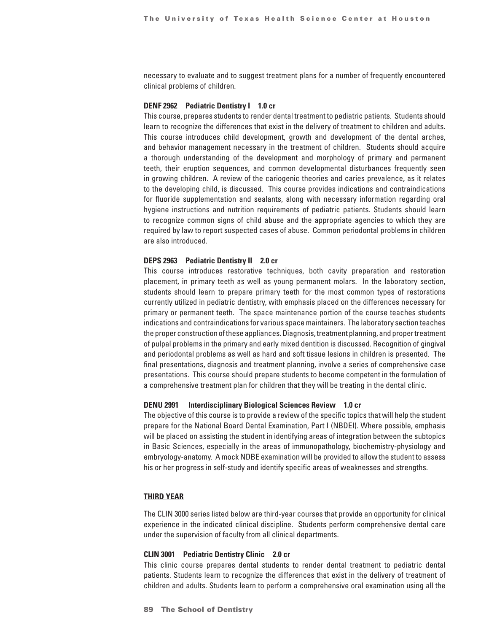necessary to evaluate and to suggest treatment plans for a number of frequently encountered clinical problems of children.

#### **DENF 2962 Pediatric Dentistry I 1.0 cr**

This course, prepares students to render dental treatment to pediatric patients. Students should learn to recognize the differences that exist in the delivery of treatment to children and adults. This course introduces child development, growth and development of the dental arches, and behavior management necessary in the treatment of children. Students should acquire a thorough understanding of the development and morphology of primary and permanent teeth, their eruption sequences, and common developmental disturbances frequently seen in growing children. A review of the cariogenic theories and caries prevalence, as it relates to the developing child, is discussed. This course provides indications and contraindications for fluoride supplementation and sealants, along with necessary information regarding oral hygiene instructions and nutrition requirements of pediatric patients. Students should learn to recognize common signs of child abuse and the appropriate agencies to which they are required by law to report suspected cases of abuse. Common periodontal problems in children are also introduced.

#### **DEPS 2963 Pediatric Dentistry II 2.0 cr**

This course introduces restorative techniques, both cavity preparation and restoration placement, in primary teeth as well as young permanent molars. In the laboratory section, students should learn to prepare primary teeth for the most common types of restorations currently utilized in pediatric dentistry, with emphasis placed on the differences necessary for primary or permanent teeth. The space maintenance portion of the course teaches students indications and contraindications for various space maintainers. The laboratory section teaches the proper construction of these appliances. Diagnosis, treatment planning, and proper treatment of pulpal problems in the primary and early mixed dentition is discussed. Recognition of gingival and periodontal problems as well as hard and soft tissue lesions in children is presented. The final presentations, diagnosis and treatment planning, involve a series of comprehensive case presentations. This course should prepare students to become competent in the formulation of a comprehensive treatment plan for children that they will be treating in the dental clinic.

#### **DENU 2991 Interdisciplinary Biological Sciences Review 1.0 cr**

The objective of this course is to provide a review of the specific topics that will help the student prepare for the National Board Dental Examination, Part I (NBDEI). Where possible, emphasis will be placed on assisting the student in identifying areas of integration between the subtopics in Basic Sciences, especially in the areas of immunopathology, biochemistry-physiology and embryology-anatomy. A mock NDBE examination will be provided to allow the student to assess his or her progress in self-study and identify specific areas of weaknesses and strengths.

## **THIRD YEAR**

The CLIN 3000 series listed below are third-year courses that provide an opportunity for clinical experience in the indicated clinical discipline. Students perform comprehensive dental care under the supervision of faculty from all clinical departments.

#### **CLIN 3001 Pediatric Dentistry Clinic 2.0 cr**

This clinic course prepares dental students to render dental treatment to pediatric dental patients. Students learn to recognize the differences that exist in the delivery of treatment of children and adults. Students learn to perform a comprehensive oral examination using all the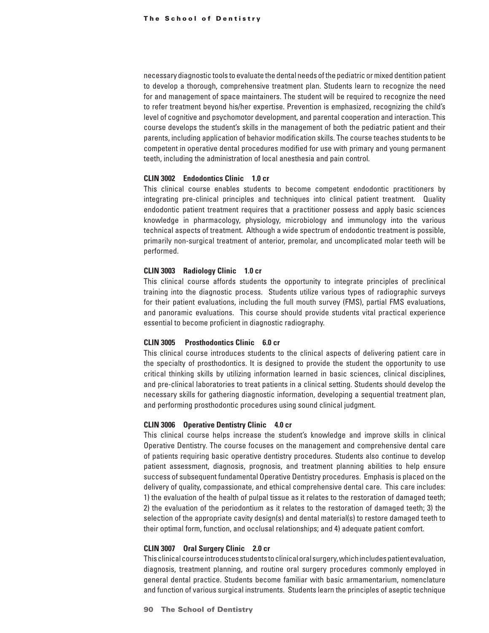necessary diagnostic tools to evaluate the dental needs of the pediatric or mixed dentition patient to develop a thorough, comprehensive treatment plan. Students learn to recognize the need for and management of space maintainers. The student will be required to recognize the need to refer treatment beyond his/her expertise. Prevention is emphasized, recognizing the child's level of cognitive and psychomotor development, and parental cooperation and interaction. This course develops the student's skills in the management of both the pediatric patient and their parents, including application of behavior modification skills. The course teaches students to be competent in operative dental procedures modified for use with primary and young permanent teeth, including the administration of local anesthesia and pain control.

## **CLIN 3002 Endodontics Clinic 1.0 cr**

This clinical course enables students to become competent endodontic practitioners by integrating pre-clinical principles and techniques into clinical patient treatment. Quality endodontic patient treatment requires that a practitioner possess and apply basic sciences knowledge in pharmacology, physiology, microbiology and immunology into the various technical aspects of treatment. Although a wide spectrum of endodontic treatment is possible, primarily non-surgical treatment of anterior, premolar, and uncomplicated molar teeth will be performed.

#### **CLIN 3003 Radiology Clinic 1.0 cr**

This clinical course affords students the opportunity to integrate principles of preclinical training into the diagnostic process. Students utilize various types of radiographic surveys for their patient evaluations, including the full mouth survey (FMS), partial FMS evaluations, and panoramic evaluations. This course should provide students vital practical experience essential to become proficient in diagnostic radiography.

## **CLIN 3005 Prosthodontics Clinic 6.0 cr**

This clinical course introduces students to the clinical aspects of delivering patient care in the specialty of prosthodontics. It is designed to provide the student the opportunity to use critical thinking skills by utilizing information learned in basic sciences, clinical disciplines, and pre-clinical laboratories to treat patients in a clinical setting. Students should develop the necessary skills for gathering diagnostic information, developing a sequential treatment plan, and performing prosthodontic procedures using sound clinical judgment.

#### **CLIN 3006 Operative Dentistry Clinic 4.0 cr**

This clinical course helps increase the student's knowledge and improve skills in clinical Operative Dentistry. The course focuses on the management and comprehensive dental care of patients requiring basic operative dentistry procedures. Students also continue to develop patient assessment, diagnosis, prognosis, and treatment planning abilities to help ensure success of subsequent fundamental Operative Dentistry procedures. Emphasis is placed on the delivery of quality, compassionate, and ethical comprehensive dental care. This care includes: 1) the evaluation of the health of pulpal tissue as it relates to the restoration of damaged teeth; 2) the evaluation of the periodontium as it relates to the restoration of damaged teeth; 3) the selection of the appropriate cavity design(s) and dental material(s) to restore damaged teeth to their optimal form, function, and occlusal relationships; and 4) adequate patient comfort.

#### **CLIN 3007 Oral Surgery Clinic 2.0 cr**

This clinical course introduces students to clinical oral surgery, which includes patient evaluation, diagnosis, treatment planning, and routine oral surgery procedures commonly employed in general dental practice. Students become familiar with basic armamentarium, nomenclature and function of various surgical instruments. Students learn the principles of aseptic technique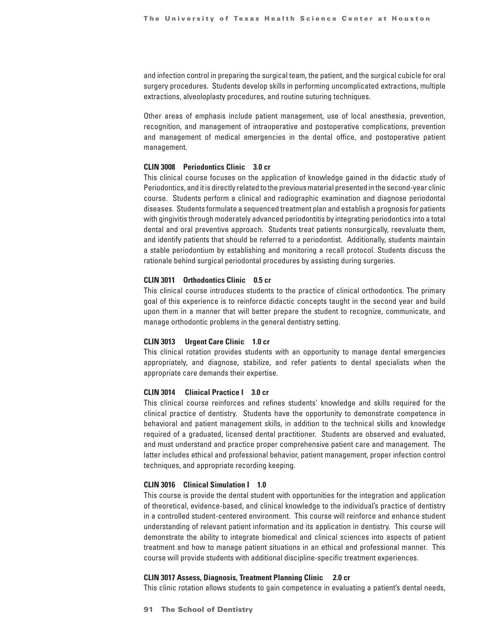and infection control in preparing the surgical team, the patient, and the surgical cubicle for oral surgery procedures. Students develop skills in performing uncomplicated extractions, multiple extractions, alveoloplasty procedures, and routine suturing techniques.

Other areas of emphasis include patient management, use of local anesthesia, prevention, recognition, and management of intraoperative and postoperative complications, prevention and management of medical emergencies in the dental office, and postoperative patient management.

## **CLIN 3008 Periodontics Clinic 3.0 cr**

This clinical course focuses on the application of knowledge gained in the didactic study of Periodontics, and it is directly related to the previous material presented in the second-year clinic course. Students perform a clinical and radiographic examination and diagnose periodontal diseases. Students formulate a sequenced treatment plan and establish a prognosis for patients with gingivitis through moderately advanced periodontitis by integrating periodontics into a total dental and oral preventive approach. Students treat patients nonsurgically, reevaluate them, and identify patients that should be referred to a periodontist. Additionally, students maintain a stable periodontium by establishing and monitoring a recall protocol. Students discuss the rationale behind surgical periodontal procedures by assisting during surgeries.

#### **CLIN 3011 Orthodontics Clinic 0.5 cr**

This clinical course introduces students to the practice of clinical orthodontics. The primary goal of this experience is to reinforce didactic concepts taught in the second year and build upon them in a manner that will better prepare the student to recognize, communicate, and manage orthodontic problems in the general dentistry setting.

#### **CLIN 3013 Urgent Care Clinic 1.0 cr**

This clinical rotation provides students with an opportunity to manage dental emergencies appropriately, and diagnose, stabilize, and refer patients to dental specialists when the appropriate care demands their expertise.

#### **CLIN 3014 Clinical Practice I 3.0 cr**

This clinical course reinforces and refines students' knowledge and skills required for the clinical practice of dentistry. Students have the opportunity to demonstrate competence in behavioral and patient management skills, in addition to the technical skills and knowledge required of a graduated, licensed dental practitioner. Students are observed and evaluated, and must understand and practice proper comprehensive patient care and management. The latter includes ethical and professional behavior, patient management, proper infection control techniques, and appropriate recording keeping.

#### **CLIN 3016 Clinical Simulation I 1.0**

This course is provide the dental student with opportunities for the integration and application of theoretical, evidence-based, and clinical knowledge to the individual's practice of dentistry in a controlled student-centered environment. This course will reinforce and enhance student understanding of relevant patient information and its application in dentistry. This course will demonstrate the ability to integrate biomedical and clinical sciences into aspects of patient treatment and how to manage patient situations in an ethical and professional manner. This course will provide students with additional discipline-specific treatment experiences.

#### **CLIN 3017 Assess, Diagnosis, Treatment Planning Clinic 2.0 cr**

This clinic rotation allows students to gain competence in evaluating a patient's dental needs,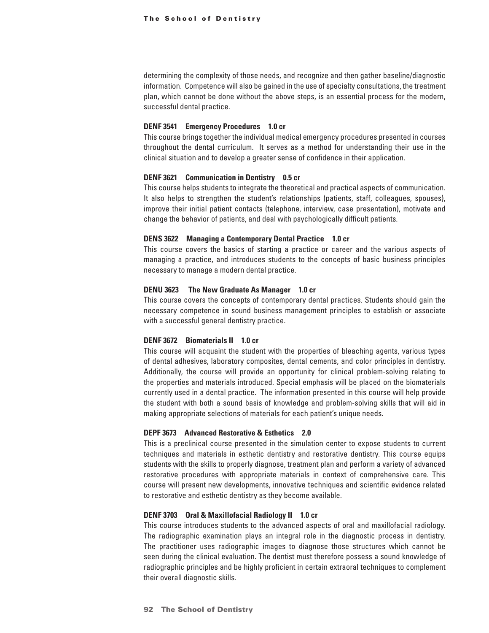determining the complexity of those needs, and recognize and then gather baseline/diagnostic information. Competence will also be gained in the use of specialty consultations, the treatment plan, which cannot be done without the above steps, is an essential process for the modern, successful dental practice.

#### **DENF 3541 Emergency Procedures 1.0 cr**

This course brings together the individual medical emergency procedures presented in courses throughout the dental curriculum. It serves as a method for understanding their use in the clinical situation and to develop a greater sense of confidence in their application.

#### **DENF 3621 Communication in Dentistry 0.5 cr**

This course helps students to integrate the theoretical and practical aspects of communication. It also helps to strengthen the student's relationships (patients, staff, colleagues, spouses), improve their initial patient contacts (telephone, interview, case presentation), motivate and change the behavior of patients, and deal with psychologically difficult patients.

#### **DENS 3622 Managing a Contemporary Dental Practice 1.0 cr**

This course covers the basics of starting a practice or career and the various aspects of managing a practice, and introduces students to the concepts of basic business principles necessary to manage a modern dental practice.

## **DENU 3623 The New Graduate As Manager 1.0 cr**

This course covers the concepts of contemporary dental practices. Students should gain the necessary competence in sound business management principles to establish or associate with a successful general dentistry practice.

## **DENF 3672 Biomaterials II 1.0 cr**

This course will acquaint the student with the properties of bleaching agents, various types of dental adhesives, laboratory composites, dental cements, and color principles in dentistry. Additionally, the course will provide an opportunity for clinical problem-solving relating to the properties and materials introduced. Special emphasis will be placed on the biomaterials currently used in a dental practice. The information presented in this course will help provide the student with both a sound basis of knowledge and problem-solving skills that will aid in making appropriate selections of materials for each patient's unique needs.

#### **DEPF 3673 Advanced Restorative & Esthetics 2.0**

This is a preclinical course presented in the simulation center to expose students to current techniques and materials in esthetic dentistry and restorative dentistry. This course equips students with the skills to properly diagnose, treatment plan and perform a variety of advanced restorative procedures with appropriate materials in context of comprehensive care. This course will present new developments, innovative techniques and scientific evidence related to restorative and esthetic dentistry as they become available.

## **DENF 3703 Oral & Maxillofacial Radiology II 1.0 cr**

This course introduces students to the advanced aspects of oral and maxillofacial radiology. The radiographic examination plays an integral role in the diagnostic process in dentistry. The practitioner uses radiographic images to diagnose those structures which cannot be seen during the clinical evaluation. The dentist must therefore possess a sound knowledge of radiographic principles and be highly proficient in certain extraoral techniques to complement their overall diagnostic skills.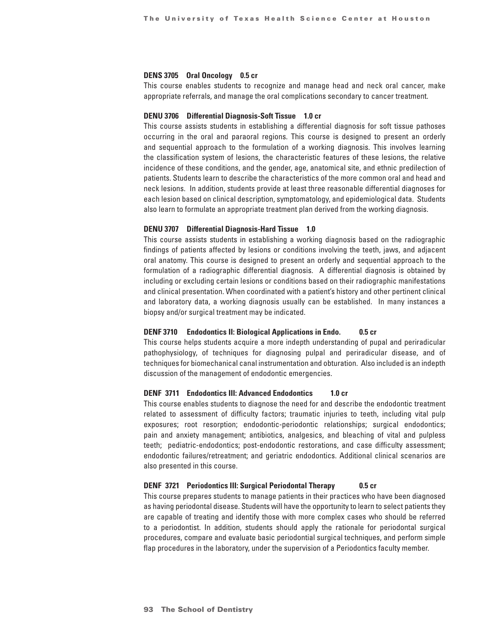## **DENS 3705 Oral Oncology 0.5 cr**

This course enables students to recognize and manage head and neck oral cancer, make appropriate referrals, and manage the oral complications secondary to cancer treatment.

#### **DENU 3706 Differential Diagnosis-Soft Tissue 1.0 cr**

This course assists students in establishing a differential diagnosis for soft tissue pathoses occurring in the oral and paraoral regions. This course is designed to present an orderly and sequential approach to the formulation of a working diagnosis. This involves learning the classification system of lesions, the characteristic features of these lesions, the relative incidence of these conditions, and the gender, age, anatomical site, and ethnic predilection of patients. Students learn to describe the characteristics of the more common oral and head and neck lesions. In addition, students provide at least three reasonable differential diagnoses for each lesion based on clinical description, symptomatology, and epidemiological data. Students also learn to formulate an appropriate treatment plan derived from the working diagnosis.

## **DENU 3707 Differential Diagnosis-Hard Tissue 1.0**

This course assists students in establishing a working diagnosis based on the radiographic findings of patients affected by lesions or conditions involving the teeth, jaws, and adjacent oral anatomy. This course is designed to present an orderly and sequential approach to the formulation of a radiographic differential diagnosis. A differential diagnosis is obtained by including or excluding certain lesions or conditions based on their radiographic manifestations and clinical presentation. When coordinated with a patient's history and other pertinent clinical and laboratory data, a working diagnosis usually can be established. In many instances a biopsy and/or surgical treatment may be indicated.

## **DENF 3710 Endodontics II: Biological Applications in Endo. 0.5 cr**

This course helps students acquire a more indepth understanding of pupal and periradicular pathophysiology, of techniques for diagnosing pulpal and periradicular disease, and of techniques for biomechanical canal instrumentation and obturation. Also included is an indepth discussion of the management of endodontic emergencies.

## **DENF 3711 Endodontics III: Advanced Endodontics 1.0 cr**

This course enables students to diagnose the need for and describe the endodontic treatment related to assessment of difficulty factors; traumatic injuries to teeth, including vital pulp exposures; root resorption; endodontic-periodontic relationships; surgical endodontics; pain and anxiety management; antibiotics, analgesics, and bleaching of vital and pulpless teeth; pediatric-endodontics; post-endodontic restorations, and case difficulty assessment; endodontic failures/retreatment; and geriatric endodontics. Additional clinical scenarios are also presented in this course.

#### **DENF 3721 Periodontics III: Surgical Periodontal Therapy 0.5 cr**

This course prepares students to manage patients in their practices who have been diagnosed as having periodontal disease. Students will have the opportunity to learn to select patients they are capable of treating and identify those with more complex cases who should be referred to a periodontist. In addition, students should apply the rationale for periodontal surgical procedures, compare and evaluate basic periodontial surgical techniques, and perform simple flap procedures in the laboratory, under the supervision of a Periodontics faculty member.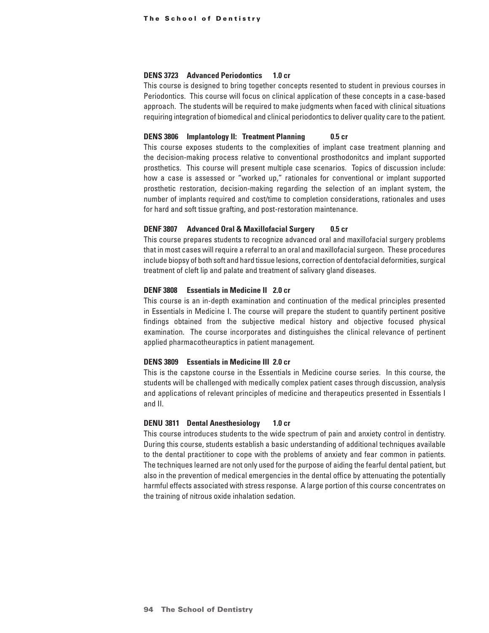## **DENS 3723 Advanced Periodontics 1.0 cr**

This course is designed to bring together concepts resented to student in previous courses in Periodontics. This course will focus on clinical application of these concepts in a case-based approach. The students will be required to make judgments when faced with clinical situations requiring integration of biomedical and clinical periodontics to deliver quality care to the patient.

#### **DENS 3806 Implantology II: Treatment Planning 0.5 cr**

This course exposes students to the complexities of implant case treatment planning and the decision-making process relative to conventional prosthodonitcs and implant supported prosthetics. This course will present multiple case scenarios. Topics of discussion include: how a case is assessed or "worked up," rationales for conventional or implant supported prosthetic restoration, decision-making regarding the selection of an implant system, the number of implants required and cost/time to completion considerations, rationales and uses for hard and soft tissue grafting, and post-restoration maintenance.

#### **DENF 3807 Advanced Oral & Maxillofacial Surgery 0.5 cr**

This course prepares students to recognize advanced oral and maxillofacial surgery problems that in most cases will require a referral to an oral and maxillofacial surgeon. These procedures include biopsy of both soft and hard tissue lesions, correction of dentofacial deformities, surgical treatment of cleft lip and palate and treatment of salivary gland diseases.

## **DENF 3808 Essentials in Medicine II 2.0 cr**

This course is an in-depth examination and continuation of the medical principles presented in Essentials in Medicine I. The course will prepare the student to quantify pertinent positive findings obtained from the subjective medical history and objective focused physical examination. The course incorporates and distinguishes the clinical relevance of pertinent applied pharmacotheuraptics in patient management.

#### **DENS 3809 Essentials in Medicine III 2.0 cr**

This is the capstone course in the Essentials in Medicine course series. In this course, the students will be challenged with medically complex patient cases through discussion, analysis and applications of relevant principles of medicine and therapeutics presented in Essentials I and II.

#### **DENU 3811 Dental Anesthesiology 1.0 cr**

This course introduces students to the wide spectrum of pain and anxiety control in dentistry. During this course, students establish a basic understanding of additional techniques available to the dental practitioner to cope with the problems of anxiety and fear common in patients. The techniques learned are not only used for the purpose of aiding the fearful dental patient, but also in the prevention of medical emergencies in the dental office by attenuating the potentially harmful effects associated with stress response. A large portion of this course concentrates on the training of nitrous oxide inhalation sedation.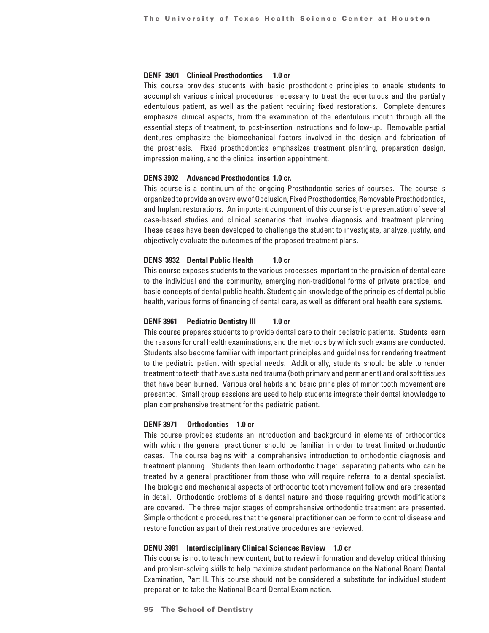## **DENF 3901 Clinical Prosthodontics 1.0 cr**

This course provides students with basic prosthodontic principles to enable students to accomplish various clinical procedures necessary to treat the edentulous and the partially edentulous patient, as well as the patient requiring fixed restorations. Complete dentures emphasize clinical aspects, from the examination of the edentulous mouth through all the essential steps of treatment, to post-insertion instructions and follow-up. Removable partial dentures emphasize the biomechanical factors involved in the design and fabrication of the prosthesis. Fixed prosthodontics emphasizes treatment planning, preparation design, impression making, and the clinical insertion appointment.

#### **DENS 3902 Advanced Prosthodontics 1.0 cr.**

This course is a continuum of the ongoing Prosthodontic series of courses. The course is organized to provide an overview of Occlusion, Fixed Prosthodontics, Removable Prosthodontics, and Implant restorations. An important component of this course is the presentation of several case-based studies and clinical scenarios that involve diagnosis and treatment planning. These cases have been developed to challenge the student to investigate, analyze, justify, and objectively evaluate the outcomes of the proposed treatment plans.

## **DENS 3932 Dental Public Health 1.0 cr**

This course exposes students to the various processes important to the provision of dental care to the individual and the community, emerging non-traditional forms of private practice, and basic concepts of dental public health. Student gain knowledge of the principles of dental public health, various forms of financing of dental care, as well as different oral health care systems.

## **DENF 3961** Pediatric Dentistry III 1.0 cr

This course prepares students to provide dental care to their pediatric patients. Students learn the reasons for oral health examinations, and the methods by which such exams are conducted. Students also become familiar with important principles and guidelines for rendering treatment to the pediatric patient with special needs. Additionally, students should be able to render treatment to teeth that have sustained trauma (both primary and permanent) and oral soft tissues that have been burned. Various oral habits and basic principles of minor tooth movement are presented. Small group sessions are used to help students integrate their dental knowledge to plan comprehensive treatment for the pediatric patient.

#### **DENF 3971 Orthodontics 1.0 cr**

This course provides students an introduction and background in elements of orthodontics with which the general practitioner should be familiar in order to treat limited orthodontic cases. The course begins with a comprehensive introduction to orthodontic diagnosis and treatment planning. Students then learn orthodontic triage: separating patients who can be treated by a general practitioner from those who will require referral to a dental specialist. The biologic and mechanical aspects of orthodontic tooth movement follow and are presented in detail. Orthodontic problems of a dental nature and those requiring growth modifications are covered. The three major stages of comprehensive orthodontic treatment are presented. Simple orthodontic procedures that the general practitioner can perform to control disease and restore function as part of their restorative procedures are reviewed.

#### **DENU 3991 Interdisciplinary Clinical Sciences Review 1.0 cr**

This course is not to teach new content, but to review information and develop critical thinking and problem-solving skills to help maximize student performance on the National Board Dental Examination, Part II. This course should not be considered a substitute for individual student preparation to take the National Board Dental Examination.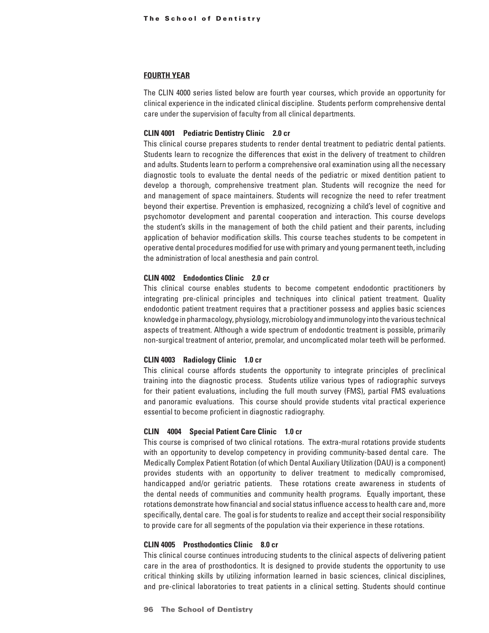## **FOURTH YEAR**

The CLIN 4000 series listed below are fourth year courses, which provide an opportunity for clinical experience in the indicated clinical discipline. Students perform comprehensive dental care under the supervision of faculty from all clinical departments.

#### **CLIN 4001 Pediatric Dentistry Clinic 2.0 cr**

This clinical course prepares students to render dental treatment to pediatric dental patients. Students learn to recognize the differences that exist in the delivery of treatment to children and adults. Students learn to perform a comprehensive oral examination using all the necessary diagnostic tools to evaluate the dental needs of the pediatric or mixed dentition patient to develop a thorough, comprehensive treatment plan. Students will recognize the need for and management of space maintainers. Students will recognize the need to refer treatment beyond their expertise. Prevention is emphasized, recognizing a child's level of cognitive and psychomotor development and parental cooperation and interaction. This course develops the student's skills in the management of both the child patient and their parents, including application of behavior modification skills. This course teaches students to be competent in operative dental procedures modified for use with primary and young permanent teeth, including the administration of local anesthesia and pain control.

## **CLIN 4002 Endodontics Clinic 2.0 cr**

This clinical course enables students to become competent endodontic practitioners by integrating pre-clinical principles and techniques into clinical patient treatment. Quality endodontic patient treatment requires that a practitioner possess and applies basic sciences knowledge in pharmacology, physiology, microbiology and immunology into the various technical aspects of treatment. Although a wide spectrum of endodontic treatment is possible, primarily non-surgical treatment of anterior, premolar, and uncomplicated molar teeth will be performed.

#### **CLIN 4003 Radiology Clinic 1.0 cr**

This clinical course affords students the opportunity to integrate principles of preclinical training into the diagnostic process. Students utilize various types of radiographic surveys for their patient evaluations, including the full mouth survey (FMS), partial FMS evaluations and panoramic evaluations. This course should provide students vital practical experience essential to become proficient in diagnostic radiography.

## **CLIN 4004 Special Patient Care Clinic 1.0 cr**

This course is comprised of two clinical rotations. The extra-mural rotations provide students with an opportunity to develop competency in providing community-based dental care. The Medically Complex Patient Rotation (of which Dental Auxiliary Utilization (DAU) is a component) provides students with an opportunity to deliver treatment to medically compromised, handicapped and/or geriatric patients. These rotations create awareness in students of the dental needs of communities and community health programs. Equally important, these rotations demonstrate how financial and social status influence access to health care and, more specifically, dental care. The goal is for students to realize and accept their social responsibility to provide care for all segments of the population via their experience in these rotations.

## **CLIN 4005 Prosthodontics Clinic 8.0 cr**

This clinical course continues introducing students to the clinical aspects of delivering patient care in the area of prosthodontics. It is designed to provide students the opportunity to use critical thinking skills by utilizing information learned in basic sciences, clinical disciplines, and pre-clinical laboratories to treat patients in a clinical setting. Students should continue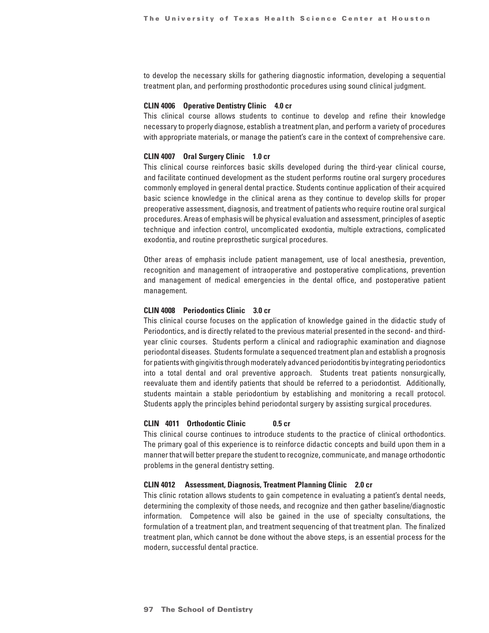to develop the necessary skills for gathering diagnostic information, developing a sequential treatment plan, and performing prosthodontic procedures using sound clinical judgment.

## **CLIN 4006 Operative Dentistry Clinic 4.0 cr**

This clinical course allows students to continue to develop and refine their knowledge necessary to properly diagnose, establish a treatment plan, and perform a variety of procedures with appropriate materials, or manage the patient's care in the context of comprehensive care.

#### **CLIN 4007 Oral Surgery Clinic 1.0 cr**

This clinical course reinforces basic skills developed during the third-year clinical course, and facilitate continued development as the student performs routine oral surgery procedures commonly employed in general dental practice. Students continue application of their acquired basic science knowledge in the clinical arena as they continue to develop skills for proper preoperative assessment, diagnosis, and treatment of patients who require routine oral surgical procedures. Areas of emphasis will be physical evaluation and assessment, principles of aseptic technique and infection control, uncomplicated exodontia, multiple extractions, complicated exodontia, and routine preprosthetic surgical procedures.

Other areas of emphasis include patient management, use of local anesthesia, prevention, recognition and management of intraoperative and postoperative complications, prevention and management of medical emergencies in the dental office, and postoperative patient management.

## **CLIN 4008 Periodontics Clinic 3.0 cr**

This clinical course focuses on the application of knowledge gained in the didactic study of Periodontics, and is directly related to the previous material presented in the second- and thirdyear clinic courses. Students perform a clinical and radiographic examination and diagnose periodontal diseases. Students formulate a sequenced treatment plan and establish a prognosis for patients with gingivitis through moderately advanced periodontitis by integrating periodontics into a total dental and oral preventive approach. Students treat patients nonsurgically, reevaluate them and identify patients that should be referred to a periodontist. Additionally, students maintain a stable periodontium by establishing and monitoring a recall protocol. Students apply the principles behind periodontal surgery by assisting surgical procedures.

#### **CLIN 4011 Orthodontic Clinic 0.5 cr**

This clinical course continues to introduce students to the practice of clinical orthodontics. The primary goal of this experience is to reinforce didactic concepts and build upon them in a manner that will better prepare the student to recognize, communicate, and manage orthodontic problems in the general dentistry setting.

#### **CLIN 4012 Assessment, Diagnosis, Treatment Planning Clinic 2.0 cr**

This clinic rotation allows students to gain competence in evaluating a patient's dental needs, determining the complexity of those needs, and recognize and then gather baseline/diagnostic information. Competence will also be gained in the use of specialty consultations, the formulation of a treatment plan, and treatment sequencing of that treatment plan. The finalized treatment plan, which cannot be done without the above steps, is an essential process for the modern, successful dental practice.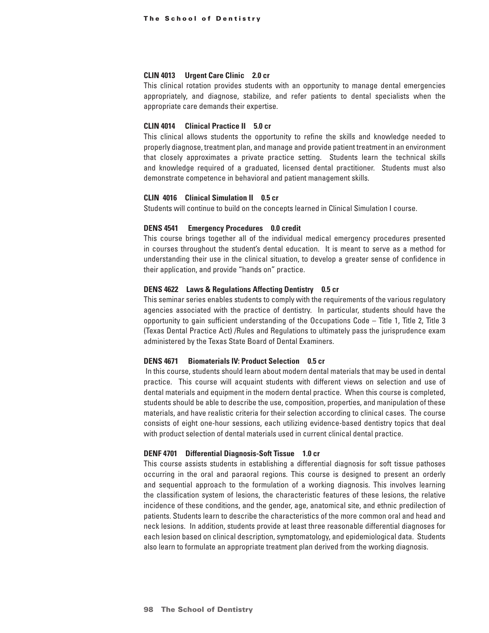## **CLIN 4013 Urgent Care Clinic 2.0 cr**

This clinical rotation provides students with an opportunity to manage dental emergencies appropriately, and diagnose, stabilize, and refer patients to dental specialists when the appropriate care demands their expertise.

#### **CLIN 4014 Clinical Practice II 5.0 cr**

This clinical allows students the opportunity to refine the skills and knowledge needed to properly diagnose, treatment plan, and manage and provide patient treatment in an environment that closely approximates a private practice setting. Students learn the technical skills and knowledge required of a graduated, licensed dental practitioner. Students must also demonstrate competence in behavioral and patient management skills.

## **CLIN 4016 Clinical Simulation II 0.5 cr**

Students will continue to build on the concepts learned in Clinical Simulation I course.

### **DENS 4541 Emergency Procedures 0.0 credit**

This course brings together all of the individual medical emergency procedures presented in courses throughout the student's dental education. It is meant to serve as a method for understanding their use in the clinical situation, to develop a greater sense of confidence in their application, and provide "hands on" practice.

## **DENS 4622 Laws & Regulations Affecting Dentistry 0.5 cr**

This seminar series enables students to comply with the requirements of the various regulatory agencies associated with the practice of dentistry. In particular, students should have the opportunity to gain sufficient understanding of the Occupations Code – Title 1, Title 2, Title 3 (Texas Dental Practice Act) /Rules and Regulations to ultimately pass the jurisprudence exam administered by the Texas State Board of Dental Examiners.

## **DENS 4671 Biomaterials IV: Product Selection 0.5 cr**

 In this course, students should learn about modern dental materials that may be used in dental practice. This course will acquaint students with different views on selection and use of dental materials and equipment in the modern dental practice. When this course is completed, students should be able to describe the use, composition, properties, and manipulation of these materials, and have realistic criteria for their selection according to clinical cases. The course consists of eight one-hour sessions, each utilizing evidence-based dentistry topics that deal with product selection of dental materials used in current clinical dental practice.

## **DENF 4701 Differential Diagnosis-Soft Tissue 1.0 cr**

This course assists students in establishing a differential diagnosis for soft tissue pathoses occurring in the oral and paraoral regions. This course is designed to present an orderly and sequential approach to the formulation of a working diagnosis. This involves learning the classification system of lesions, the characteristic features of these lesions, the relative incidence of these conditions, and the gender, age, anatomical site, and ethnic predilection of patients. Students learn to describe the characteristics of the more common oral and head and neck lesions. In addition, students provide at least three reasonable differential diagnoses for each lesion based on clinical description, symptomatology, and epidemiological data. Students also learn to formulate an appropriate treatment plan derived from the working diagnosis.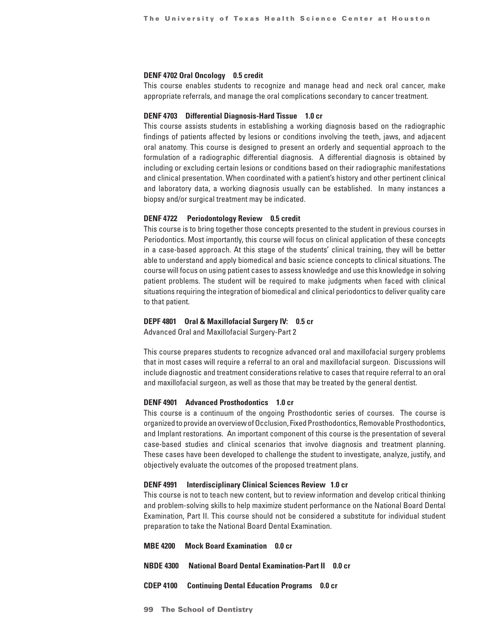#### **DENF 4702 Oral Oncology 0.5 credit**

This course enables students to recognize and manage head and neck oral cancer, make appropriate referrals, and manage the oral complications secondary to cancer treatment.

#### **DENF 4703 Differential Diagnosis-Hard Tissue 1.0 cr**

This course assists students in establishing a working diagnosis based on the radiographic findings of patients affected by lesions or conditions involving the teeth, jaws, and adjacent oral anatomy. This course is designed to present an orderly and sequential approach to the formulation of a radiographic differential diagnosis. A differential diagnosis is obtained by including or excluding certain lesions or conditions based on their radiographic manifestations and clinical presentation. When coordinated with a patient's history and other pertinent clinical and laboratory data, a working diagnosis usually can be established. In many instances a biopsy and/or surgical treatment may be indicated.

### **DENF 4722 Periodontology Review 0.5 credit**

This course is to bring together those concepts presented to the student in previous courses in Periodontics. Most importantly, this course will focus on clinical application of these concepts in a case-based approach. At this stage of the students' clinical training, they will be better able to understand and apply biomedical and basic science concepts to clinical situations. The course will focus on using patient cases to assess knowledge and use this knowledge in solving patient problems. The student will be required to make judgments when faced with clinical situations requiring the integration of biomedical and clinical periodontics to deliver quality care to that patient.

#### **DEPF 4801 Oral & Maxillofacial Surgery IV: 0.5 cr**

Advanced Oral and Maxillofacial Surgery-Part 2

This course prepares students to recognize advanced oral and maxillofacial surgery problems that in most cases will require a referral to an oral and maxillofacial surgeon. Discussions will include diagnostic and treatment considerations relative to cases that require referral to an oral and maxillofacial surgeon, as well as those that may be treated by the general dentist.

#### **DENF 4901 Advanced Prosthodontics 1.0 cr**

This course is a continuum of the ongoing Prosthodontic series of courses. The course is organized to provide an overview of Occlusion, Fixed Prosthodontics, Removable Prosthodontics, and Implant restorations. An important component of this course is the presentation of several case-based studies and clinical scenarios that involve diagnosis and treatment planning. These cases have been developed to challenge the student to investigate, analyze, justify, and objectively evaluate the outcomes of the proposed treatment plans.

#### **DENF 4991 Interdisciplinary Clinical Sciences Review 1.0 cr**

This course is not to teach new content, but to review information and develop critical thinking and problem-solving skills to help maximize student performance on the National Board Dental Examination, Part II. This course should not be considered a substitute for individual student preparation to take the National Board Dental Examination.

**MBE 4200 Mock Board Examination 0.0 cr**

- **NBDE 4300 National Board Dental Examination-Part II 0.0 cr**
- **CDEP 4100 Continuing Dental Education Programs 0.0 cr**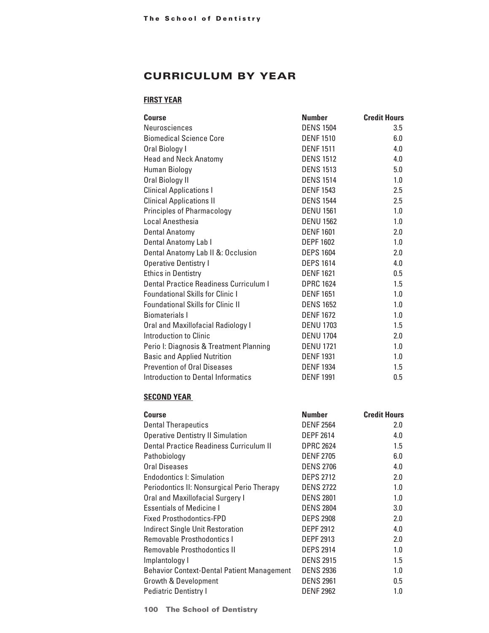# CURRICULUM BY YEAR

## **FIRST YEAR**

| <b>Course</b>                            | <b>Number</b>    | <b>Credit Hours</b> |
|------------------------------------------|------------------|---------------------|
| Neurosciences                            | <b>DENS 1504</b> | 3.5                 |
| <b>Biomedical Science Core</b>           | <b>DENF1510</b>  | 6.0                 |
| Oral Biology I                           | <b>DENF1511</b>  | 4.0                 |
| <b>Head and Neck Anatomy</b>             | <b>DENS 1512</b> | 4.0                 |
| Human Biology                            | <b>DENS 1513</b> | 5.0                 |
| Oral Biology II                          | <b>DENS 1514</b> | 1.0                 |
| <b>Clinical Applications I</b>           | <b>DENF1543</b>  | 2.5                 |
| <b>Clinical Applications II</b>          | <b>DENS 1544</b> | 2.5                 |
| <b>Principles of Pharmacology</b>        | <b>DENU 1561</b> | 1.0                 |
| Local Anesthesia                         | <b>DENU 1562</b> | 1.0                 |
| <b>Dental Anatomy</b>                    | <b>DENF1601</b>  | 2.0                 |
| Dental Anatomy Lab I                     | <b>DEPF 1602</b> | 1.0                 |
| Dental Anatomy Lab II &: Occlusion       | <b>DEPS 1604</b> | 2.0                 |
| <b>Operative Dentistry I</b>             | <b>DEPS 1614</b> | 4.0                 |
| <b>Ethics in Dentistry</b>               | <b>DENF1621</b>  | 0.5                 |
| Dental Practice Readiness Curriculum I   | <b>DPRC 1624</b> | 1.5                 |
| <b>Foundational Skills for Clinic I</b>  | <b>DENF1651</b>  | 1.0                 |
| <b>Foundational Skills for Clinic II</b> | <b>DENS 1652</b> | 1.0                 |
| Biomaterials I                           | <b>DENF1672</b>  | 1.0                 |
| Oral and Maxillofacial Radiology I       | <b>DENU 1703</b> | 1.5                 |
| Introduction to Clinic                   | <b>DENU 1704</b> | 2.0                 |
| Perio I: Diagnosis & Treatment Planning  | <b>DENU 1721</b> | 1.0                 |
| <b>Basic and Applied Nutrition</b>       | <b>DENF1931</b>  | 1.0                 |
| <b>Prevention of Oral Diseases</b>       | <b>DENF1934</b>  | 1.5                 |
| Introduction to Dental Informatics       | <b>DENF1991</b>  | 0.5                 |

## **SECOND YEAR**

| <b>Course</b>                                     | <b>Number</b>    | <b>Credit Hours</b> |
|---------------------------------------------------|------------------|---------------------|
| <b>Dental Therapeutics</b>                        | <b>DENF 2564</b> | 2.0                 |
| <b>Operative Dentistry II Simulation</b>          | <b>DEPF 2614</b> | 4.0                 |
| Dental Practice Readiness Curriculum II           | <b>DPRC 2624</b> | 1.5                 |
| Pathobiology                                      | <b>DENF 2705</b> | 6.0                 |
| <b>Oral Diseases</b>                              | <b>DENS 2706</b> | 4.0                 |
| <b>Endodontics I: Simulation</b>                  | <b>DEPS 2712</b> | 2.0                 |
| Periodontics II: Nonsurgical Perio Therapy        | <b>DENS 2722</b> | 1.0                 |
| Oral and Maxillofacial Surgery I                  | <b>DENS 2801</b> | 1.0                 |
| <b>Essentials of Medicine I</b>                   | <b>DENS 2804</b> | 3.0                 |
| <b>Fixed Prosthodontics-FPD</b>                   | <b>DEPS 2908</b> | 2.0                 |
| <b>Indirect Single Unit Restoration</b>           | <b>DEPF 2912</b> | 4.0                 |
| <b>Removable Prosthodontics I</b>                 | <b>DEPF 2913</b> | 2.0                 |
| Removable Prosthodontics II                       | <b>DEPS 2914</b> | 1.0                 |
| Implantology I                                    | <b>DENS 2915</b> | 1.5                 |
| <b>Behavior Context-Dental Patient Management</b> | <b>DENS 2936</b> | 1.0                 |
| Growth & Development                              | <b>DENS 2961</b> | 0.5                 |
| <b>Pediatric Dentistry I</b>                      | <b>DENF 2962</b> | 1.0                 |

**100 The School of Dentistry**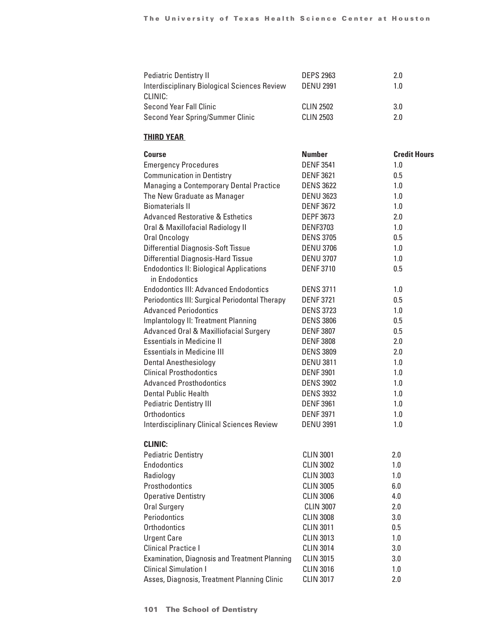| <b>Pediatric Dentistry II</b>                | <b>DEPS 2963</b> | 2.0 |
|----------------------------------------------|------------------|-----|
| Interdisciplinary Biological Sciences Review | <b>DENU 2991</b> | 1.0 |
| CLINIC:                                      |                  |     |
| <b>Second Year Fall Clinic</b>               | CLIN 2502        | 3.0 |
| Second Year Spring/Summer Clinic             | <b>CLIN 2503</b> | 2.0 |

## **THIRD YEAR**

| Course                                               | <b>Number</b>    | <b>Credit Hours</b> |
|------------------------------------------------------|------------------|---------------------|
| <b>Emergency Procedures</b>                          | <b>DENF 3541</b> | 1.0                 |
| <b>Communication in Dentistry</b>                    | <b>DENF 3621</b> | 0.5                 |
| <b>Managing a Contemporary Dental Practice</b>       | <b>DENS 3622</b> | 1.0                 |
| The New Graduate as Manager                          | <b>DENU 3623</b> | 1.0                 |
| <b>Biomaterials II</b>                               | <b>DENF 3672</b> | 1.0                 |
| <b>Advanced Restorative &amp; Esthetics</b>          | <b>DEPF 3673</b> | 2.0                 |
| Oral & Maxillofacial Radiology II                    | <b>DENF3703</b>  | 1.0                 |
| Oral Oncology                                        | <b>DENS 3705</b> | 0.5                 |
| <b>Differential Diagnosis-Soft Tissue</b>            | <b>DENU 3706</b> | 1.0                 |
| <b>Differential Diagnosis-Hard Tissue</b>            | <b>DENU 3707</b> | 1.0                 |
| <b>Endodontics II: Biological Applications</b>       | <b>DENF 3710</b> | 0.5                 |
| in Endodontics                                       |                  |                     |
| <b>Endodontics III: Advanced Endodontics</b>         | <b>DENS 3711</b> | 1.0                 |
| Periodontics III: Surgical Periodontal Therapy       | <b>DENF3721</b>  | 0.5                 |
| <b>Advanced Periodontics</b>                         | <b>DENS 3723</b> | 1.0                 |
| Implantology II: Treatment Planning                  | <b>DENS 3806</b> | 0.5                 |
| Advanced Oral & Maxilliofacial Surgery               | <b>DENF 3807</b> | 0.5                 |
| <b>Essentials in Medicine II</b>                     | <b>DENF 3808</b> | 2.0                 |
| <b>Essentials in Medicine III</b>                    | <b>DENS 3809</b> | 2.0                 |
| <b>Dental Anesthesiology</b>                         | <b>DENU 3811</b> | 1.0                 |
| <b>Clinical Prosthodontics</b>                       | <b>DENF 3901</b> | 1.0                 |
| <b>Advanced Prosthodontics</b>                       | <b>DENS 3902</b> | 1.0                 |
| <b>Dental Public Health</b>                          | <b>DENS 3932</b> | 1.0                 |
| <b>Pediatric Dentistry III</b>                       | <b>DENF 3961</b> | 1.0                 |
| <b>Orthodontics</b>                                  | <b>DENF3971</b>  | 1.0                 |
| <b>Interdisciplinary Clinical Sciences Review</b>    | <b>DENU 3991</b> | 1.0                 |
|                                                      |                  |                     |
| <b>CLINIC:</b>                                       |                  |                     |
| <b>Pediatric Dentistry</b>                           | <b>CLIN 3001</b> | 2.0                 |
| <b>Endodontics</b>                                   | <b>CLIN 3002</b> | 1.0                 |
| Radiology                                            | <b>CLIN 3003</b> | 1.0                 |
| Prosthodontics                                       | <b>CLIN 3005</b> | 6.0                 |
| <b>Operative Dentistry</b>                           | <b>CLIN 3006</b> | 4.0                 |
| Oral Surgery                                         | <b>CLIN 3007</b> | 2.0                 |
| Periodontics                                         | <b>CLIN 3008</b> | 3.0                 |
| Orthodontics                                         | <b>CLIN 3011</b> | 0.5                 |
| <b>Urgent Care</b>                                   | <b>CLIN 3013</b> | 1.0                 |
| <b>Clinical Practice I</b>                           | <b>CLIN 3014</b> | 3.0                 |
| <b>Examination, Diagnosis and Treatment Planning</b> | <b>CLIN 3015</b> | 3.0                 |
| <b>Clinical Simulation I</b>                         | <b>CLIN 3016</b> | 1.0                 |
| Asses, Diagnosis, Treatment Planning Clinic          | <b>CLIN 3017</b> | 2.0                 |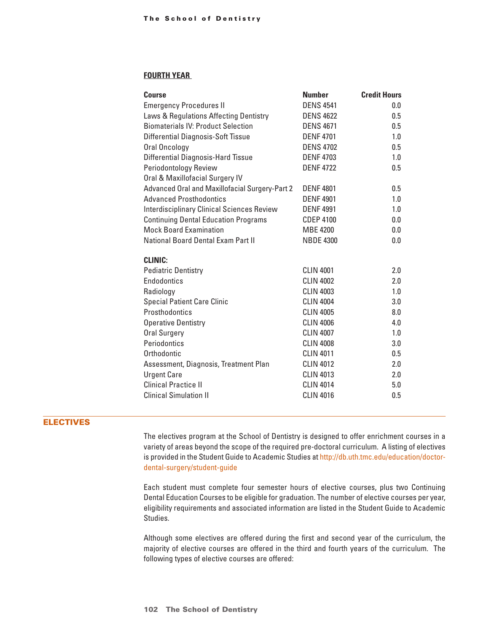## **FOURTH YEAR**

| Course                                            | <b>Number</b>    | <b>Credit Hours</b> |
|---------------------------------------------------|------------------|---------------------|
| <b>Emergency Procedures II</b>                    | <b>DENS 4541</b> | 0.0                 |
| Laws & Regulations Affecting Dentistry            | <b>DENS 4622</b> | 0.5                 |
| <b>Biomaterials IV: Product Selection</b>         | <b>DENS 4671</b> | 0.5                 |
| <b>Differential Diagnosis-Soft Tissue</b>         | <b>DENF4701</b>  | 1.0                 |
| Oral Oncology                                     | <b>DENS 4702</b> | 0.5                 |
| <b>Differential Diagnosis-Hard Tissue</b>         | <b>DENF4703</b>  | 1.0                 |
| Periodontology Review                             | <b>DENF4722</b>  | 0.5                 |
| Oral & Maxillofacial Surgery IV                   |                  |                     |
| Advanced Oral and Maxillofacial Surgery-Part 2    | <b>DENF4801</b>  | 0.5                 |
| <b>Advanced Prosthodontics</b>                    | <b>DENF4901</b>  | 1.0                 |
| <b>Interdisciplinary Clinical Sciences Review</b> | <b>DENF4991</b>  | 1.0                 |
| <b>Continuing Dental Education Programs</b>       | <b>CDEP 4100</b> | 0.0                 |
| <b>Mock Board Examination</b>                     | <b>MBE 4200</b>  | 0.0                 |
| <b>National Board Dental Exam Part II</b>         | <b>NBDE 4300</b> | 0.0                 |
|                                                   |                  |                     |
| <b>CLINIC:</b>                                    |                  |                     |
| <b>Pediatric Dentistry</b>                        | <b>CLIN 4001</b> | 2.0                 |
| Endodontics                                       | <b>CLIN 4002</b> | 2.0                 |
| Radiology                                         | <b>CLIN 4003</b> | 1.0                 |
| <b>Special Patient Care Clinic</b>                | <b>CLIN 4004</b> | 3.0                 |
| Prosthodontics                                    | <b>CLIN 4005</b> | 8.0                 |
| <b>Operative Dentistry</b>                        | <b>CLIN 4006</b> | 4.0                 |
| <b>Oral Surgery</b>                               | <b>CLIN 4007</b> | 1.0                 |
| Periodontics                                      | <b>CLIN 4008</b> | 3.0                 |
| Orthodontic                                       | <b>CLIN 4011</b> | 0.5                 |
| Assessment, Diagnosis, Treatment Plan             | <b>CLIN 4012</b> | 2.0                 |
| <b>Urgent Care</b>                                | <b>CLIN 4013</b> | 2.0                 |
| <b>Clinical Practice II</b>                       | <b>CLIN 4014</b> | 5.0                 |
| <b>Clinical Simulation II</b>                     | <b>CLIN 4016</b> | 0.5                 |
|                                                   |                  |                     |

## ELECTIVES

The electives program at the School of Dentistry is designed to offer enrichment courses in a variety of areas beyond the scope of the required pre-doctoral curriculum. A listing of electives is provided in the Student Guide to Academic Studies at http://db.uth.tmc.edu/education/doctordental-surgery/student-guide

Each student must complete four semester hours of elective courses, plus two Continuing Dental Education Courses to be eligible for graduation. The number of elective courses per year, eligibility requirements and associated information are listed in the Student Guide to Academic Studies.

Although some electives are offered during the first and second year of the curriculum, the majority of elective courses are offered in the third and fourth years of the curriculum. The following types of elective courses are offered: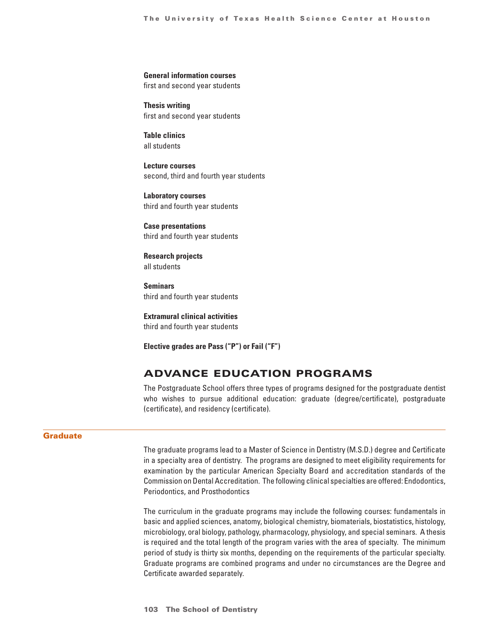#### **General information courses**

first and second year students

**Thesis writing** first and second year students

**Table clinics** all students

**Lecture courses** second, third and fourth year students

**Laboratory courses** third and fourth year students

**Case presentations** third and fourth year students

**Research projects** all students

**Seminars** third and fourth year students

**Extramural clinical activities** third and fourth year students

**Elective grades are Pass ("P") or Fail ("F")**

## Advance Education Programs

The Postgraduate School offers three types of programs designed for the postgraduate dentist who wishes to pursue additional education: graduate (degree/certificate), postgraduate (certificate), and residency (certificate).

## **Graduate**

The graduate programs lead to a Master of Science in Dentistry (M.S.D.) degree and Certificate in a specialty area of dentistry. The programs are designed to meet eligibility requirements for examination by the particular American Specialty Board and accreditation standards of the Commission on Dental Accreditation. The following clinical specialties are offered: Endodontics, Periodontics, and Prosthodontics

The curriculum in the graduate programs may include the following courses: fundamentals in basic and applied sciences, anatomy, biological chemistry, biomaterials, biostatistics, histology, microbiology, oral biology, pathology, pharmacology, physiology, and special seminars. A thesis is required and the total length of the program varies with the area of specialty. The minimum period of study is thirty six months, depending on the requirements of the particular specialty. Graduate programs are combined programs and under no circumstances are the Degree and Certificate awarded separately.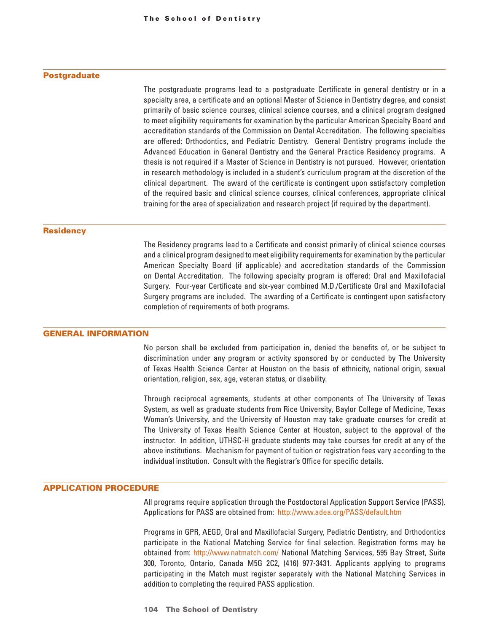#### **Postgraduate**

The postgraduate programs lead to a postgraduate Certificate in general dentistry or in a specialty area, a certificate and an optional Master of Science in Dentistry degree, and consist primarily of basic science courses, clinical science courses, and a clinical program designed to meet eligibility requirements for examination by the particular American Specialty Board and accreditation standards of the Commission on Dental Accreditation. The following specialties are offered: Orthodontics, and Pediatric Dentistry. General Dentistry programs include the Advanced Education in General Dentistry and the General Practice Residency programs. A thesis is not required if a Master of Science in Dentistry is not pursued. However, orientation in research methodology is included in a student's curriculum program at the discretion of the clinical department. The award of the certificate is contingent upon satisfactory completion of the required basic and clinical science courses, clinical conferences, appropriate clinical training for the area of specialization and research project (if required by the department).

#### **Residency**

The Residency programs lead to a Certificate and consist primarily of clinical science courses and a clinical program designed to meet eligibility requirements for examination by the particular American Specialty Board (if applicable) and accreditation standards of the Commission on Dental Accreditation. The following specialty program is offered: Oral and Maxillofacial Surgery. Four-year Certificate and six-year combined M.D./Certificate Oral and Maxillofacial Surgery programs are included. The awarding of a Certificate is contingent upon satisfactory completion of requirements of both programs.

## GENERAL INFORMATION

No person shall be excluded from participation in, denied the benefits of, or be subject to discrimination under any program or activity sponsored by or conducted by The University of Texas Health Science Center at Houston on the basis of ethnicity, national origin, sexual orientation, religion, sex, age, veteran status, or disability.

Through reciprocal agreements, students at other components of The University of Texas System, as well as graduate students from Rice University, Baylor College of Medicine, Texas Woman's University, and the University of Houston may take graduate courses for credit at The University of Texas Health Science Center at Houston, subject to the approval of the instructor. In addition, UTHSC-H graduate students may take courses for credit at any of the above institutions. Mechanism for payment of tuition or registration fees vary according to the individual institution. Consult with the Registrar's Office for specific details.

## APPLICATION PROCEDURE

All programs require application through the Postdoctoral Application Support Service (PASS). Applications for PASS are obtained from: http://www.adea.org/PASS/default.htm

Programs in GPR, AEGD, Oral and Maxillofacial Surgery, Pediatric Dentistry, and Orthodontics participate in the National Matching Service for final selection. Registration forms may be obtained from: http://www.natmatch.com/ National Matching Services, 595 Bay Street, Suite 300, Toronto, Ontario, Canada M5G 2C2, (416) 977-3431. Applicants applying to programs participating in the Match must register separately with the National Matching Services in addition to completing the required PASS application.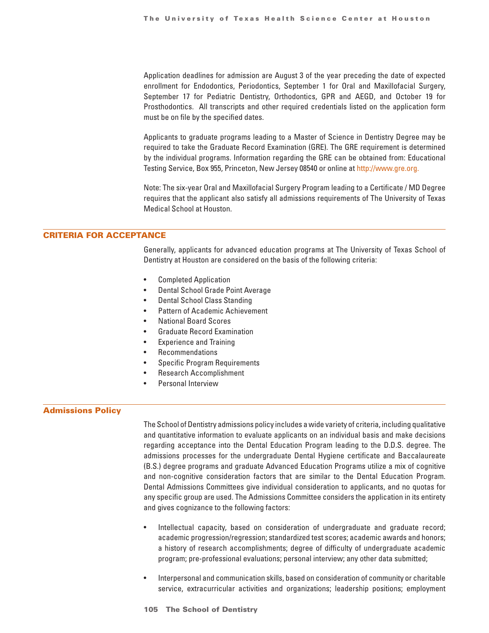Application deadlines for admission are August 3 of the year preceding the date of expected enrollment for Endodontics, Periodontics, September 1 for Oral and Maxillofacial Surgery, September 17 for Pediatric Dentistry, Orthodontics, GPR and AEGD, and October 19 for Prosthodontics. All transcripts and other required credentials listed on the application form must be on file by the specified dates.

Applicants to graduate programs leading to a Master of Science in Dentistry Degree may be required to take the Graduate Record Examination (GRE). The GRE requirement is determined by the individual programs. Information regarding the GRE can be obtained from: Educational Testing Service, Box 955, Princeton, New Jersey 08540 or online at http://www.gre.org.

Note: The six-year Oral and Maxillofacial Surgery Program leading to a Certificate / MD Degree requires that the applicant also satisfy all admissions requirements of The University of Texas Medical School at Houston.

## CRITERIA FOR ACCEPTANCE

Generally, applicants for advanced education programs at The University of Texas School of Dentistry at Houston are considered on the basis of the following criteria:

- Completed Application
- Dental School Grade Point Average
- Dental School Class Standing
- Pattern of Academic Achievement
- National Board Scores
- Graduate Record Examination
- Experience and Training
- **Recommendations**
- Specific Program Requirements
- Research Accomplishment
- Personal Interview

## Admissions Policy

The School of Dentistry admissions policy includes a wide variety of criteria, including qualitative and quantitative information to evaluate applicants on an individual basis and make decisions regarding acceptance into the Dental Education Program leading to the D.D.S. degree. The admissions processes for the undergraduate Dental Hygiene certificate and Baccalaureate (B.S.) degree programs and graduate Advanced Education Programs utilize a mix of cognitive and non-cognitive consideration factors that are similar to the Dental Education Program. Dental Admissions Committees give individual consideration to applicants, and no quotas for any specific group are used. The Admissions Committee considers the application in its entirety and gives cognizance to the following factors:

- Intellectual capacity, based on consideration of undergraduate and graduate record; academic progression/regression; standardized test scores; academic awards and honors; a history of research accomplishments; degree of difficulty of undergraduate academic program; pre-professional evaluations; personal interview; any other data submitted;
- Interpersonal and communication skills, based on consideration of community or charitable service, extracurricular activities and organizations; leadership positions; employment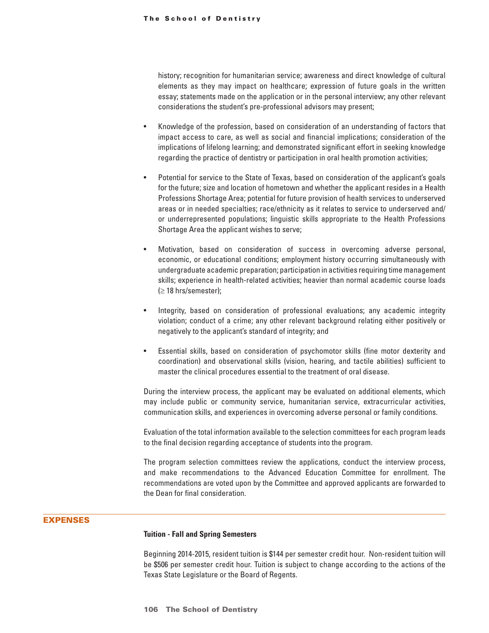history; recognition for humanitarian service; awareness and direct knowledge of cultural elements as they may impact on healthcare; expression of future goals in the written essay; statements made on the application or in the personal interview; any other relevant considerations the student's pre-professional advisors may present;

- Knowledge of the profession, based on consideration of an understanding of factors that impact access to care, as well as social and financial implications; consideration of the implications of lifelong learning; and demonstrated significant effort in seeking knowledge regarding the practice of dentistry or participation in oral health promotion activities;
- Potential for service to the State of Texas, based on consideration of the applicant's goals for the future; size and location of hometown and whether the applicant resides in a Health Professions Shortage Area; potential for future provision of health services to underserved areas or in needed specialties; race/ethnicity as it relates to service to underserved and/ or underrepresented populations; linguistic skills appropriate to the Health Professions Shortage Area the applicant wishes to serve;
- Motivation, based on consideration of success in overcoming adverse personal, economic, or educational conditions; employment history occurring simultaneously with undergraduate academic preparation; participation in activities requiring time management skills; experience in health-related activities; heavier than normal academic course loads  $(\geq 18$  hrs/semester);
- Integrity, based on consideration of professional evaluations; any academic integrity violation; conduct of a crime; any other relevant background relating either positively or negatively to the applicant's standard of integrity; and
- Essential skills, based on consideration of psychomotor skills (fine motor dexterity and coordination) and observational skills (vision, hearing, and tactile abilities) sufficient to master the clinical procedures essential to the treatment of oral disease.

During the interview process, the applicant may be evaluated on additional elements, which may include public or community service, humanitarian service, extracurricular activities, communication skills, and experiences in overcoming adverse personal or family conditions.

Evaluation of the total information available to the selection committees for each program leads to the final decision regarding acceptance of students into the program.

The program selection committees review the applications, conduct the interview process, and make recommendations to the Advanced Education Committee for enrollment. The recommendations are voted upon by the Committee and approved applicants are forwarded to the Dean for final consideration.

## EXPENSES

#### **Tuition - Fall and Spring Semesters**

Beginning 2014-2015, resident tuition is \$144 per semester credit hour. Non-resident tuition will be \$506 per semester credit hour. Tuition is subject to change according to the actions of the Texas State Legislature or the Board of Regents.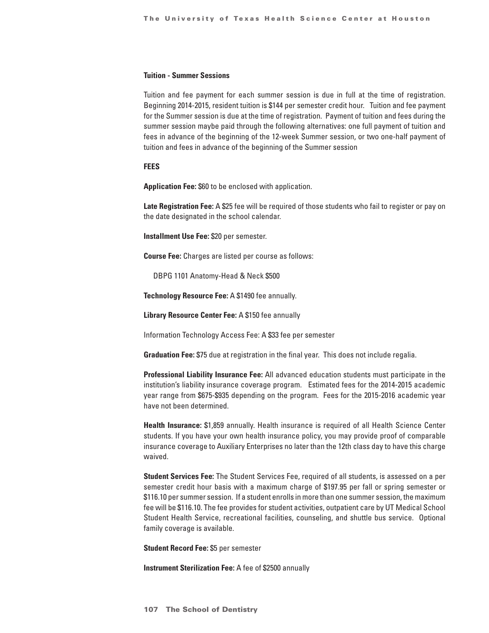## **Tuition - Summer Sessions**

Tuition and fee payment for each summer session is due in full at the time of registration. Beginning 2014-2015, resident tuition is \$144 per semester credit hour. Tuition and fee payment for the Summer session is due at the time of registration. Payment of tuition and fees during the summer session maybe paid through the following alternatives: one full payment of tuition and fees in advance of the beginning of the 12-week Summer session, or two one-half payment of tuition and fees in advance of the beginning of the Summer session

#### **FEES**

**Application Fee:** \$60 to be enclosed with application.

**Late Registration Fee:** A \$25 fee will be required of those students who fail to register or pay on the date designated in the school calendar.

**Installment Use Fee:** \$20 per semester.

**Course Fee:** Charges are listed per course as follows:

DBPG 1101 Anatomy-Head & Neck \$500

**Technology Resource Fee:** A \$1490 fee annually.

**Library Resource Center Fee:** A \$150 fee annually

Information Technology Access Fee: A \$33 fee per semester

**Graduation Fee:** \$75 due at registration in the final year. This does not include regalia.

**Professional Liability Insurance Fee:** All advanced education students must participate in the institution's liability insurance coverage program. Estimated fees for the 2014-2015 academic year range from \$675-\$935 depending on the program. Fees for the 2015-2016 academic year have not been determined.

**Health Insurance:** \$1,859 annually. Health insurance is required of all Health Science Center students. If you have your own health insurance policy, you may provide proof of comparable insurance coverage to Auxiliary Enterprises no later than the 12th class day to have this charge waived.

**Student Services Fee:** The Student Services Fee, required of all students, is assessed on a per semester credit hour basis with a maximum charge of \$197.95 per fall or spring semester or \$116.10 per summer session. If a student enrolls in more than one summer session, the maximum fee will be \$116.10. The fee provides for student activities, outpatient care by UT Medical School Student Health Service, recreational facilities, counseling, and shuttle bus service. Optional family coverage is available.

**Student Record Fee:** \$5 per semester

**Instrument Sterilization Fee:** A fee of \$2500 annually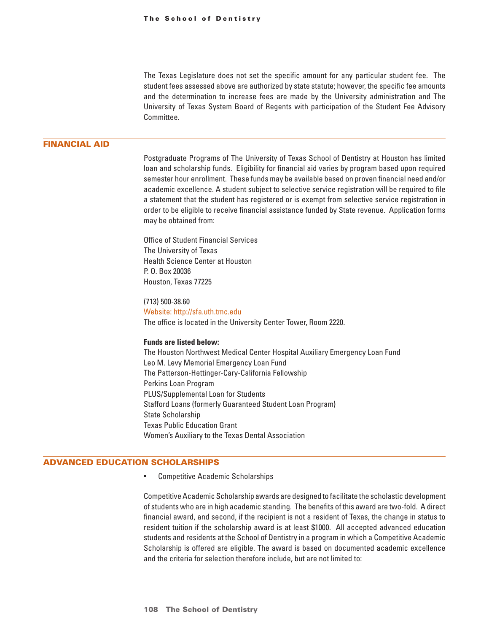The Texas Legislature does not set the specific amount for any particular student fee. The student fees assessed above are authorized by state statute; however, the specific fee amounts and the determination to increase fees are made by the University administration and The University of Texas System Board of Regents with participation of the Student Fee Advisory Committee.

## FINANCIAL AID

Postgraduate Programs of The University of Texas School of Dentistry at Houston has limited loan and scholarship funds. Eligibility for financial aid varies by program based upon required semester hour enrollment. These funds may be available based on proven financial need and/or academic excellence. A student subject to selective service registration will be required to file a statement that the student has registered or is exempt from selective service registration in order to be eligible to receive financial assistance funded by State revenue. Application forms may be obtained from:

Office of Student Financial Services The University of Texas Health Science Center at Houston P. O. Box 20036 Houston, Texas 77225

(713) 500-38.60 Website: http://sfa.uth.tmc.edu The office is located in the University Center Tower, Room 2220.

## **Funds are listed below:**

The Houston Northwest Medical Center Hospital Auxiliary Emergency Loan Fund Leo M. Levy Memorial Emergency Loan Fund The Patterson-Hettinger-Cary-California Fellowship Perkins Loan Program PLUS/Supplemental Loan for Students Stafford Loans (formerly Guaranteed Student Loan Program) State Scholarship Texas Public Education Grant Women's Auxiliary to the Texas Dental Association

## ADVANCED EDUCATION SCHOLARSHIPS

• Competitive Academic Scholarships

Competitive Academic Scholarship awards are designed to facilitate the scholastic development of students who are in high academic standing. The benefits of this award are two-fold. A direct financial award, and second, if the recipient is not a resident of Texas, the change in status to resident tuition if the scholarship award is at least \$1000. All accepted advanced education students and residents at the School of Dentistry in a program in which a Competitive Academic Scholarship is offered are eligible. The award is based on documented academic excellence and the criteria for selection therefore include, but are not limited to: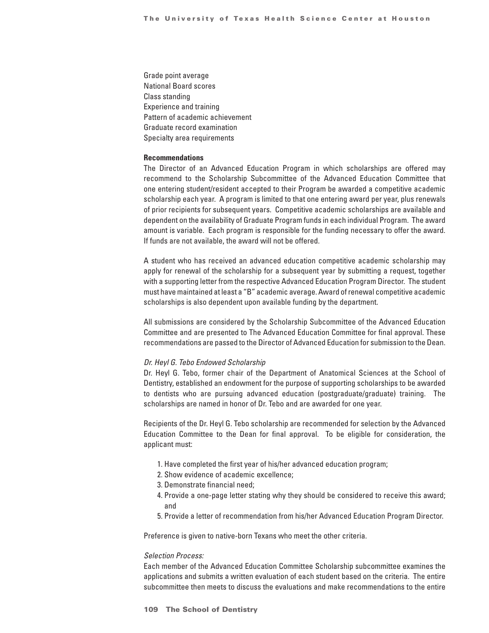Grade point average National Board scores Class standing Experience and training Pattern of academic achievement Graduate record examination Specialty area requirements

## **Recommendations**

The Director of an Advanced Education Program in which scholarships are offered may recommend to the Scholarship Subcommittee of the Advanced Education Committee that one entering student/resident accepted to their Program be awarded a competitive academic scholarship each year. A program is limited to that one entering award per year, plus renewals of prior recipients for subsequent years. Competitive academic scholarships are available and dependent on the availability of Graduate Program funds in each individual Program. The award amount is variable. Each program is responsible for the funding necessary to offer the award. If funds are not available, the award will not be offered.

A student who has received an advanced education competitive academic scholarship may apply for renewal of the scholarship for a subsequent year by submitting a request, together with a supporting letter from the respective Advanced Education Program Director. The student must have maintained at least a "B" academic average. Award of renewal competitive academic scholarships is also dependent upon available funding by the department.

All submissions are considered by the Scholarship Subcommittee of the Advanced Education Committee and are presented to The Advanced Education Committee for final approval. These recommendations are passed to the Director of Advanced Education for submission to the Dean.

#### *Dr. Heyl G. Tebo Endowed Scholarship*

Dr. Heyl G. Tebo, former chair of the Department of Anatomical Sciences at the School of Dentistry, established an endowment for the purpose of supporting scholarships to be awarded to dentists who are pursuing advanced education (postgraduate/graduate) training. The scholarships are named in honor of Dr. Tebo and are awarded for one year.

Recipients of the Dr. Heyl G. Tebo scholarship are recommended for selection by the Advanced Education Committee to the Dean for final approval. To be eligible for consideration, the applicant must:

- 1. Have completed the first year of his/her advanced education program;
- 2. Show evidence of academic excellence;
- 3. Demonstrate financial need;
- 4. Provide a one-page letter stating why they should be considered to receive this award; and
- 5. Provide a letter of recommendation from his/her Advanced Education Program Director.

Preference is given to native-born Texans who meet the other criteria.

## *Selection Process:*

Each member of the Advanced Education Committee Scholarship subcommittee examines the applications and submits a written evaluation of each student based on the criteria. The entire subcommittee then meets to discuss the evaluations and make recommendations to the entire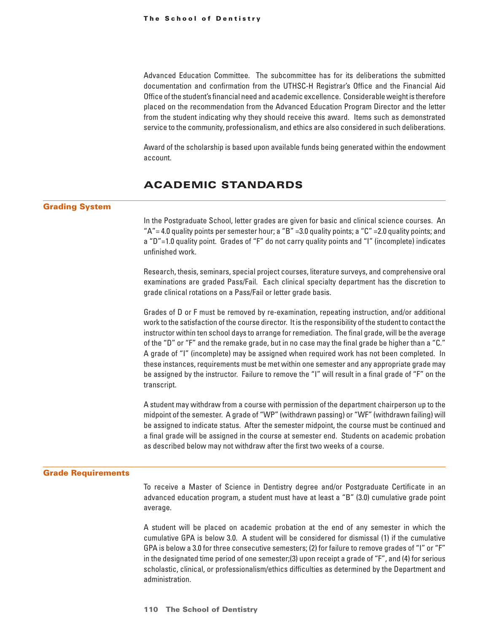Advanced Education Committee. The subcommittee has for its deliberations the submitted documentation and confirmation from the UTHSC-H Registrar's Office and the Financial Aid Office of the student's financial need and academic excellence. Considerable weight is therefore placed on the recommendation from the Advanced Education Program Director and the letter from the student indicating why they should receive this award. Items such as demonstrated service to the community, professionalism, and ethics are also considered in such deliberations.

Award of the scholarship is based upon available funds being generated within the endowment account.

## ACADEMIC STANDARDS

## Grading System

In the Postgraduate School, letter grades are given for basic and clinical science courses. An "A" = 4.0 quality points per semester hour; a "B" = 3.0 quality points; a "C" = 2.0 quality points; and a "D"=1.0 quality point. Grades of "F" do not carry quality points and "I" (incomplete) indicates unfinished work.

Research, thesis, seminars, special project courses, literature surveys, and comprehensive oral examinations are graded Pass/Fail. Each clinical specialty department has the discretion to grade clinical rotations on a Pass/Fail or letter grade basis.

Grades of D or F must be removed by re-examination, repeating instruction, and/or additional work to the satisfaction of the course director. It is the responsibility of the student to contact the instructor within ten school days to arrange for remediation. The final grade, will be the average of the "D" or "F" and the remake grade, but in no case may the final grade be higher than a "C." A grade of "I" (incomplete) may be assigned when required work has not been completed. In these instances, requirements must be met within one semester and any appropriate grade may be assigned by the instructor. Failure to remove the "I" will result in a final grade of "F" on the transcript.

A student may withdraw from a course with permission of the department chairperson up to the midpoint of the semester. A grade of "WP" (withdrawn passing) or "WF" (withdrawn failing) will be assigned to indicate status. After the semester midpoint, the course must be continued and a final grade will be assigned in the course at semester end. Students on academic probation as described below may not withdraw after the first two weeks of a course.

#### Grade Requirements

To receive a Master of Science in Dentistry degree and/or Postgraduate Certificate in an advanced education program, a student must have at least a "B" (3.0) cumulative grade point average.

A student will be placed on academic probation at the end of any semester in which the cumulative GPA is below 3.0. A student will be considered for dismissal (1) if the cumulative GPA is below a 3.0 for three consecutive semesters; (2) for failure to remove grades of "I" or "F" in the designated time period of one semester;(3) upon receipt a grade of "F", and (4) for serious scholastic, clinical, or professionalism/ethics difficulties as determined by the Department and administration.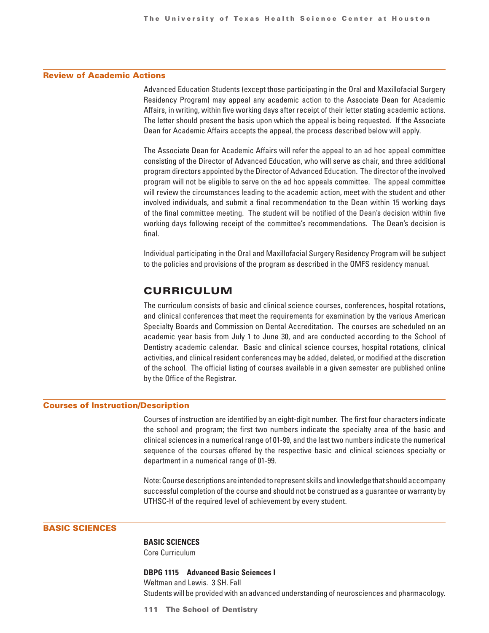## Review of Academic Actions

Advanced Education Students (except those participating in the Oral and Maxillofacial Surgery Residency Program) may appeal any academic action to the Associate Dean for Academic Affairs, in writing, within five working days after receipt of their letter stating academic actions. The letter should present the basis upon which the appeal is being requested. If the Associate Dean for Academic Affairs accepts the appeal, the process described below will apply.

The Associate Dean for Academic Affairs will refer the appeal to an ad hoc appeal committee consisting of the Director of Advanced Education, who will serve as chair, and three additional program directors appointed by the Director of Advanced Education. The director of the involved program will not be eligible to serve on the ad hoc appeals committee. The appeal committee will review the circumstances leading to the academic action, meet with the student and other involved individuals, and submit a final recommendation to the Dean within 15 working days of the final committee meeting. The student will be notified of the Dean's decision within five working days following receipt of the committee's recommendations. The Dean's decision is final.

Individual participating in the Oral and Maxillofacial Surgery Residency Program will be subject to the policies and provisions of the program as described in the OMFS residency manual.

## CURRICULUM

The curriculum consists of basic and clinical science courses, conferences, hospital rotations, and clinical conferences that meet the requirements for examination by the various American Specialty Boards and Commission on Dental Accreditation. The courses are scheduled on an academic year basis from July 1 to June 30, and are conducted according to the School of Dentistry academic calendar. Basic and clinical science courses, hospital rotations, clinical activities, and clinical resident conferences may be added, deleted, or modified at the discretion of the school. The official listing of courses available in a given semester are published online by the Office of the Registrar.

#### Courses of Instruction/Description

Courses of instruction are identified by an eight-digit number. The first four characters indicate the school and program; the first two numbers indicate the specialty area of the basic and clinical sciences in a numerical range of 01-99, and the last two numbers indicate the numerical sequence of the courses offered by the respective basic and clinical sciences specialty or department in a numerical range of 01-99.

Note: Course descriptions are intended to represent skills and knowledge that should accompany successful completion of the course and should not be construed as a guarantee or warranty by UTHSC-H of the required level of achievement by every student.

## BASIC SCIENCES

#### **BASIC SCIENCES**

Core Curriculum

#### **DBPG 1115 Advanced Basic Sciences I**

Weltman and Lewis. 3 SH. Fall Students will be provided with an advanced understanding of neurosciences and pharmacology.

**111 The School of Dentistry**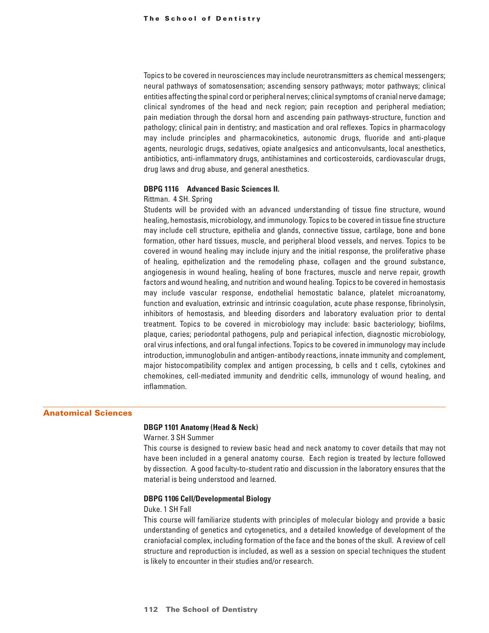Topics to be covered in neurosciences may include neurotransmitters as chemical messengers; neural pathways of somatosensation; ascending sensory pathways; motor pathways; clinical entities affecting the spinal cord or peripheral nerves; clinical symptoms of cranial nerve damage; clinical syndromes of the head and neck region; pain reception and peripheral mediation; pain mediation through the dorsal horn and ascending pain pathways-structure, function and pathology; clinical pain in dentistry; and mastication and oral reflexes. Topics in pharmacology may include principles and pharmacokinetics, autonomic drugs, fluoride and anti-plaque agents, neurologic drugs, sedatives, opiate analgesics and anticonvulsants, local anesthetics, antibiotics, anti-inflammatory drugs, antihistamines and corticosteroids, cardiovascular drugs, drug laws and drug abuse, and general anesthetics.

## **DBPG 1116 Advanced Basic Sciences II.**

#### Rittman. 4 SH. Spring

Students will be provided with an advanced understanding of tissue fine structure, wound healing, hemostasis, microbiology, and immunology. Topics to be covered in tissue fine structure may include cell structure, epithelia and glands, connective tissue, cartilage, bone and bone formation, other hard tissues, muscle, and peripheral blood vessels, and nerves. Topics to be covered in wound healing may include injury and the initial response, the proliferative phase of healing, epithelization and the remodeling phase, collagen and the ground substance, angiogenesis in wound healing, healing of bone fractures, muscle and nerve repair, growth factors and wound healing, and nutrition and wound healing. Topics to be covered in hemostasis may include vascular response, endothelial hemostatic balance, platelet microanatomy, function and evaluation, extrinsic and intrinsic coagulation, acute phase response, fibrinolysin, inhibitors of hemostasis, and bleeding disorders and laboratory evaluation prior to dental treatment. Topics to be covered in microbiology may include: basic bacteriology; biofilms, plaque, caries; periodontal pathogens, pulp and periapical infection, diagnostic microbiology, oral virus infections, and oral fungal infections. Topics to be covered in immunology may include introduction, immunoglobulin and antigen-antibody reactions, innate immunity and complement, major histocompatibility complex and antigen processing, b cells and t cells, cytokines and chemokines, cell-mediated immunity and dendritic cells, immunology of wound healing, and inflammation.

## Anatomical Sciences

## **DBGP 1101 Anatomy (Head & Neck)**

#### Warner. 3 SH Summer

This course is designed to review basic head and neck anatomy to cover details that may not have been included in a general anatomy course. Each region is treated by lecture followed by dissection. A good faculty-to-student ratio and discussion in the laboratory ensures that the material is being understood and learned.

#### **DBPG 1106 Cell/Developmental Biology**

#### Duke. 1 SH Fall

This course will familiarize students with principles of molecular biology and provide a basic understanding of genetics and cytogenetics, and a detailed knowledge of development of the craniofacial complex, including formation of the face and the bones of the skull. A review of cell structure and reproduction is included, as well as a session on special techniques the student is likely to encounter in their studies and/or research.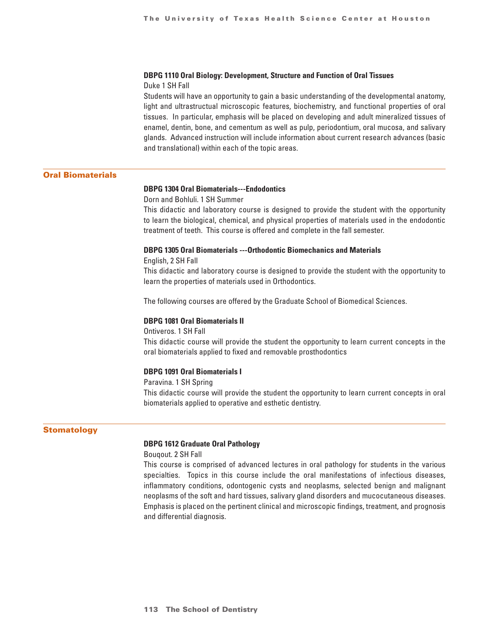#### **DBPG 1110 Oral Biology: Development, Structure and Function of Oral Tissues**

Duke 1 SH Fall

Students will have an opportunity to gain a basic understanding of the developmental anatomy, light and ultrastructual microscopic features, biochemistry, and functional properties of oral tissues. In particular, emphasis will be placed on developing and adult mineralized tissues of enamel, dentin, bone, and cementum as well as pulp, periodontium, oral mucosa, and salivary glands. Advanced instruction will include information about current research advances (basic and translational) within each of the topic areas.

## Oral Biomaterials

## **DBPG 1304 Oral Biomaterials---Endodontics**

Dorn and Bohluli. 1 SH Summer

This didactic and laboratory course is designed to provide the student with the opportunity to learn the biological, chemical, and physical properties of materials used in the endodontic treatment of teeth. This course is offered and complete in the fall semester.

## **DBPG 1305 Oral Biomaterials ---Orthodontic Biomechanics and Materials**

English, 2 SH Fall

This didactic and laboratory course is designed to provide the student with the opportunity to learn the properties of materials used in Orthodontics.

The following courses are offered by the Graduate School of Biomedical Sciences.

## **DBPG 1081 Oral Biomaterials II**

Ontiveros. 1 SH Fall

This didactic course will provide the student the opportunity to learn current concepts in the oral biomaterials applied to fixed and removable prosthodontics

## **DBPG 1091 Oral Biomaterials I**

Paravina. 1 SH Spring

This didactic course will provide the student the opportunity to learn current concepts in oral biomaterials applied to operative and esthetic dentistry.

## **Stomatology**

## **DBPG 1612 Graduate Oral Pathology**

Bouqout. 2 SH Fall

This course is comprised of advanced lectures in oral pathology for students in the various specialties. Topics in this course include the oral manifestations of infectious diseases, inflammatory conditions, odontogenic cysts and neoplasms, selected benign and malignant neoplasms of the soft and hard tissues, salivary gland disorders and mucocutaneous diseases. Emphasis is placed on the pertinent clinical and microscopic findings, treatment, and prognosis and differential diagnosis.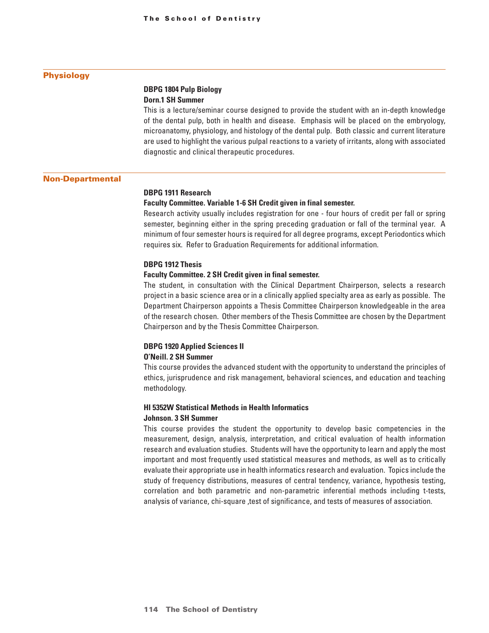## Physiology

## **DBPG 1804 Pulp Biology Dorn.1 SH Summer**

This is a lecture/seminar course designed to provide the student with an in-depth knowledge of the dental pulp, both in health and disease. Emphasis will be placed on the embryology, microanatomy, physiology, and histology of the dental pulp. Both classic and current literature are used to highlight the various pulpal reactions to a variety of irritants, along with associated diagnostic and clinical therapeutic procedures.

#### Non-Departmental

## **DBPG 1911 Research**

## **Faculty Committee. Variable 1-6 SH Credit given in final semester.**

Research activity usually includes registration for one - four hours of credit per fall or spring semester, beginning either in the spring preceding graduation or fall of the terminal year. A minimum of four semester hours is required for all degree programs, except Periodontics which requires six. Refer to Graduation Requirements for additional information.

## **DBPG 1912 Thesis**

#### **Faculty Committee. 2 SH Credit given in final semester.**

The student, in consultation with the Clinical Department Chairperson, selects a research project in a basic science area or in a clinically applied specialty area as early as possible. The Department Chairperson appoints a Thesis Committee Chairperson knowledgeable in the area of the research chosen. Other members of the Thesis Committee are chosen by the Department Chairperson and by the Thesis Committee Chairperson.

## **DBPG 1920 Applied Sciences II O'Neill. 2 SH Summer**

This course provides the advanced student with the opportunity to understand the principles of ethics, jurisprudence and risk management, behavioral sciences, and education and teaching methodology.

# **HI 5352W Statistical Methods in Health Informatics**

## **Johnson. 3 SH Summer**

This course provides the student the opportunity to develop basic competencies in the measurement, design, analysis, interpretation, and critical evaluation of health information research and evaluation studies. Students will have the opportunity to learn and apply the most important and most frequently used statistical measures and methods, as well as to critically evaluate their appropriate use in health informatics research and evaluation. Topics include the study of frequency distributions, measures of central tendency, variance, hypothesis testing, correlation and both parametric and non-parametric inferential methods including t-tests, analysis of variance, chi-square ,test of significance, and tests of measures of association.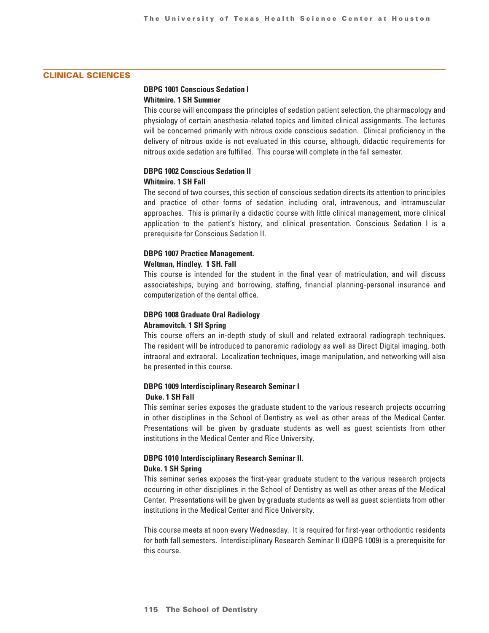## CLINICAL SCIENCES

## **DBPG 1001 Conscious Sedation I Whitmire. 1 SH Summer**

This course will encompass the principles of sedation patient selection, the pharmacology and physiology of certain anesthesia-related topics and limited clinical assignments. The lectures will be concerned primarily with nitrous oxide conscious sedation. Clinical proficiency in the delivery of nitrous oxide is not evaluated in this course, although, didactic requirements for nitrous oxide sedation are fulfilled. This course will complete in the fall semester.

## **DBPG 1002 Conscious Sedation II Whitmire. 1 SH Fall**

The second of two courses, this section of conscious sedation directs its attention to principles and practice of other forms of sedation including oral, intravenous, and intramuscular approaches. This is primarily a didactic course with little clinical management, more clinical application to the patient's history, and clinical presentation. Conscious Sedation I is a prerequisite for Conscious Sedation II.

## **DBPG 1007 Practice Management.**

## **Weltman, Hindley. 1 SH. Fall**

This course is intended for the student in the final year of matriculation, and will discuss associateships, buying and borrowing, staffing, financial planning-personal insurance and computerization of the dental office.

## **DBPG 1008 Graduate Oral Radiology Abramovitch. 1 SH Spring**

This course offers an in-depth study of skull and related extraoral radiograph techniques. The resident will be introduced to panoramic radiology as well as Direct Digital imaging, both intraoral and extraoral. Localization techniques, image manipulation, and networking will also be presented in this course.

## **DBPG 1009 Interdisciplinary Research Seminar I Duke. 1 SH Fall**

This seminar series exposes the graduate student to the various research projects occurring in other disciplines in the School of Dentistry as well as other areas of the Medical Center. Presentations will be given by graduate students as well as guest scientists from other institutions in the Medical Center and Rice University.

## **DBPG 1010 Interdisciplinary Research Seminar II. Duke. 1 SH Spring**

This seminar series exposes the first-year graduate student to the various research projects occurring in other disciplines in the School of Dentistry as well as other areas of the Medical Center. Presentations will be given by graduate students as well as guest scientists from other institutions in the Medical Center and Rice University.

This course meets at noon every Wednesday. It is required for first-year orthodontic residents for both fall semesters. Interdisciplinary Research Seminar II (DBPG 1009) is a prerequisite for this course.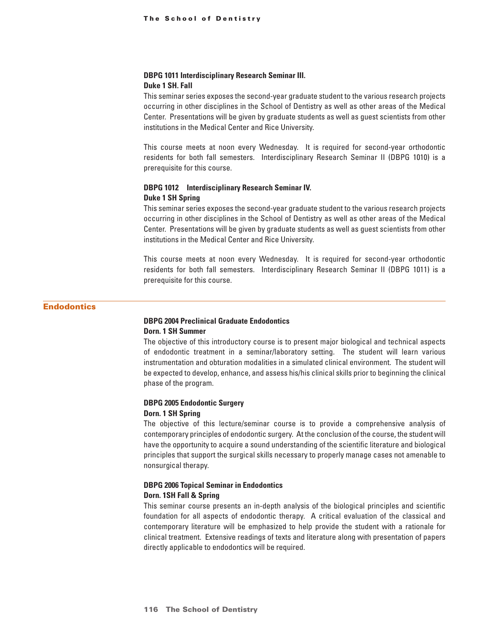#### **DBPG 1011 Interdisciplinary Research Seminar III.**

#### **Duke 1 SH. Fall**

This seminar series exposes the second-year graduate student to the various research projects occurring in other disciplines in the School of Dentistry as well as other areas of the Medical Center. Presentations will be given by graduate students as well as guest scientists from other institutions in the Medical Center and Rice University.

This course meets at noon every Wednesday. It is required for second-year orthodontic residents for both fall semesters. Interdisciplinary Research Seminar II (DBPG 1010) is a prerequisite for this course.

## **DBPG 1012 Interdisciplinary Research Seminar IV. Duke 1 SH Spring**

This seminar series exposes the second-year graduate student to the various research projects occurring in other disciplines in the School of Dentistry as well as other areas of the Medical Center. Presentations will be given by graduate students as well as guest scientists from other institutions in the Medical Center and Rice University.

This course meets at noon every Wednesday. It is required for second-year orthodontic residents for both fall semesters. Interdisciplinary Research Seminar II (DBPG 1011) is a prerequisite for this course.

## **Endodontics**

## **DBPG 2004 Preclinical Graduate Endodontics Dorn. 1 SH Summer**

The objective of this introductory course is to present major biological and technical aspects of endodontic treatment in a seminar/laboratory setting. The student will learn various instrumentation and obturation modalities in a simulated clinical environment. The student will be expected to develop, enhance, and assess his/his clinical skills prior to beginning the clinical phase of the program.

#### **DBPG 2005 Endodontic Surgery**

#### **Dorn. 1 SH Spring**

The objective of this lecture/seminar course is to provide a comprehensive analysis of contemporary principles of endodontic surgery. At the conclusion of the course, the student will have the opportunity to acquire a sound understanding of the scientific literature and biological principles that support the surgical skills necessary to properly manage cases not amenable to nonsurgical therapy.

## **DBPG 2006 Topical Seminar in Endodontics Dorn. 1SH Fall & Spring**

This seminar course presents an in-depth analysis of the biological principles and scientific foundation for all aspects of endodontic therapy. A critical evaluation of the classical and contemporary literature will be emphasized to help provide the student with a rationale for clinical treatment. Extensive readings of texts and literature along with presentation of papers directly applicable to endodontics will be required.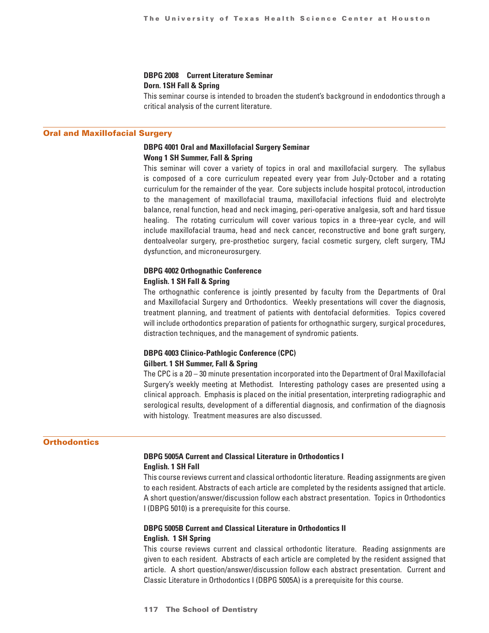# **DBPG 2008 Current Literature Seminar**

## **Dorn. 1SH Fall & Spring**

This seminar course is intended to broaden the student's background in endodontics through a critical analysis of the current literature.

## Oral and Maxillofacial Surgery

## **DBPG 4001 Oral and Maxillofacial Surgery Seminar Wong 1 SH Summer, Fall & Spring**

This seminar will cover a variety of topics in oral and maxillofacial surgery. The syllabus is composed of a core curriculum repeated every year from July-October and a rotating curriculum for the remainder of the year. Core subjects include hospital protocol, introduction to the management of maxillofacial trauma, maxillofacial infections fluid and electrolyte balance, renal function, head and neck imaging, peri-operative analgesia, soft and hard tissue healing. The rotating curriculum will cover various topics in a three-year cycle, and will include maxillofacial trauma, head and neck cancer, reconstructive and bone graft surgery, dentoalveolar surgery, pre-prosthetioc surgery, facial cosmetic surgery, cleft surgery, TMJ dysfunction, and microneurosurgery.

## **DBPG 4002 Orthognathic Conference English. 1 SH Fall & Spring**

The orthognathic conference is jointly presented by faculty from the Departments of Oral and Maxillofacial Surgery and Orthodontics. Weekly presentations will cover the diagnosis, treatment planning, and treatment of patients with dentofacial deformities. Topics covered will include orthodontics preparation of patients for orthognathic surgery, surgical procedures, distraction techniques, and the management of syndromic patients.

## **DBPG 4003 Clinico-Pathlogic Conference (CPC) Gilbert. 1 SH Summer, Fall & Spring**

The CPC is a 20 – 30 minute presentation incorporated into the Department of Oral Maxillofacial Surgery's weekly meeting at Methodist. Interesting pathology cases are presented using a clinical approach. Emphasis is placed on the initial presentation, interpreting radiographic and serological results, development of a differential diagnosis, and confirmation of the diagnosis with histology. Treatment measures are also discussed.

## **Orthodontics**

## **DBPG 5005A Current and Classical Literature in Orthodontics I English. 1 SH Fall**

This course reviews current and classical orthodontic literature. Reading assignments are given to each resident. Abstracts of each article are completed by the residents assigned that article. A short question/answer/discussion follow each abstract presentation. Topics in Orthodontics I (DBPG 5010) is a prerequisite for this course.

## **DBPG 5005B Current and Classical Literature in Orthodontics II English. 1 SH Spring**

This course reviews current and classical orthodontic literature. Reading assignments are given to each resident. Abstracts of each article are completed by the resident assigned that article. A short question/answer/discussion follow each abstract presentation. Current and Classic Literature in Orthodontics I (DBPG 5005A) is a prerequisite for this course.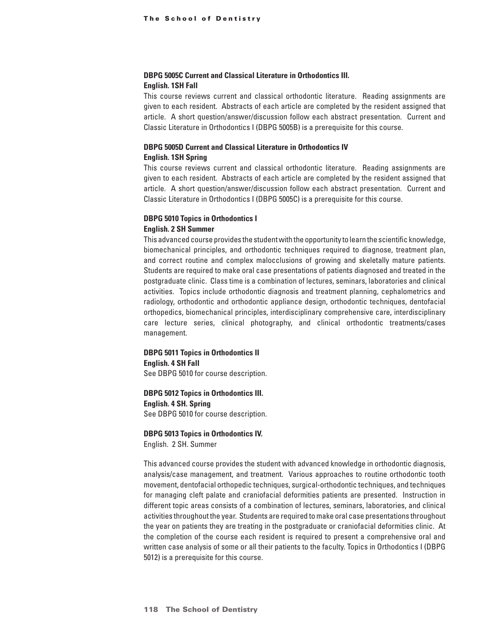## **DBPG 5005C Current and Classical Literature in Orthodontics III. English. 1SH Fall**

This course reviews current and classical orthodontic literature. Reading assignments are given to each resident. Abstracts of each article are completed by the resident assigned that article. A short question/answer/discussion follow each abstract presentation. Current and Classic Literature in Orthodontics I (DBPG 5005B) is a prerequisite for this course.

## **DBPG 5005D Current and Classical Literature in Orthodontics IV English. 1SH Spring**

This course reviews current and classical orthodontic literature. Reading assignments are given to each resident. Abstracts of each article are completed by the resident assigned that article. A short question/answer/discussion follow each abstract presentation. Current and Classic Literature in Orthodontics I (DBPG 5005C) is a prerequisite for this course.

## **DBPG 5010 Topics in Orthodontics I**

## **English. 2 SH Summer**

This advanced course provides the student with the opportunity to learn the scientific knowledge, biomechanical principles, and orthodontic techniques required to diagnose, treatment plan, and correct routine and complex malocclusions of growing and skeletally mature patients. Students are required to make oral case presentations of patients diagnosed and treated in the postgraduate clinic. Class time is a combination of lectures, seminars, laboratories and clinical activities. Topics include orthodontic diagnosis and treatment planning, cephalometrics and radiology, orthodontic and orthodontic appliance design, orthodontic techniques, dentofacial orthopedics, biomechanical principles, interdisciplinary comprehensive care, interdisciplinary care lecture series, clinical photography, and clinical orthodontic treatments/cases management.

## **DBPG 5011 Topics in Orthodontics II English. 4 SH Fall** See DBPG 5010 for course description.

**DBPG 5012 Topics in Orthodontics III. English. 4 SH. Spring** See DBPG 5010 for course description.

## **DBPG 5013 Topics in Orthodontics IV.**

English. 2 SH. Summer

This advanced course provides the student with advanced knowledge in orthodontic diagnosis, analysis/case management, and treatment. Various approaches to routine orthodontic tooth movement, dentofacial orthopedic techniques, surgical-orthodontic techniques, and techniques for managing cleft palate and craniofacial deformities patients are presented. Instruction in different topic areas consists of a combination of lectures, seminars, laboratories, and clinical activities throughout the year. Students are required to make oral case presentations throughout the year on patients they are treating in the postgraduate or craniofacial deformities clinic. At the completion of the course each resident is required to present a comprehensive oral and written case analysis of some or all their patients to the faculty. Topics in Orthodontics I (DBPG 5012) is a prerequisite for this course.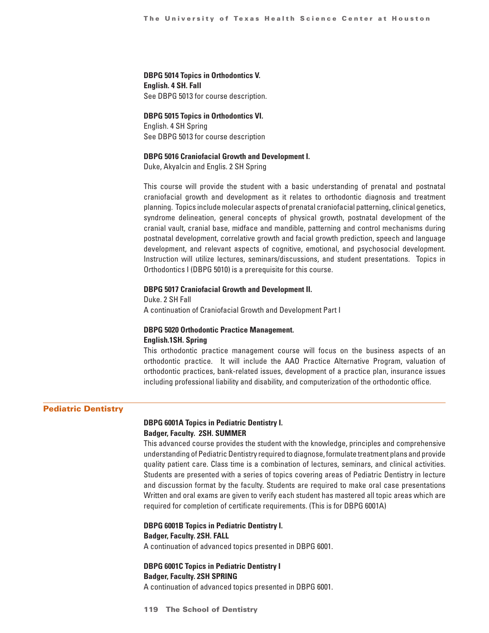**DBPG 5014 Topics in Orthodontics V. English. 4 SH. Fall** See DBPG 5013 for course description.

**DBPG 5015 Topics in Orthodontics VI.**  English. 4 SH Spring See DBPG 5013 for course description

#### **DBPG 5016 Craniofacial Growth and Development I.**

Duke, Akyalcin and Englis. 2 SH Spring

This course will provide the student with a basic understanding of prenatal and postnatal craniofacial growth and development as it relates to orthodontic diagnosis and treatment planning. Topics include molecular aspects of prenatal craniofacial patterning, clinical genetics, syndrome delineation, general concepts of physical growth, postnatal development of the cranial vault, cranial base, midface and mandible, patterning and control mechanisms during postnatal development, correlative growth and facial growth prediction, speech and language development, and relevant aspects of cognitive, emotional, and psychosocial development. Instruction will utilize lectures, seminars/discussions, and student presentations. Topics in Orthodontics I (DBPG 5010) is a prerequisite for this course.

## **DBPG 5017 Craniofacial Growth and Development II.**

Duke. 2 SH Fall A continuation of Craniofacial Growth and Development Part I

## **DBPG 5020 Orthodontic Practice Management. English.1SH. Spring**

This orthodontic practice management course will focus on the business aspects of an

orthodontic practice. It will include the AAO Practice Alternative Program, valuation of orthodontic practices, bank-related issues, development of a practice plan, insurance issues including professional liability and disability, and computerization of the orthodontic office.

## Pediatric Dentistry

## **DBPG 6001A Topics in Pediatric Dentistry I. Badger, Faculty. 2SH. SUMMER**

This advanced course provides the student with the knowledge, principles and comprehensive understanding of Pediatric Dentistry required to diagnose, formulate treatment plans and provide quality patient care. Class time is a combination of lectures, seminars, and clinical activities. Students are presented with a series of topics covering areas of Pediatric Dentistry in lecture and discussion format by the faculty. Students are required to make oral case presentations Written and oral exams are given to verify each student has mastered all topic areas which are required for completion of certificate requirements. (This is for DBPG 6001A)

**DBPG 6001B Topics in Pediatric Dentistry I. Badger, Faculty. 2SH. FALL**

A continuation of advanced topics presented in DBPG 6001.

**DBPG 6001C Topics in Pediatric Dentistry I Badger, Faculty. 2SH SPRING**

A continuation of advanced topics presented in DBPG 6001.

**119 The School of Dentistry**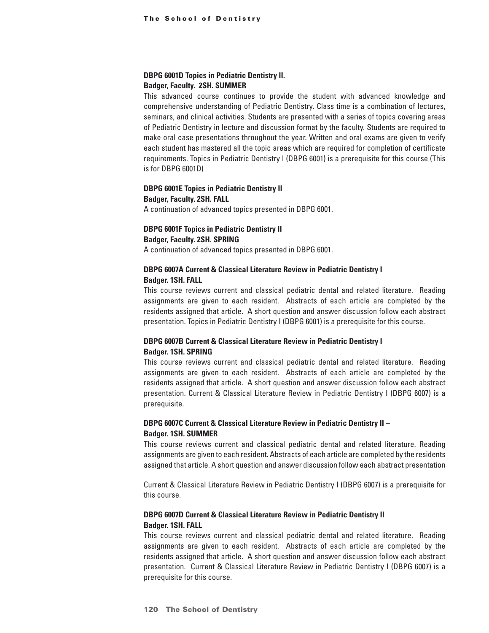### **DBPG 6001D Topics in Pediatric Dentistry II. Badger, Faculty. 2SH. SUMMER**

This advanced course continues to provide the student with advanced knowledge and comprehensive understanding of Pediatric Dentistry. Class time is a combination of lectures, seminars, and clinical activities. Students are presented with a series of topics covering areas of Pediatric Dentistry in lecture and discussion format by the faculty. Students are required to make oral case presentations throughout the year. Written and oral exams are given to verify each student has mastered all the topic areas which are required for completion of certificate requirements. Topics in Pediatric Dentistry I (DBPG 6001) is a prerequisite for this course (This is for DBPG 6001D)

## **DBPG 6001E Topics in Pediatric Dentistry II Badger, Faculty. 2SH. FALL**

A continuation of advanced topics presented in DBPG 6001.

### **DBPG 6001F Topics in Pediatric Dentistry II Badger, Faculty. 2SH. SPRING**

A continuation of advanced topics presented in DBPG 6001.

## **DBPG 6007A Current & Classical Literature Review in Pediatric Dentistry I Badger. 1SH. FALL**

This course reviews current and classical pediatric dental and related literature. Reading assignments are given to each resident. Abstracts of each article are completed by the residents assigned that article. A short question and answer discussion follow each abstract presentation. Topics in Pediatric Dentistry I (DBPG 6001) is a prerequisite for this course.

## **DBPG 6007B Current & Classical Literature Review in Pediatric Dentistry I Badger. 1SH. SPRING**

This course reviews current and classical pediatric dental and related literature. Reading assignments are given to each resident. Abstracts of each article are completed by the residents assigned that article. A short question and answer discussion follow each abstract presentation. Current & Classical Literature Review in Pediatric Dentistry I (DBPG 6007) is a prerequisite.

## **DBPG 6007C Current & Classical Literature Review in Pediatric Dentistry II – Badger. 1SH. SUMMER**

This course reviews current and classical pediatric dental and related literature. Reading assignments are given to each resident. Abstracts of each article are completed by the residents assigned that article. A short question and answer discussion follow each abstract presentation

Current & Classical Literature Review in Pediatric Dentistry I (DBPG 6007) is a prerequisite for this course.

## **DBPG 6007D Current & Classical Literature Review in Pediatric Dentistry II Badger. 1SH. FALL**

This course reviews current and classical pediatric dental and related literature. Reading assignments are given to each resident. Abstracts of each article are completed by the residents assigned that article. A short question and answer discussion follow each abstract presentation. Current & Classical Literature Review in Pediatric Dentistry I (DBPG 6007) is a prerequisite for this course.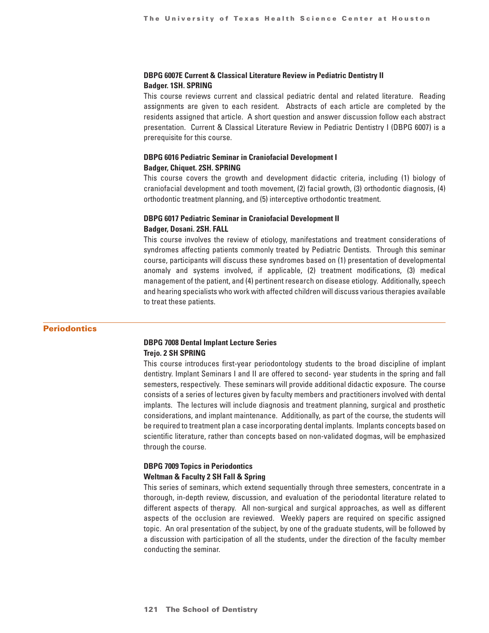## **DBPG 6007E Current & Classical Literature Review in Pediatric Dentistry II Badger. 1SH. SPRING**

This course reviews current and classical pediatric dental and related literature. Reading assignments are given to each resident. Abstracts of each article are completed by the residents assigned that article. A short question and answer discussion follow each abstract presentation. Current & Classical Literature Review in Pediatric Dentistry I (DBPG 6007) is a prerequisite for this course.

# **DBPG 6016 Pediatric Seminar in Craniofacial Development I**

## **Badger, Chiquet. 2SH. SPRING**

This course covers the growth and development didactic criteria, including (1) biology of craniofacial development and tooth movement, (2) facial growth, (3) orthodontic diagnosis, (4) orthodontic treatment planning, and (5) interceptive orthodontic treatment.

## **DBPG 6017 Pediatric Seminar in Craniofacial Development II Badger, Dosani. 2SH. FALL**

This course involves the review of etiology, manifestations and treatment considerations of syndromes affecting patients commonly treated by Pediatric Dentists. Through this seminar course, participants will discuss these syndromes based on (1) presentation of developmental anomaly and systems involved, if applicable, (2) treatment modifications, (3) medical management of the patient, and (4) pertinent research on disease etiology. Additionally, speech and hearing specialists who work with affected children will discuss various therapies available to treat these patients.

### **Periodontics**

## **DBPG 7008 Dental Implant Lecture Series Trejo. 2 SH SPRING**

This course introduces first-year periodontology students to the broad discipline of implant dentistry. Implant Seminars I and II are offered to second- year students in the spring and fall semesters, respectively. These seminars will provide additional didactic exposure. The course consists of a series of lectures given by faculty members and practitioners involved with dental implants. The lectures will include diagnosis and treatment planning, surgical and prosthetic considerations, and implant maintenance. Additionally, as part of the course, the students will be required to treatment plan a case incorporating dental implants. Implants concepts based on scientific literature, rather than concepts based on non-validated dogmas, will be emphasized through the course.

## **DBPG 7009 Topics in Periodontics Weltman & Faculty 2 SH Fall & Spring**

This series of seminars, which extend sequentially through three semesters, concentrate in a thorough, in-depth review, discussion, and evaluation of the periodontal literature related to different aspects of therapy. All non-surgical and surgical approaches, as well as different aspects of the occlusion are reviewed. Weekly papers are required on specific assigned topic. An oral presentation of the subject, by one of the graduate students, will be followed by a discussion with participation of all the students, under the direction of the faculty member conducting the seminar.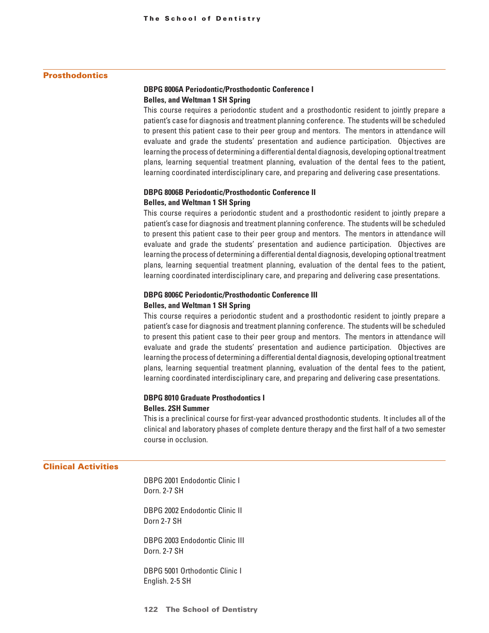## **Prosthodontics**

## **DBPG 8006A Periodontic/Prosthodontic Conference I Belles, and Weltman 1 SH Spring**

This course requires a periodontic student and a prosthodontic resident to jointly prepare a patient's case for diagnosis and treatment planning conference. The students will be scheduled to present this patient case to their peer group and mentors. The mentors in attendance will evaluate and grade the students' presentation and audience participation. Objectives are learning the process of determining a differential dental diagnosis, developing optional treatment plans, learning sequential treatment planning, evaluation of the dental fees to the patient, learning coordinated interdisciplinary care, and preparing and delivering case presentations.

## **DBPG 8006B Periodontic/Prosthodontic Conference II Belles, and Weltman 1 SH Spring**

This course requires a periodontic student and a prosthodontic resident to jointly prepare a patient's case for diagnosis and treatment planning conference. The students will be scheduled to present this patient case to their peer group and mentors. The mentors in attendance will evaluate and grade the students' presentation and audience participation. Objectives are learning the process of determining a differential dental diagnosis, developing optional treatment plans, learning sequential treatment planning, evaluation of the dental fees to the patient, learning coordinated interdisciplinary care, and preparing and delivering case presentations.

## **DBPG 8006C Periodontic/Prosthodontic Conference III Belles, and Weltman 1 SH Spring**

This course requires a periodontic student and a prosthodontic resident to jointly prepare a patient's case for diagnosis and treatment planning conference. The students will be scheduled to present this patient case to their peer group and mentors. The mentors in attendance will evaluate and grade the students' presentation and audience participation. Objectives are learning the process of determining a differential dental diagnosis, developing optional treatment plans, learning sequential treatment planning, evaluation of the dental fees to the patient, learning coordinated interdisciplinary care, and preparing and delivering case presentations.

## **DBPG 8010 Graduate Prosthodontics I Belles. 2SH Summer**

This is a preclinical course for first-year advanced prosthodontic students. It includes all of the clinical and laboratory phases of complete denture therapy and the first half of a two semester course in occlusion.

### Clinical Activities

DBPG 2001 Endodontic Clinic I Dorn. 2-7 SH

DBPG 2002 Endodontic Clinic II Dorn 2-7 SH

DBPG 2003 Endodontic Clinic III Dorn. 2-7 SH

DBPG 5001 Orthodontic Clinic I English. 2-5 SH

**122 The School of Dentistry**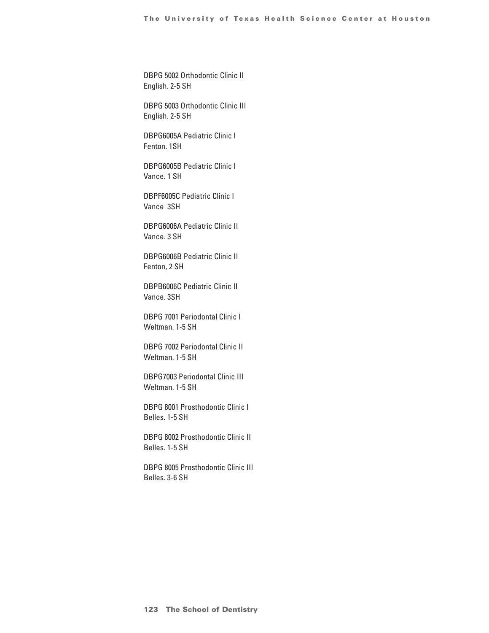DBPG 5002 Orthodontic Clinic II English. 2-5 SH

DBPG 5003 Orthodontic Clinic III English. 2-5 SH

DBPG6005A Pediatric Clinic I Fenton. 1SH

DBPG6005B Pediatric Clinic I Vance. 1 SH

DBPF6005C Pediatric Clinic I Vance 3SH

DBPG6006A Pediatric Clinic II Vance. 3 SH

DBPG6006B Pediatric Clinic II Fenton, 2 SH

DBPB6006C Pediatric Clinic II Vance. 3SH

DBPG 7001 Periodontal Clinic I Weltman. 1-5 SH

DBPG 7002 Periodontal Clinic II Weltman. 1-5 SH

DBPG7003 Periodontal Clinic III Weltman. 1-5 SH

DBPG 8001 Prosthodontic Clinic I Belles. 1-5 SH

DBPG 8002 Prosthodontic Clinic II Belles. 1-5 SH

DBPG 8005 Prosthodontic Clinic III Belles. 3-6 SH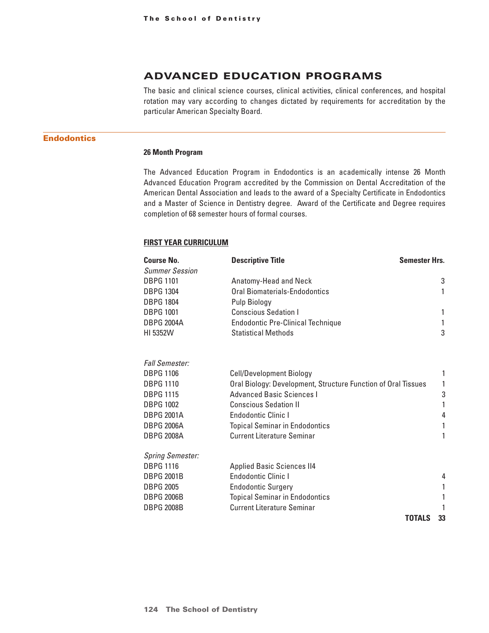# ADVANCED EDUCATION PROGRAMS

The basic and clinical science courses, clinical activities, clinical conferences, and hospital rotation may vary according to changes dictated by requirements for accreditation by the particular American Specialty Board.

# **Endodontics**

#### **26 Month Program**

The Advanced Education Program in Endodontics is an academically intense 26 Month Advanced Education Program accredited by the Commission on Dental Accreditation of the American Dental Association and leads to the award of a Specialty Certificate in Endodontics and a Master of Science in Dentistry degree. Award of the Certificate and Degree requires completion of 68 semester hours of formal courses.

### **First Year Curriculum**

| <b>Course No.</b>       | <b>Descriptive Title</b><br><b>Semester Hrs.</b>              |    |
|-------------------------|---------------------------------------------------------------|----|
| <b>Summer Session</b>   |                                                               |    |
| <b>DBPG 1101</b>        | Anatomy-Head and Neck                                         | 3  |
| <b>DBPG 1304</b>        | Oral Biomaterials-Endodontics                                 | 1  |
| <b>DBPG 1804</b>        | Pulp Biology                                                  |    |
| <b>DBPG 1001</b>        | <b>Conscious Sedation I</b>                                   | 1  |
| <b>DBPG 2004A</b>       | <b>Endodontic Pre-Clinical Technique</b>                      |    |
| HI 5352W                | <b>Statistical Methods</b>                                    | 3  |
| <b>Fall Semester:</b>   |                                                               |    |
| <b>DBPG 1106</b>        | <b>Cell/Development Biology</b>                               | 1  |
| <b>DBPG 1110</b>        | Oral Biology: Development, Structure Function of Oral Tissues | 1  |
| <b>DBPG 1115</b>        | <b>Advanced Basic Sciences I</b>                              | 3  |
| <b>DBPG 1002</b>        | <b>Conscious Sedation II</b>                                  | 1  |
| <b>DBPG 2001A</b>       | <b>Endodontic Clinic I</b>                                    | 4  |
| <b>DBPG 2006A</b>       | <b>Topical Seminar in Endodontics</b>                         | 1  |
| <b>DBPG 2008A</b>       | <b>Current Literature Seminar</b>                             | 1  |
| <b>Spring Semester:</b> |                                                               |    |
| <b>DBPG 1116</b>        | <b>Applied Basic Sciences II4</b>                             |    |
| <b>DBPG 2001B</b>       | Endodontic Clinic I                                           | 4  |
| <b>DBPG 2005</b>        | <b>Endodontic Surgery</b>                                     |    |
| <b>DBPG 2006B</b>       | <b>Topical Seminar in Endodontics</b>                         | 1  |
| <b>DBPG 2008B</b>       | <b>Current Literature Seminar</b>                             |    |
|                         | <b>TOTALS</b>                                                 | 33 |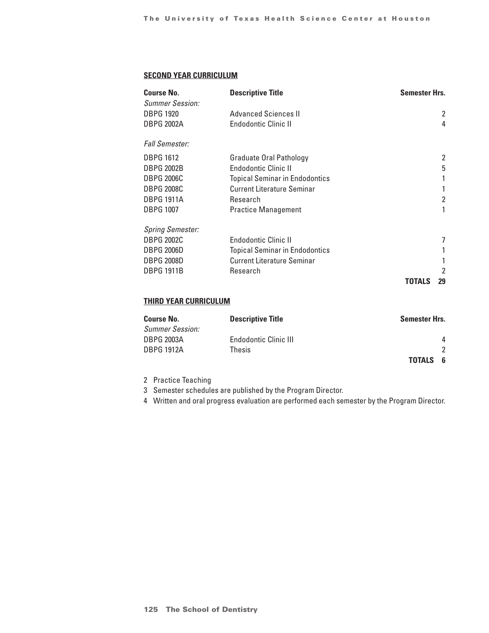## **Second Year Curriculum**

| <b>Course No.</b><br><b>Summer Session:</b> | <b>Descriptive Title</b>              | <b>Semester Hrs.</b> |    |
|---------------------------------------------|---------------------------------------|----------------------|----|
| <b>DBPG 1920</b>                            | Advanced Sciences II                  |                      | 2  |
| <b>DBPG 2002A</b>                           | <b>Endodontic Clinic II</b>           |                      | 4  |
| <b>Fall Semester:</b>                       |                                       |                      |    |
| <b>DBPG 1612</b>                            | Graduate Oral Pathology               |                      | 2  |
| <b>DBPG 2002B</b>                           | <b>Endodontic Clinic II</b>           |                      | 5  |
| <b>DBPG 2006C</b>                           | <b>Topical Seminar in Endodontics</b> |                      |    |
| <b>DBPG 2008C</b>                           | <b>Current Literature Seminar</b>     |                      |    |
| <b>DBPG 1911A</b>                           | Research                              |                      | 2  |
| <b>DBPG 1007</b>                            | <b>Practice Management</b>            |                      |    |
| <b>Spring Semester:</b>                     |                                       |                      |    |
| <b>DBPG 2002C</b>                           | <b>Endodontic Clinic II</b>           |                      | 7  |
| <b>DBPG 2006D</b>                           | <b>Topical Seminar in Endodontics</b> |                      |    |
| <b>DBPG 2008D</b>                           | <b>Current Literature Seminar</b>     |                      |    |
| <b>DBPG 1911B</b>                           | Research                              |                      | 2  |
|                                             |                                       | TOTALS               | 29 |

# **Third Year Curriculum**

| <b>Course No.</b>      | <b>Descriptive Title</b>     | Semester Hrs.        |
|------------------------|------------------------------|----------------------|
| <b>Summer Session:</b> |                              |                      |
| <b>DBPG 2003A</b>      | <b>Endodontic Clinic III</b> | 4                    |
| <b>DBPG 1912A</b>      | Thesis                       |                      |
|                        |                              | <b>TOTALS</b><br>- 6 |

2 Practice Teaching

3 Semester schedules are published by the Program Director.

4 Written and oral progress evaluation are performed each semester by the Program Director.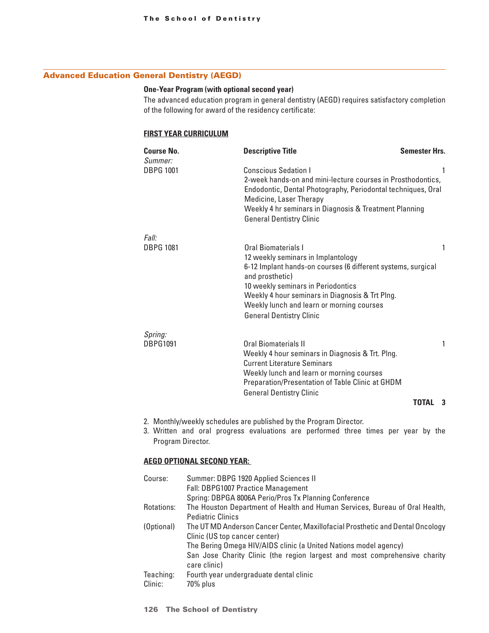# Advanced Education General Dentistry (AEGD)

## **One-Year Program (with optional second year)**

The advanced education program in general dentistry (AEGD) requires satisfactory completion of the following for award of the residency certificate:

## **First Year Curriculum**

| <b>Course No.</b><br>Summer: | <b>Descriptive Title</b>                                                                                                                                                                                                                                                                                              | <b>Semester Hrs.</b> |
|------------------------------|-----------------------------------------------------------------------------------------------------------------------------------------------------------------------------------------------------------------------------------------------------------------------------------------------------------------------|----------------------|
| <b>DBPG 1001</b>             | <b>Conscious Sedation I</b><br>2-week hands-on and mini-lecture courses in Prosthodontics,<br>Endodontic, Dental Photography, Periodontal techniques, Oral<br>Medicine, Laser Therapy<br>Weekly 4 hr seminars in Diagnosis & Treatment Planning<br><b>General Dentistry Clinic</b>                                    | 1                    |
| Fall:                        |                                                                                                                                                                                                                                                                                                                       |                      |
| <b>DBPG 1081</b>             | Oral Biomaterials I<br>12 weekly seminars in Implantology<br>6-12 Implant hands-on courses (6 different systems, surgical<br>and prosthetic)<br>10 weekly seminars in Periodontics<br>Weekly 4 hour seminars in Diagnosis & Trt Plng.<br>Weekly lunch and learn or morning courses<br><b>General Dentistry Clinic</b> | 1                    |
| Spring:                      |                                                                                                                                                                                                                                                                                                                       |                      |
| <b>DBPG1091</b>              | Oral Biomaterials II<br>Weekly 4 hour seminars in Diagnosis & Trt. Plng.<br><b>Current Literature Seminars</b><br>Weekly lunch and learn or morning courses<br>Preparation/Presentation of Table Clinic at GHDM<br><b>General Dentistry Clinic</b>                                                                    | 1                    |
|                              |                                                                                                                                                                                                                                                                                                                       | <b>TOTAL</b><br>3    |

- 2. Monthly/weekly schedules are published by the Program Director.
- 3. Written and oral progress evaluations are performed three times per year by the Program Director.

## **AEGD Optional Second Year:**

| Course:    | Summer: DBPG 1920 Applied Sciences II                                          |
|------------|--------------------------------------------------------------------------------|
|            | Fall: DBPG1007 Practice Management                                             |
|            | Spring: DBPGA 8006A Perio/Pros Tx Planning Conference                          |
| Rotations: | The Houston Department of Health and Human Services, Bureau of Oral Health,    |
|            | <b>Pediatric Clinics</b>                                                       |
| (Optional) | The UT MD Anderson Cancer Center, Maxillofacial Prosthetic and Dental Oncology |
|            | Clinic (US top cancer center)                                                  |
|            | The Bering Omega HIV/AIDS clinic (a United Nations model agency)               |
|            | San Jose Charity Clinic (the region largest and most comprehensive charity     |
|            | care clinic)                                                                   |
| Teaching:  | Fourth year undergraduate dental clinic                                        |
| Clinic:    | 70% plus                                                                       |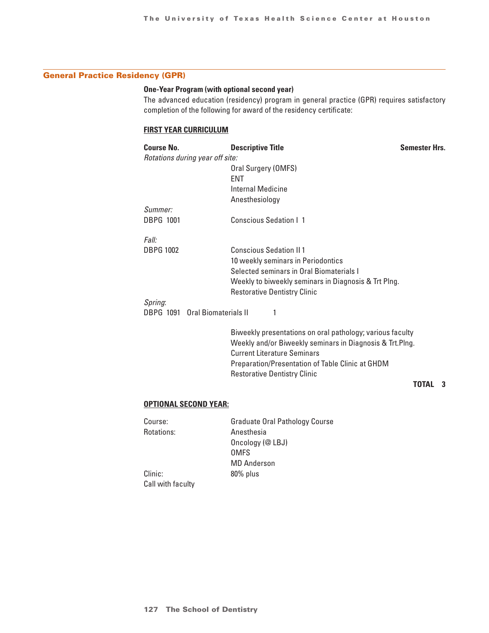# General Practice Residency (GPR)

## **One-Year Program (with optional second year)**

The advanced education (residency) program in general practice (GPR) requires satisfactory completion of the following for award of the residency certificate:

## **First Year Curriculum**

| <b>Course No.</b> | <b>Descriptive Title</b>                                                                      | <b>Semester Hrs.</b> |
|-------------------|-----------------------------------------------------------------------------------------------|----------------------|
|                   | Rotations during year off site:                                                               |                      |
|                   | Oral Surgery (OMFS)                                                                           |                      |
|                   | <b>ENT</b>                                                                                    |                      |
|                   | Internal Medicine                                                                             |                      |
|                   | Anesthesiology                                                                                |                      |
| Summer:           |                                                                                               |                      |
| <b>DBPG 1001</b>  | <b>Conscious Sedation   1</b>                                                                 |                      |
| Fall:             |                                                                                               |                      |
| <b>DBPG 1002</b>  | <b>Conscious Sedation II 1</b>                                                                |                      |
|                   | 10 weekly seminars in Periodontics                                                            |                      |
|                   | Selected seminars in Oral Biomaterials I                                                      |                      |
|                   | Weekly to biweekly seminars in Diagnosis & Trt Plng.                                          |                      |
|                   | <b>Restorative Dentistry Clinic</b>                                                           |                      |
| Spring:           |                                                                                               |                      |
|                   | DBPG 1091 Oral Biomaterials II                                                                |                      |
|                   | Discount letter and a consention of the consention of the second consention of the collection |                      |

Biweekly presentations on oral pathology; various faculty Weekly and/or Biweekly seminars in Diagnosis & Trt.Plng. Current Literature Seminars Preparation/Presentation of Table Clinic at GHDM Restorative Dentistry Clinic

# **TOTAL 3**

## **Optional Second Year:**

| Course:           | <b>Graduate Oral Pathology Course</b> |
|-------------------|---------------------------------------|
| Rotations:        | Anesthesia                            |
|                   | Oncology (@ LBJ)                      |
|                   | <b>OMFS</b>                           |
|                   | <b>MD Anderson</b>                    |
| Clinic:           | 80% plus                              |
| Call with faculty |                                       |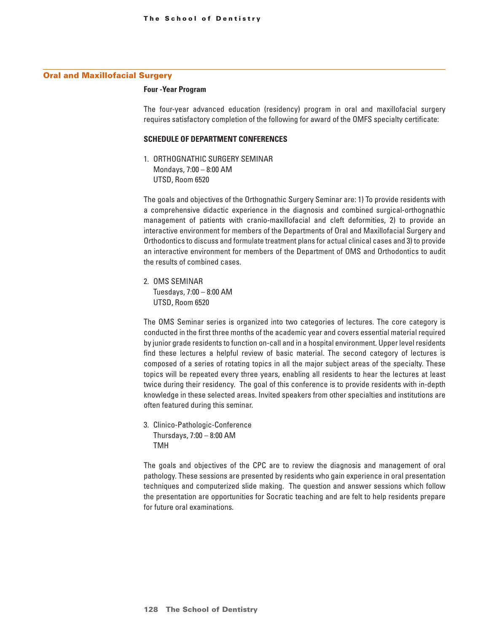### Oral and Maxillofacial Surgery

#### **Four -Year Program**

The four-year advanced education (residency) program in oral and maxillofacial surgery requires satisfactory completion of the following for award of the OMFS specialty certificate:

#### **SCHEDULE OF DEPARTMENT CONFERENCES**

1. ORTHOGNATHIC SURGERY SEMINAR Mondays, 7:00 – 8:00 AM UTSD, Room 6520

The goals and objectives of the Orthognathic Surgery Seminar are: 1) To provide residents with a comprehensive didactic experience in the diagnosis and combined surgical-orthognathic management of patients with cranio-maxillofacial and cleft deformities, 2) to provide an interactive environment for members of the Departments of Oral and Maxillofacial Surgery and Orthodontics to discuss and formulate treatment plans for actual clinical cases and 3) to provide an interactive environment for members of the Department of OMS and Orthodontics to audit the results of combined cases.

2. OMS SEMINAR Tuesdays, 7:00 – 8:00 AM UTSD, Room 6520

The OMS Seminar series is organized into two categories of lectures. The core category is conducted in the first three months of the academic year and covers essential material required by junior grade residents to function on-call and in a hospital environment. Upper level residents find these lectures a helpful review of basic material. The second category of lectures is composed of a series of rotating topics in all the major subject areas of the specialty. These topics will be repeated every three years, enabling all residents to hear the lectures at least twice during their residency. The goal of this conference is to provide residents with in-depth knowledge in these selected areas. Invited speakers from other specialties and institutions are often featured during this seminar.

3. Clinico-Pathologic-Conference Thursdays, 7:00 – 8:00 AM TMH

The goals and objectives of the CPC are to review the diagnosis and management of oral pathology. These sessions are presented by residents who gain experience in oral presentation techniques and computerized slide making. The question and answer sessions which follow the presentation are opportunities for Socratic teaching and are felt to help residents prepare for future oral examinations.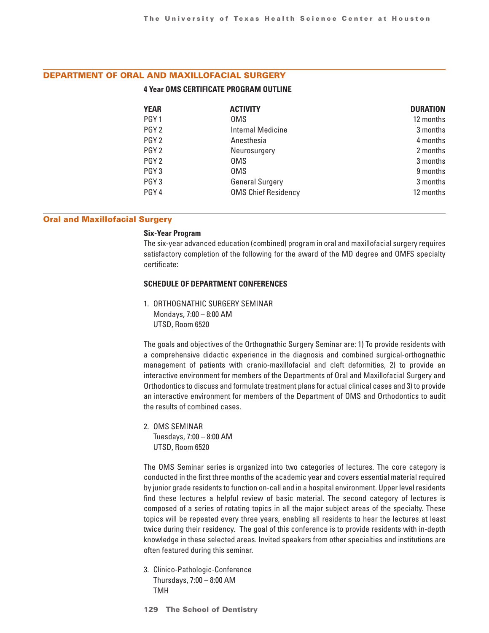## DEPARTMENT OF ORAL AND MAXILLOFACIAL SURGERY

#### **4 Year OMS CERTIFICATE PROGRAM OUTLINE**

| <b>YEAR</b>      | <b>ACTIVITY</b>            | <b>DURATION</b> |
|------------------|----------------------------|-----------------|
| PGY <sub>1</sub> | <b>OMS</b>                 | 12 months       |
| PGY <sub>2</sub> | <b>Internal Medicine</b>   | 3 months        |
| PGY <sub>2</sub> | Anesthesia                 | 4 months        |
| PGY <sub>2</sub> | Neurosurgery               | 2 months        |
| PGY <sub>2</sub> | <b>OMS</b>                 | 3 months        |
| PGY <sub>3</sub> | 0MS                        | 9 months        |
| PGY <sub>3</sub> | <b>General Surgery</b>     | 3 months        |
| PGY <sub>4</sub> | <b>OMS Chief Residency</b> | 12 months       |

#### Oral and Maxillofacial Surgery

#### **Six-Year Program**

The six-year advanced education (combined) program in oral and maxillofacial surgery requires satisfactory completion of the following for the award of the MD degree and OMFS specialty certificate:

#### **SCHEDULE OF DEPARTMENT CONFERENCES**

1. ORTHOGNATHIC SURGERY SEMINAR Mondays, 7:00 – 8:00 AM UTSD, Room 6520

The goals and objectives of the Orthognathic Surgery Seminar are: 1) To provide residents with a comprehensive didactic experience in the diagnosis and combined surgical-orthognathic management of patients with cranio-maxillofacial and cleft deformities, 2) to provide an interactive environment for members of the Departments of Oral and Maxillofacial Surgery and Orthodontics to discuss and formulate treatment plans for actual clinical cases and 3) to provide an interactive environment for members of the Department of OMS and Orthodontics to audit the results of combined cases.

2. OMS SEMINAR Tuesdays, 7:00 – 8:00 AM UTSD, Room 6520

The OMS Seminar series is organized into two categories of lectures. The core category is conducted in the first three months of the academic year and covers essential material required by junior grade residents to function on-call and in a hospital environment. Upper level residents find these lectures a helpful review of basic material. The second category of lectures is composed of a series of rotating topics in all the major subject areas of the specialty. These topics will be repeated every three years, enabling all residents to hear the lectures at least twice during their residency. The goal of this conference is to provide residents with in-depth knowledge in these selected areas. Invited speakers from other specialties and institutions are often featured during this seminar.

3. Clinico-Pathologic-Conference Thursdays, 7:00 – 8:00 AM TMH

**129 The School of Dentistry**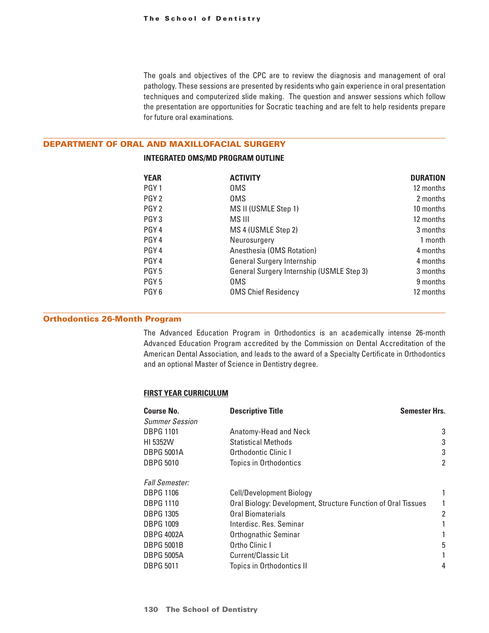The goals and objectives of the CPC are to review the diagnosis and management of oral pathology. These sessions are presented by residents who gain experience in oral presentation techniques and computerized slide making. The question and answer sessions which follow the presentation are opportunities for Socratic teaching and are felt to help residents prepare for future oral examinations.

#### DEPARTMENT OF ORAL AND MAXILLOFACIAL SURGERY

## **INTEGRATED OMS/MD PROGRAM OUTLINE**

| <b>YEAR</b>      | <b>ACTIVITY</b>                                  | <b>DURATION</b> |
|------------------|--------------------------------------------------|-----------------|
| PGY <sub>1</sub> | 0MS                                              | 12 months       |
| PGY <sub>2</sub> | 0MS                                              | 2 months        |
| PGY <sub>2</sub> | MS II (USMLE Step 1)                             | 10 months       |
| PGY <sub>3</sub> | MS III                                           | 12 months       |
| PGY <sub>4</sub> | MS 4 (USMLE Step 2)                              | 3 months        |
| PGY <sub>4</sub> | Neurosurgery                                     | 1 month         |
| PGY <sub>4</sub> | Anesthesia (OMS Rotation)                        | 4 months        |
| PGY <sub>4</sub> | <b>General Surgery Internship</b>                | 4 months        |
| PGY <sub>5</sub> | <b>General Surgery Internship (USMLE Step 3)</b> | 3 months        |
| PGY <sub>5</sub> | 0MS                                              | 9 months        |
| PGY <sub>6</sub> | <b>OMS Chief Residency</b>                       | 12 months       |

### Orthodontics 26-Month Program

The Advanced Education Program in Orthodontics is an academically intense 26-month Advanced Education Program accredited by the Commission on Dental Accreditation of the American Dental Association, and leads to the award of a Specialty Certificate in Orthodontics and an optional Master of Science in Dentistry degree.

### **First Year Curriculum**

| <b>Course No.</b><br><b>Summer Session</b> | <b>Descriptive Title</b><br><b>Semester Hrs.</b>              |                |
|--------------------------------------------|---------------------------------------------------------------|----------------|
| <b>DBPG 1101</b>                           | Anatomy-Head and Neck                                         | 3              |
| HI 5352W                                   | <b>Statistical Methods</b>                                    | 3              |
| <b>DBPG 5001A</b>                          | Orthodontic Clinic I                                          | 3              |
| <b>DBPG 5010</b>                           | <b>Topics in Orthodontics</b>                                 | $\overline{2}$ |
| <b>Fall Semester:</b>                      |                                                               |                |
| <b>DBPG 1106</b>                           | <b>Cell/Development Biology</b>                               |                |
| <b>DBPG 1110</b>                           | Oral Biology: Development, Structure Function of Oral Tissues | 1              |
| <b>DBPG 1305</b>                           | Oral Biomaterials                                             | 2              |
| <b>DBPG 1009</b>                           | Interdisc. Res. Seminar                                       |                |
| <b>DBPG 4002A</b>                          | Orthognathic Seminar                                          | 1              |
| <b>DBPG 5001B</b>                          | Ortho Clinic I                                                | 5              |
| <b>DBPG 5005A</b>                          | Current/Classic Lit                                           |                |
| <b>DBPG 5011</b>                           | Topics in Orthodontics II                                     | 4              |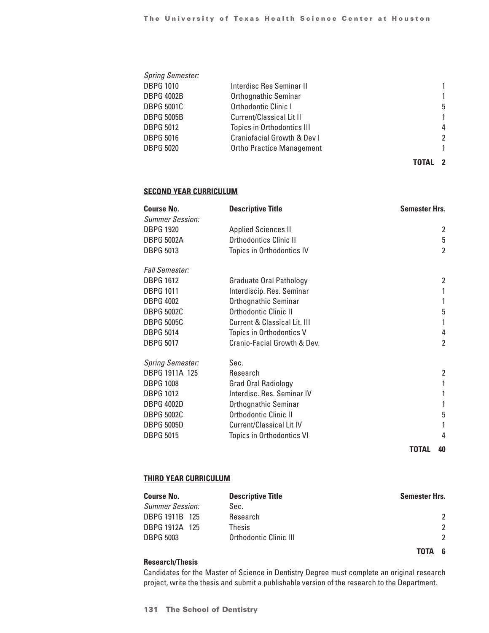| <b>Spring Semester:</b> |                                        |               |
|-------------------------|----------------------------------------|---------------|
| <b>DBPG 1010</b>        | Interdisc Res Seminar II               | 1             |
| <b>DBPG 4002B</b>       | Orthognathic Seminar                   | 1             |
| DBPG 5001C              | Orthodontic Clinic I                   | 5             |
| DBPG 5005B              | <b>Current/Classical Lit II</b>        | 1             |
| DBPG 5012               | <b>Topics in Orthodontics III</b>      | 4             |
| <b>DBPG 5016</b>        | <b>Craniofacial Growth &amp; Dev I</b> | $\mathcal{P}$ |
| <b>DBPG 5020</b>        | <b>Ortho Practice Management</b>       | 1             |
|                         |                                        |               |

## **TOTAL 2**

### **Second Year Curriculum**

| Course No.                                 | <b>Descriptive Title</b>        | <b>Semester Hrs.</b> |
|--------------------------------------------|---------------------------------|----------------------|
| <b>Summer Session:</b><br><b>DBPG 1920</b> | <b>Applied Sciences II</b>      | 2                    |
| <b>DBPG 5002A</b>                          | <b>Orthodontics Clinic II</b>   | 5                    |
|                                            |                                 |                      |
| <b>DBPG 5013</b>                           | Topics in Orthodontics IV       | $\overline{2}$       |
| Fall Semester:                             |                                 |                      |
| <b>DBPG 1612</b>                           | <b>Graduate Oral Pathology</b>  | $\overline{2}$       |
| <b>DBPG 1011</b>                           | Interdiscip. Res. Seminar       |                      |
| <b>DBPG 4002</b>                           | Orthognathic Seminar            | 1                    |
| <b>DBPG 5002C</b>                          | Orthodontic Clinic II           | 5                    |
| <b>DBPG 5005C</b>                          | Current & Classical Lit. III    |                      |
| <b>DBPG 5014</b>                           | Topics in Orthodontics V        | 4                    |
| <b>DBPG 5017</b>                           | Cranio-Facial Growth & Dev.     | $\overline{2}$       |
| <b>Spring Semester:</b>                    | Sec.                            |                      |
| DBPG 1911A 125                             | Research                        | $\overline{2}$       |
| <b>DBPG 1008</b>                           | Grad Oral Radiology             | 1                    |
| <b>DBPG 1012</b>                           | Interdisc. Res. Seminar IV      |                      |
| DBPG 4002D                                 | Orthognathic Seminar            |                      |
| <b>DBPG 5002C</b>                          | Orthodontic Clinic II           | 5                    |
| <b>DBPG 5005D</b>                          | <b>Current/Classical Lit IV</b> |                      |
| <b>DBPG 5015</b>                           | Topics in Orthodontics VI       | 4                    |
|                                            |                                 |                      |

**TOTAL 40**

### **Third Year Curriculum**

| <b>Course No.</b>      | <b>Descriptive Title</b> | <b>Semester Hrs.</b> |
|------------------------|--------------------------|----------------------|
| <b>Summer Session:</b> | Sec.                     |                      |
| DBPG 1911B 125         | Research                 | $\mathcal{P}$        |
| DBPG 1912A 125         | Thesis                   | $\mathfrak{p}$       |
| <b>DBPG 5003</b>       | Orthodontic Clinic III   | $\mathcal{P}$        |
|                        |                          | - 6<br>TOTA          |

## **Research/Thesis**

Candidates for the Master of Science in Dentistry Degree must complete an original research project, write the thesis and submit a publishable version of the research to the Department.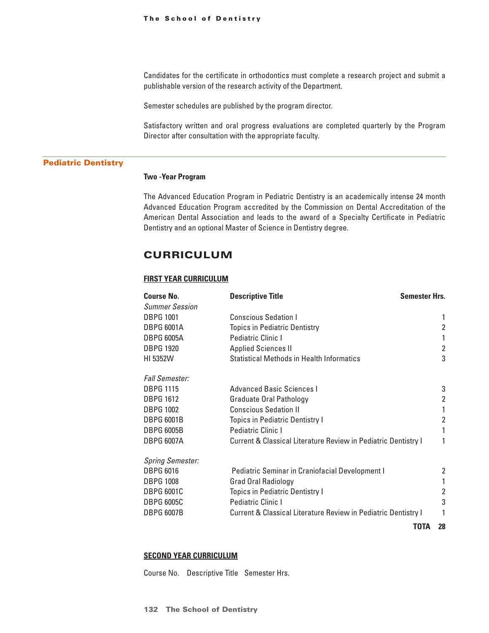Candidates for the certificate in orthodontics must complete a research project and submit a publishable version of the research activity of the Department.

Semester schedules are published by the program director.

Satisfactory written and oral progress evaluations are completed quarterly by the Program Director after consultation with the appropriate faculty.

#### Pediatric Dentistry

#### **Two -Year Program**

The Advanced Education Program in Pediatric Dentistry is an academically intense 24 month Advanced Education Program accredited by the Commission on Dental Accreditation of the American Dental Association and leads to the award of a Specialty Certificate in Pediatric Dentistry and an optional Master of Science in Dentistry degree.

# **CURRICULUM**

### **First Year Curriculum**

| <b>Course No.</b>       | <b>Semester Hrs.</b><br><b>Descriptive Title</b>                          |                |
|-------------------------|---------------------------------------------------------------------------|----------------|
| <b>Summer Session</b>   |                                                                           |                |
| <b>DBPG 1001</b>        | <b>Conscious Sedation I</b>                                               | 1              |
| <b>DBPG 6001A</b>       | <b>Topics in Pediatric Dentistry</b>                                      | 2              |
| <b>DBPG 6005A</b>       | Pediatric Clinic I                                                        | 1              |
| <b>DBPG 1920</b>        | <b>Applied Sciences II</b>                                                | $\overline{2}$ |
| HI 5352W                | <b>Statistical Methods in Health Informatics</b>                          | 3              |
| <b>Fall Semester:</b>   |                                                                           |                |
| <b>DBPG 1115</b>        | Advanced Basic Sciences I                                                 | 3              |
| <b>DBPG 1612</b>        | <b>Graduate Oral Pathology</b>                                            | $\overline{2}$ |
| <b>DBPG 1002</b>        | <b>Conscious Sedation II</b>                                              |                |
| <b>DBPG 6001B</b>       | <b>Topics in Pediatric Dentistry I</b>                                    | $\overline{2}$ |
| <b>DBPG 6005B</b>       | Pediatric Clinic I                                                        | 1              |
| <b>DBPG 6007A</b>       | Current & Classical Literature Review in Pediatric Dentistry I            | 1              |
| <b>Spring Semester:</b> |                                                                           |                |
| <b>DBPG 6016</b>        | <b>Pediatric Seminar in Craniofacial Development I</b>                    | 2              |
| <b>DBPG 1008</b>        | <b>Grad Oral Radiology</b>                                                | 1              |
| <b>DBPG 6001C</b>       | <b>Topics in Pediatric Dentistry I</b>                                    | 2              |
| <b>DBPG 6005C</b>       | Pediatric Clinic I                                                        | 3              |
| <b>DBPG 6007B</b>       | <b>Current &amp; Classical Literature Review in Pediatric Dentistry I</b> |                |
|                         | TOTA                                                                      | 28             |

#### **Second Year Curriculum**

Course No. Descriptive Title Semester Hrs.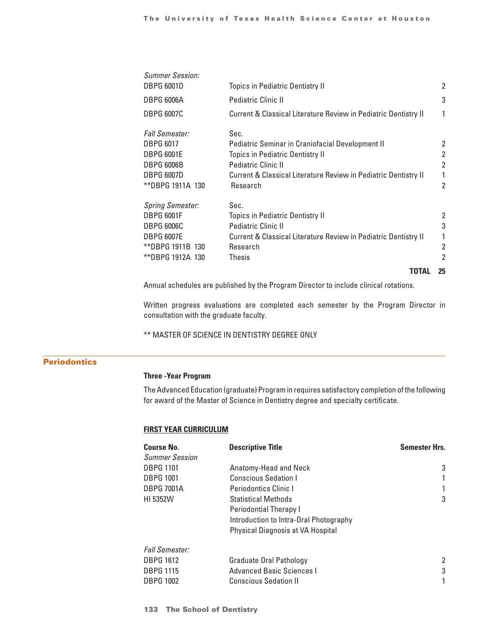|                         | TOTAL                                                           | 25             |
|-------------------------|-----------------------------------------------------------------|----------------|
| **DBPG 1912A 130        | Thesis                                                          | 2              |
| **DBPG 1911B 130        | Research                                                        | 2              |
| DBPG 6007E              | Current & Classical Literature Review in Pediatric Dentistry II | 1              |
| <b>DBPG 6006C</b>       | <b>Pediatric Clinic II</b>                                      | 3              |
| <b>DBPG 6001F</b>       | <b>Topics in Pediatric Dentistry II</b>                         | 2              |
| <b>Spring Semester:</b> | Sec.                                                            |                |
| **DBPG 1911A 130        | Research                                                        | $\overline{2}$ |
| <b>DBPG 6007D</b>       | Current & Classical Literature Review in Pediatric Dentistry II | 1              |
| <b>DBPG 6006B</b>       | <b>Pediatric Clinic II</b>                                      | $\overline{2}$ |
| DBPG 6001E              | <b>Topics in Pediatric Dentistry II</b>                         | 2              |
| <b>DBPG 6017</b>        | Pediatric Seminar in Craniofacial Development II                | 2              |
| <i>Fall Semester:</i>   | Sec.                                                            |                |
| <b>DBPG 6007C</b>       | Current & Classical Literature Review in Pediatric Dentistry II | 1              |
| <b>DBPG 6006A</b>       | <b>Pediatric Clinic II</b>                                      | 3              |
| <b>DBPG 6001D</b>       | <b>Topics in Pediatric Dentistry II</b>                         | 2              |
| <b>Summer Session:</b>  |                                                                 |                |

Annual schedules are published by the Program Director to include clinical rotations.

Written progress evaluations are completed each semester by the Program Director in consultation with the graduate faculty.

\*\* MASTER OF SCIENCE IN DENTISTRY DEGREE ONLY

# **Periodontics**

## **Three -Year Program**

The Advanced Education (graduate) Program in requires satisfactory completion of the following for award of the Master of Science in Dentistry degree and specialty certificate.

### **First Year Curriculum**

| <b>Course No.</b>     | <b>Descriptive Title</b>               | <b>Semester Hrs.</b> |
|-----------------------|----------------------------------------|----------------------|
| <b>Summer Session</b> |                                        |                      |
| <b>DBPG 1101</b>      | Anatomy-Head and Neck                  | 3                    |
| <b>DBPG 1001</b>      | <b>Conscious Sedation I</b>            | 1                    |
| <b>DBPG 7001A</b>     | Periodontics Clinic I                  |                      |
| HI 5352W              | <b>Statistical Methods</b>             | 3                    |
|                       | <b>Periodontial Therapy I</b>          |                      |
|                       | Introduction to Intra-Oral Photography |                      |
|                       | Physical Diagnosis at VA Hospital      |                      |
| <b>Fall Semester:</b> |                                        |                      |
| <b>DBPG 1612</b>      | Graduate Oral Pathology                | 2                    |
| <b>DBPG 1115</b>      | <b>Advanced Basic Sciences I</b>       | 3                    |
| <b>DBPG 1002</b>      | <b>Conscious Sedation II</b>           |                      |
|                       |                                        |                      |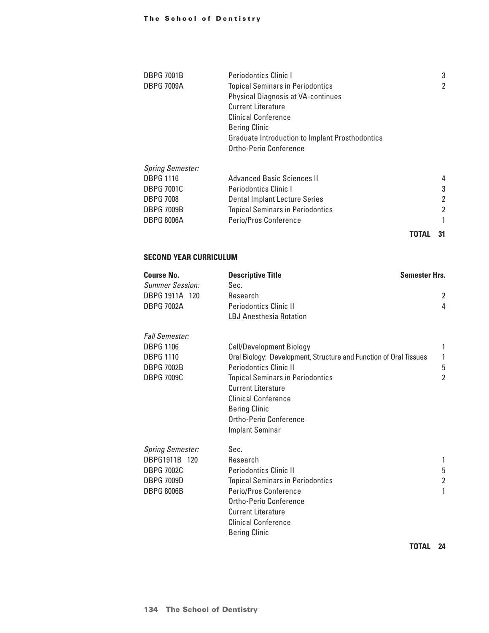## The School of Dentistry

| <b>DBPG 7001B</b>       | <b>Periodontics Clinic I</b>                           |       | 3              |
|-------------------------|--------------------------------------------------------|-------|----------------|
| <b>DBPG 7009A</b>       | <b>Topical Seminars in Periodontics</b>                |       | $\overline{2}$ |
|                         | <b>Physical Diagnosis at VA-continues</b>              |       |                |
|                         | <b>Current Literature</b>                              |       |                |
|                         | <b>Clinical Conference</b>                             |       |                |
|                         | <b>Bering Clinic</b>                                   |       |                |
|                         | <b>Graduate Introduction to Implant Prosthodontics</b> |       |                |
|                         | Ortho-Perio Conference                                 |       |                |
| <b>Spring Semester:</b> |                                                        |       |                |
| <b>DBPG 1116</b>        | <b>Advanced Basic Sciences II</b>                      |       | 4              |
| <b>DBPG 7001C</b>       | Periodontics Clinic I                                  |       | 3              |
| <b>DBPG 7008</b>        | <b>Dental Implant Lecture Series</b>                   |       | 2              |
| <b>DBPG 7009B</b>       | <b>Topical Seminars in Periodontics</b>                |       | $\overline{2}$ |
| <b>DBPG 8006A</b>       | Perio/Pros Conference                                  |       |                |
|                         |                                                        | TOTAL | 31             |

## **Second Year Curriculum**

| <b>Course No.</b>       | <b>Descriptive Title</b>                                          | <b>Semester Hrs.</b> |
|-------------------------|-------------------------------------------------------------------|----------------------|
| Summer Session:         | Sec.                                                              |                      |
| DBPG 1911A 120          | Research                                                          | 2                    |
| <b>DBPG 7002A</b>       | <b>Periodontics Clinic II</b>                                     | 4                    |
|                         | LBJ Anesthesia Rotation                                           |                      |
| <b>Fall Semester:</b>   |                                                                   |                      |
| <b>DBPG 1106</b>        | <b>Cell/Development Biology</b>                                   | 1                    |
| <b>DBPG 1110</b>        | Oral Biology: Development, Structure and Function of Oral Tissues | 1                    |
| <b>DBPG 7002B</b>       | <b>Periodontics Clinic II</b>                                     | 5                    |
| <b>DBPG 7009C</b>       | <b>Topical Seminars in Periodontics</b>                           | $\overline{2}$       |
|                         | <b>Current Literature</b>                                         |                      |
|                         | <b>Clinical Conference</b>                                        |                      |
|                         | <b>Bering Clinic</b>                                              |                      |
|                         | Ortho-Perio Conference                                            |                      |
|                         | <b>Implant Seminar</b>                                            |                      |
| <b>Spring Semester:</b> | Sec.                                                              |                      |
| DBPG1911B 120           | Research                                                          | 1                    |
| <b>DBPG 7002C</b>       | <b>Periodontics Clinic II</b>                                     | 5                    |
| <b>DBPG 7009D</b>       | <b>Topical Seminars in Periodontics</b>                           | $\overline{2}$       |
| <b>DBPG 8006B</b>       | Perio/Pros Conference                                             | 1                    |
|                         | Ortho-Perio Conference                                            |                      |
|                         | <b>Current Literature</b>                                         |                      |
|                         | <b>Clinical Conference</b>                                        |                      |
|                         | <b>Bering Clinic</b>                                              |                      |

**TOTAL 24**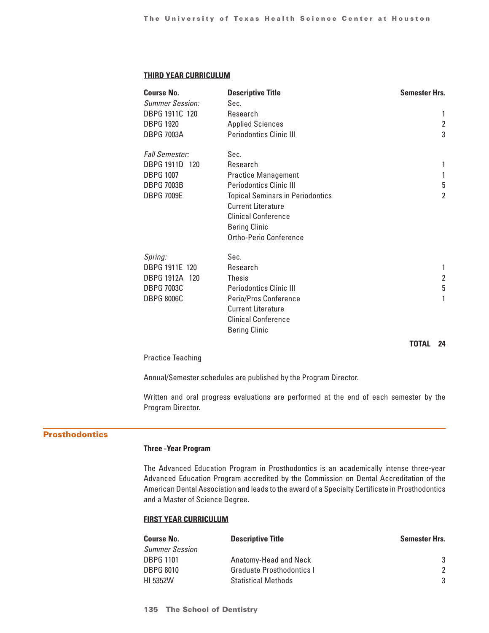### **Third Year Curriculum**

| <b>Course No.</b><br><b>Summer Session:</b> | <b>Descriptive Title</b><br>Sec.        | <b>Semester Hrs.</b> |
|---------------------------------------------|-----------------------------------------|----------------------|
| DBPG 1911C 120                              | Research                                | 1                    |
| <b>DBPG 1920</b>                            | <b>Applied Sciences</b>                 | 2                    |
| <b>DBPG 7003A</b>                           | <b>Periodontics Clinic III</b>          | 3                    |
| <b>Fall Semester:</b>                       | Sec.                                    |                      |
| DBPG 1911D 120                              | Research                                | 1                    |
| <b>DBPG 1007</b>                            | <b>Practice Management</b>              | 1                    |
| <b>DBPG 7003B</b>                           | <b>Periodontics Clinic III</b>          | 5                    |
| <b>DBPG 7009E</b>                           | <b>Topical Seminars in Periodontics</b> | $\overline{2}$       |
|                                             | <b>Current Literature</b>               |                      |
|                                             | <b>Clinical Conference</b>              |                      |
|                                             | <b>Bering Clinic</b>                    |                      |
|                                             | Ortho-Perio Conference                  |                      |
| Spring:                                     | Sec.                                    |                      |
| DBPG 1911E 120                              | Research                                | 1                    |
| DBPG 1912A 120                              | <b>Thesis</b>                           | $\overline{2}$       |
| <b>DBPG 7003C</b>                           | <b>Periodontics Clinic III</b>          | 5                    |
| <b>DBPG 8006C</b>                           | Perio/Pros Conference                   | 1                    |
|                                             | <b>Current Literature</b>               |                      |
|                                             | <b>Clinical Conference</b>              |                      |
|                                             | <b>Bering Clinic</b>                    |                      |

**TOTAL 24**

Practice Teaching

Annual/Semester schedules are published by the Program Director.

Written and oral progress evaluations are performed at the end of each semester by the Program Director.

## Prosthodontics

## **Three -Year Program**

The Advanced Education Program in Prosthodontics is an academically intense three-year Advanced Education Program accredited by the Commission on Dental Accreditation of the American Dental Association and leads to the award of a Specialty Certificate in Prosthodontics and a Master of Science Degree.

## **First Year Curriculum**

| <b>Descriptive Title</b>   | Semester Hrs. |
|----------------------------|---------------|
|                            |               |
| Anatomy-Head and Neck      | 3             |
| Graduate Prosthodontics I  | $\mathcal{P}$ |
| <b>Statistical Methods</b> | $\mathcal{S}$ |
|                            |               |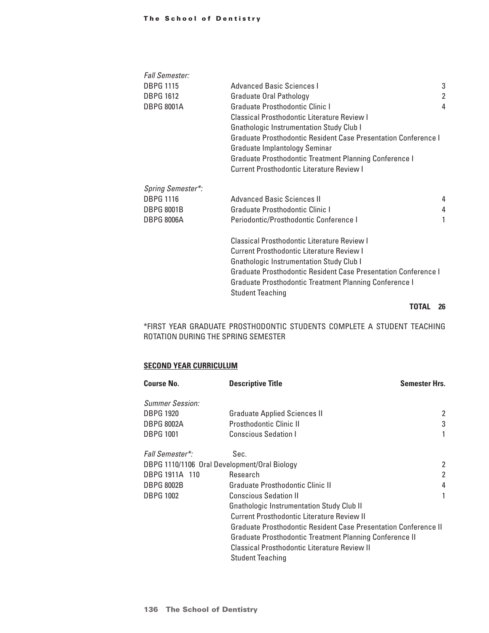## The School of Dentistry

| <b>Fall Semester:</b> |                                                                |   |  |
|-----------------------|----------------------------------------------------------------|---|--|
| <b>DBPG 1115</b>      | Advanced Basic Sciences I                                      | 3 |  |
| <b>DBPG 1612</b>      | Graduate Oral Pathology                                        | 2 |  |
| <b>DBPG 8001A</b>     | Graduate Prosthodontic Clinic I                                | 4 |  |
|                       | Classical Prosthodontic Literature Review I                    |   |  |
|                       | <b>Gnathologic Instrumentation Study Club I</b>                |   |  |
|                       | Graduate Prosthodontic Resident Case Presentation Conference I |   |  |
|                       | Graduate Implantology Seminar                                  |   |  |
|                       | Graduate Prosthodontic Treatment Planning Conference I         |   |  |
|                       | Current Prosthodontic Literature Review I                      |   |  |
| Spring Semester*:     |                                                                |   |  |
| <b>DBPG 1116</b>      | <b>Advanced Basic Sciences II</b>                              | 4 |  |
| <b>DBPG 8001B</b>     | Graduate Prosthodontic Clinic I                                | 4 |  |
| <b>DBPG 8006A</b>     | Periodontic/Prosthodontic Conference I                         | 1 |  |
|                       | Classical Prosthodontic Literature Review I                    |   |  |
|                       | Current Prosthodontic Literature Review I                      |   |  |
|                       | <b>Gnathologic Instrumentation Study Club I</b>                |   |  |
|                       | Graduate Prosthodontic Resident Case Presentation Conference I |   |  |
|                       | Graduate Prosthodontic Treatment Planning Conference I         |   |  |
|                       | <b>Student Teaching</b>                                        |   |  |
|                       |                                                                |   |  |

## **TOTAL 26**

\*FIRST YEAR GRADUATE PROSTHODONTIC STUDENTS COMPLETE A STUDENT TEACHING ROTATION DURING THE SPRING SEMESTER

## **Second Year Curriculum**

| <b>Course No.</b>      | <b>Descriptive Title</b>                                        | <b>Semester Hrs.</b> |
|------------------------|-----------------------------------------------------------------|----------------------|
| <b>Summer Session:</b> |                                                                 |                      |
| <b>DBPG 1920</b>       | <b>Graduate Applied Sciences II</b>                             | 2                    |
| <b>DBPG 8002A</b>      | Prosthodontic Clinic II                                         | 3                    |
| <b>DBPG 1001</b>       | <b>Conscious Sedation I</b>                                     |                      |
| <b>Fall Semester*:</b> | Sec.                                                            |                      |
|                        | DBPG 1110/1106 Oral Development/Oral Biology                    | 2                    |
| DBPG 1911A 110         | Research                                                        | 2                    |
| <b>DBPG 8002B</b>      | Graduate Prosthodontic Clinic II                                | 4                    |
| <b>DBPG 1002</b>       | <b>Conscious Sedation II</b>                                    |                      |
|                        | <b>Gnathologic Instrumentation Study Club II</b>                |                      |
|                        | Current Prosthodontic Literature Review II                      |                      |
|                        | Graduate Prosthodontic Resident Case Presentation Conference II |                      |
|                        | Graduate Prosthodontic Treatment Planning Conference II         |                      |
|                        | Classical Prosthodontic Literature Review II                    |                      |
|                        | <b>Student Teaching</b>                                         |                      |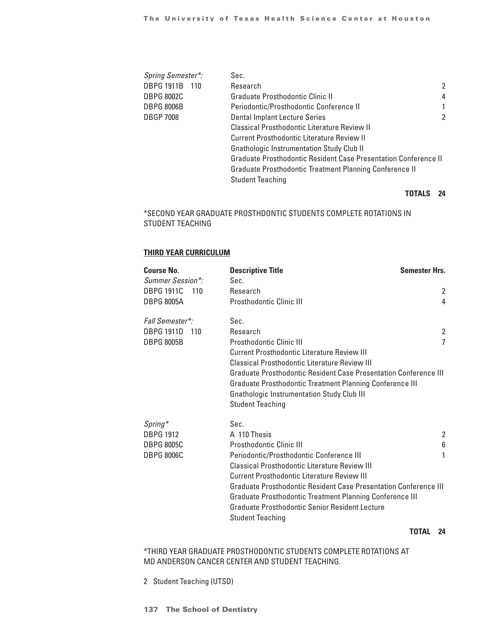| Spring Semester*:   | Sec.                                                            |                |
|---------------------|-----------------------------------------------------------------|----------------|
| DBPG 1911B<br>- 110 | Research                                                        | $\overline{2}$ |
| DBPG 8002C          | Graduate Prosthodontic Clinic II                                | 4              |
| <b>DBPG 8006B</b>   | Periodontic/Prosthodontic Conference II                         |                |
| <b>DBGP 7008</b>    | Dental Implant Lecture Series                                   | $\overline{2}$ |
|                     | Classical Prosthodontic Literature Review II                    |                |
|                     | Current Prosthodontic Literature Review II                      |                |
|                     | <b>Gnathologic Instrumentation Study Club II</b>                |                |
|                     | Graduate Prosthodontic Resident Case Presentation Conference II |                |
|                     | Graduate Prosthodontic Treatment Planning Conference II         |                |
|                     | <b>Student Teaching</b>                                         |                |
|                     |                                                                 |                |

# **TOTALS 24**

# \*SECOND YEAR GRADUATE PROSTHDONTIC STUDENTS COMPLETE ROTATIONS IN STUDENT TEACHING

# **Third Year Curriculum**

| <b>Course No.</b>        | <b>Descriptive Title</b>                                                | <b>Semester Hrs.</b> |
|--------------------------|-------------------------------------------------------------------------|----------------------|
| Summer Session*:         | Sec.                                                                    |                      |
| <b>DBPG 1911C</b><br>110 | Research                                                                | 2                    |
| <b>DBPG 8005A</b>        | <b>Prosthodontic Clinic III</b>                                         | 4                    |
| Fall Semester*:          | Sec.                                                                    |                      |
| <b>DBPG 1911D</b><br>110 | <b>Research</b>                                                         | 2                    |
| <b>DBPG 8005B</b>        | Prosthodontic Clinic III                                                | 7                    |
|                          | Current Prosthodontic Literature Review III                             |                      |
|                          | Classical Prosthodontic Literature Review III                           |                      |
|                          | Graduate Prosthodontic Resident Case Presentation Conference III        |                      |
|                          | Graduate Prosthodontic Treatment Planning Conference III                |                      |
|                          | <b>Gnathologic Instrumentation Study Club III</b>                       |                      |
|                          | <b>Student Teaching</b>                                                 |                      |
| $Spring*$                | Sec.                                                                    |                      |
| <b>DBPG 1912</b>         | A 110 Thesis                                                            | 2                    |
| <b>DBPG 8005C</b>        | <b>Prosthodontic Clinic III</b>                                         | 6                    |
| <b>DBPG 8006C</b>        | Periodontic/Prosthodontic Conference III                                | 1                    |
|                          | Classical Prosthodontic Literature Review III                           |                      |
|                          | Current Prosthodontic Literature Review III                             |                      |
|                          | <b>Graduate Prosthodontic Resident Case Presentation Conference III</b> |                      |
|                          | <b>Graduate Prosthodontic Treatment Planning Conference III</b>         |                      |
|                          | Graduate Prosthodontic Senior Resident Lecture                          |                      |
|                          | <b>Student Teaching</b>                                                 |                      |

**TOTAL 24**

\*THIRD YEAR GRADUATE PROSTHODONTIC STUDENTS COMPLETE ROTATIONS AT MD ANDERSON CANCER CENTER AND STUDENT TEACHING.

2 Student Teaching (UTSD)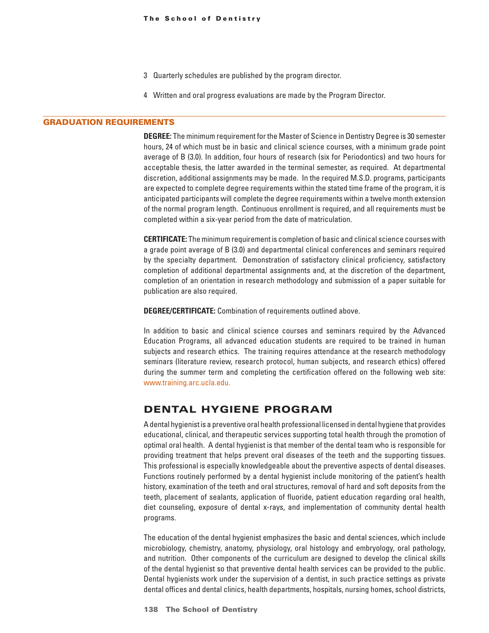- 3 Quarterly schedules are published by the program director.
- 4 Written and oral progress evaluations are made by the Program Director.

#### GRADUATION REQUIREMENTS

**DEGREE:** The minimum requirement for the Master of Science in Dentistry Degree is 30 semester hours, 24 of which must be in basic and clinical science courses, with a minimum grade point average of B (3.0). In addition, four hours of research (six for Periodontics) and two hours for acceptable thesis, the latter awarded in the terminal semester, as required. At departmental discretion, additional assignments may be made. In the required M.S.D. programs, participants are expected to complete degree requirements within the stated time frame of the program, it is anticipated participants will complete the degree requirements within a twelve month extension of the normal program length. Continuous enrollment is required, and all requirements must be completed within a six-year period from the date of matriculation.

**CERTIFICATE:** The minimum requirement is completion of basic and clinical science courses with a grade point average of B (3.0) and departmental clinical conferences and seminars required by the specialty department. Demonstration of satisfactory clinical proficiency, satisfactory completion of additional departmental assignments and, at the discretion of the department, completion of an orientation in research methodology and submission of a paper suitable for publication are also required.

**DEGREE/CERTIFICATE:** Combination of requirements outlined above.

In addition to basic and clinical science courses and seminars required by the Advanced Education Programs, all advanced education students are required to be trained in human subjects and research ethics. The training requires attendance at the research methodology seminars (literature review, research protocol, human subjects, and research ethics) offered during the summer term and completing the certification offered on the following web site: www.training.arc.ucla.edu.

# DENTAL HYGIENE PROGRAM

A dental hygienist is a preventive oral health professional licensed in dental hygiene that provides educational, clinical, and therapeutic services supporting total health through the promotion of optimal oral health. A dental hygienist is that member of the dental team who is responsible for providing treatment that helps prevent oral diseases of the teeth and the supporting tissues. This professional is especially knowledgeable about the preventive aspects of dental diseases. Functions routinely performed by a dental hygienist include monitoring of the patient's health history, examination of the teeth and oral structures, removal of hard and soft deposits from the teeth, placement of sealants, application of fluoride, patient education regarding oral health, diet counseling, exposure of dental x-rays, and implementation of community dental health programs.

The education of the dental hygienist emphasizes the basic and dental sciences, which include microbiology, chemistry, anatomy, physiology, oral histology and embryology, oral pathology, and nutrition. Other components of the curriculum are designed to develop the clinical skills of the dental hygienist so that preventive dental health services can be provided to the public. Dental hygienists work under the supervision of a dentist, in such practice settings as private dental offices and dental clinics, health departments, hospitals, nursing homes, school districts,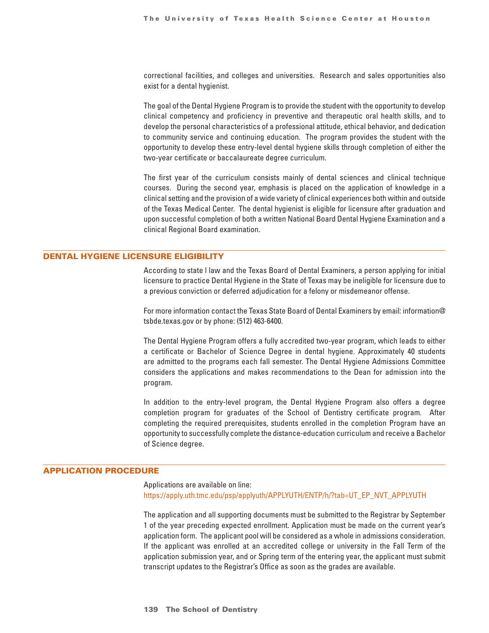correctional facilities, and colleges and universities. Research and sales opportunities also exist for a dental hygienist.

The goal of the Dental Hygiene Program is to provide the student with the opportunity to develop clinical competency and proficiency in preventive and therapeutic oral health skills, and to develop the personal characteristics of a professional attitude, ethical behavior, and dedication to community service and continuing education. The program provides the student with the opportunity to develop these entry-level dental hygiene skills through completion of either the two-year certificate or baccalaureate degree curriculum.

The first year of the curriculum consists mainly of dental sciences and clinical technique courses. During the second year, emphasis is placed on the application of knowledge in a clinical setting and the provision of a wide variety of clinical experiences both within and outside of the Texas Medical Center. The dental hygienist is eligible for licensure after graduation and upon successful completion of both a written National Board Dental Hygiene Examination and a clinical Regional Board examination.

## DENTAL HYGIENE LICENSURE ELIGIBILITY

According to state l law and the Texas Board of Dental Examiners, a person applying for initial licensure to practice Dental Hygiene in the State of Texas may be ineligible for licensure due to a previous conviction or deferred adjudication for a felony or misdemeanor offense.

For more information contact the Texas State Board of Dental Examiners by email: information@ tsbde.texas.gov or by phone: (512) 463-6400.

The Dental Hygiene Program offers a fully accredited two-year program, which leads to either a certificate or Bachelor of Science Degree in dental hygiene. Approximately 40 students are admitted to the programs each fall semester. The Dental Hygiene Admissions Committee considers the applications and makes recommendations to the Dean for admission into the program.

In addition to the entry-level program, the Dental Hygiene Program also offers a degree completion program for graduates of the School of Dentistry certificate program. After completing the required prerequisites, students enrolled in the completion Program have an opportunity to successfully complete the distance-education curriculum and receive a Bachelor of Science degree.

#### APPLICATION PROCEDURE

Applications are available on line: https://apply.uth.tmc.edu/psp/applyuth/APPLYUTH/ENTP/h/?tab=UT\_EP\_NVT\_APPLYUTH

The application and all supporting documents must be submitted to the Registrar by September 1 of the year preceding expected enrollment. Application must be made on the current year's application form. The applicant pool will be considered as a whole in admissions consideration. If the applicant was enrolled at an accredited college or university in the Fall Term of the application submission year, and or Spring term of the entering year, the applicant must submit transcript updates to the Registrar's Office as soon as the grades are available.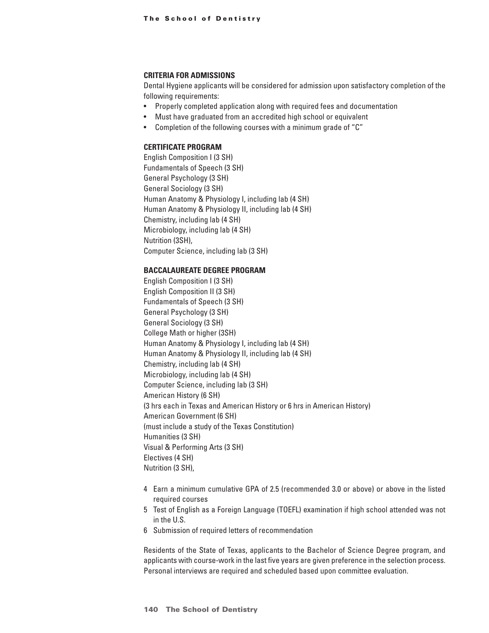### **CRITERIA FOR ADMISSIONS**

Dental Hygiene applicants will be considered for admission upon satisfactory completion of the following requirements:

- Properly completed application along with required fees and documentation
- Must have graduated from an accredited high school or equivalent
- Completion of the following courses with a minimum grade of "C"

## **CERTIFICATE PROGRAM**

English Composition I (3 SH) Fundamentals of Speech (3 SH) General Psychology (3 SH) General Sociology (3 SH) Human Anatomy & Physiology I, including lab (4 SH) Human Anatomy & Physiology II, including lab (4 SH) Chemistry, including lab (4 SH) Microbiology, including lab (4 SH) Nutrition (3SH), Computer Science, including lab (3 SH)

#### **BACCALAUREATE DEGREE PROGRAM**

English Composition I (3 SH) English Composition II (3 SH) Fundamentals of Speech (3 SH) General Psychology (3 SH) General Sociology (3 SH) College Math or higher (3SH) Human Anatomy & Physiology I, including lab (4 SH) Human Anatomy & Physiology II, including lab (4 SH) Chemistry, including lab (4 SH) Microbiology, including lab (4 SH) Computer Science, including lab (3 SH) American History (6 SH) (3 hrs each in Texas and American History or 6 hrs in American History) American Government (6 SH) (must include a study of the Texas Constitution) Humanities (3 SH) Visual & Performing Arts (3 SH) Electives (4 SH) Nutrition (3 SH),

- 4 Earn a minimum cumulative GPA of 2.5 (recommended 3.0 or above) or above in the listed required courses
- 5 Test of English as a Foreign Language (TOEFL) examination if high school attended was not in the U.S.
- 6 Submission of required letters of recommendation

Residents of the State of Texas, applicants to the Bachelor of Science Degree program, and applicants with course-work in the last five years are given preference in the selection process. Personal interviews are required and scheduled based upon committee evaluation.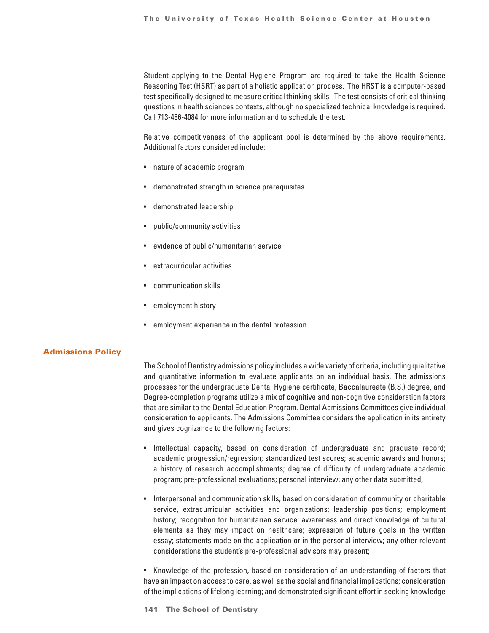Student applying to the Dental Hygiene Program are required to take the Health Science Reasoning Test (HSRT) as part of a holistic application process. The HRST is a computer-based test specifically designed to measure critical thinking skills. The test consists of critical thinking questions in health sciences contexts, although no specialized technical knowledge is required. Call 713-486-4084 for more information and to schedule the test.

Relative competitiveness of the applicant pool is determined by the above requirements. Additional factors considered include:

- nature of academic program
- demonstrated strength in science prerequisites
- demonstrated leadership
- public/community activities
- evidence of public/humanitarian service
- extracurricular activities
- communication skills
- employment history
- employment experience in the dental profession

#### Admissions Policy

The School of Dentistry admissions policy includes a wide variety of criteria, including qualitative and quantitative information to evaluate applicants on an individual basis. The admissions processes for the undergraduate Dental Hygiene certificate, Baccalaureate (B.S.) degree, and Degree-completion programs utilize a mix of cognitive and non-cognitive consideration factors that are similar to the Dental Education Program. Dental Admissions Committees give individual consideration to applicants. The Admissions Committee considers the application in its entirety and gives cognizance to the following factors:

- Intellectual capacity, based on consideration of undergraduate and graduate record; academic progression/regression; standardized test scores; academic awards and honors; a history of research accomplishments; degree of difficulty of undergraduate academic program; pre-professional evaluations; personal interview; any other data submitted;
- Interpersonal and communication skills, based on consideration of community or charitable service, extracurricular activities and organizations; leadership positions; employment history; recognition for humanitarian service; awareness and direct knowledge of cultural elements as they may impact on healthcare; expression of future goals in the written essay; statements made on the application or in the personal interview; any other relevant considerations the student's pre-professional advisors may present;

• Knowledge of the profession, based on consideration of an understanding of factors that have an impact on access to care, as well as the social and financial implications; consideration of the implications of lifelong learning; and demonstrated significant effort in seeking knowledge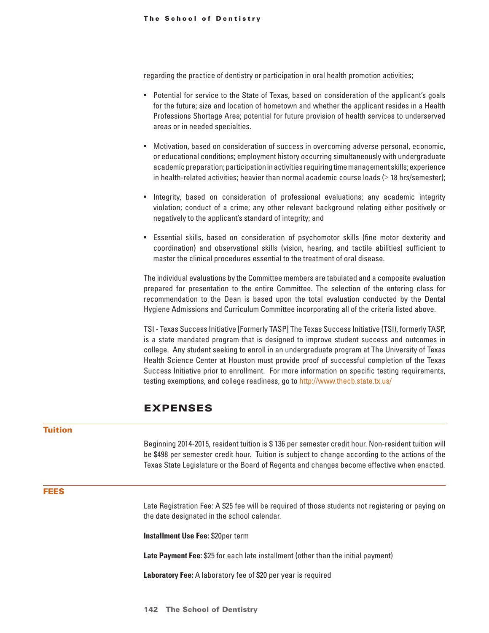regarding the practice of dentistry or participation in oral health promotion activities;

- Potential for service to the State of Texas, based on consideration of the applicant's goals for the future; size and location of hometown and whether the applicant resides in a Health Professions Shortage Area; potential for future provision of health services to underserved areas or in needed specialties.
- Motivation, based on consideration of success in overcoming adverse personal, economic, or educational conditions; employment history occurring simultaneously with undergraduate academic preparation; participation in activities requiring time management skills; experience in health-related activities; heavier than normal academic course loads ( $\geq$  18 hrs/semester);
- Integrity, based on consideration of professional evaluations; any academic integrity violation; conduct of a crime; any other relevant background relating either positively or negatively to the applicant's standard of integrity; and
- Essential skills, based on consideration of psychomotor skills (fine motor dexterity and coordination) and observational skills (vision, hearing, and tactile abilities) sufficient to master the clinical procedures essential to the treatment of oral disease.

The individual evaluations by the Committee members are tabulated and a composite evaluation prepared for presentation to the entire Committee. The selection of the entering class for recommendation to the Dean is based upon the total evaluation conducted by the Dental Hygiene Admissions and Curriculum Committee incorporating all of the criteria listed above.

TSI - Texas Success Initiative [Formerly TASP] The Texas Success Initiative (TSI), formerly TASP, is a state mandated program that is designed to improve student success and outcomes in college. Any student seeking to enroll in an undergraduate program at The University of Texas Health Science Center at Houston must provide proof of successful completion of the Texas Success Initiative prior to enrollment. For more information on specific testing requirements, testing exemptions, and college readiness, go to http://www.thecb.state.tx.us/

# EXPENSES

### Tuition

Beginning 2014-2015, resident tuition is \$ 136 per semester credit hour. Non-resident tuition will be \$498 per semester credit hour. Tuition is subject to change according to the actions of the Texas State Legislature or the Board of Regents and changes become effective when enacted.

## FEES

Late Registration Fee: A \$25 fee will be required of those students not registering or paying on the date designated in the school calendar.

**Installment Use Fee:** \$20per term

**Late Payment Fee:** \$25 for each late installment (other than the initial payment)

**Laboratory Fee:** A laboratory fee of \$20 per year is required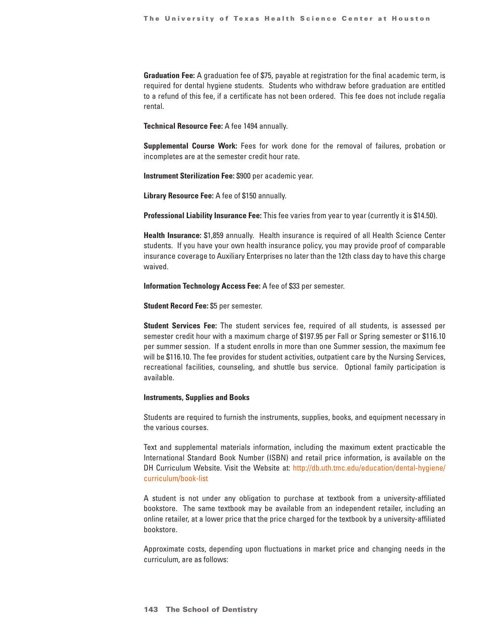**Graduation Fee:** A graduation fee of \$75, payable at registration for the final academic term, is required for dental hygiene students. Students who withdraw before graduation are entitled to a refund of this fee, if a certificate has not been ordered. This fee does not include regalia rental.

**Technical Resource Fee:** A fee 1494 annually.

**Supplemental Course Work:** Fees for work done for the removal of failures, probation or incompletes are at the semester credit hour rate.

**Instrument Sterilization Fee:** \$900 per academic year.

**Library Resource Fee:** A fee of \$150 annually.

**Professional Liability Insurance Fee:** This fee varies from year to year (currently it is \$14.50).

**Health Insurance:** \$1,859 annually. Health insurance is required of all Health Science Center students. If you have your own health insurance policy, you may provide proof of comparable insurance coverage to Auxiliary Enterprises no later than the 12th class day to have this charge waived.

**Information Technology Access Fee:** A fee of \$33 per semester.

**Student Record Fee:** \$5 per semester.

**Student Services Fee:** The student services fee, required of all students, is assessed per semester credit hour with a maximum charge of \$197.95 per Fall or Spring semester or \$116.10 per summer session. If a student enrolls in more than one Summer session, the maximum fee will be \$116.10. The fee provides for student activities, outpatient care by the Nursing Services, recreational facilities, counseling, and shuttle bus service. Optional family participation is available.

#### **Instruments, Supplies and Books**

Students are required to furnish the instruments, supplies, books, and equipment necessary in the various courses.

Text and supplemental materials information, including the maximum extent practicable the International Standard Book Number (ISBN) and retail price information, is available on the DH Curriculum Website. Visit the Website at: http://db.uth.tmc.edu/education/dental-hygiene/ curriculum/book-list

A student is not under any obligation to purchase at textbook from a university-affiliated bookstore. The same textbook may be available from an independent retailer, including an online retailer, at a lower price that the price charged for the textbook by a university-affiliated bookstore.

Approximate costs, depending upon fluctuations in market price and changing needs in the curriculum, are as follows: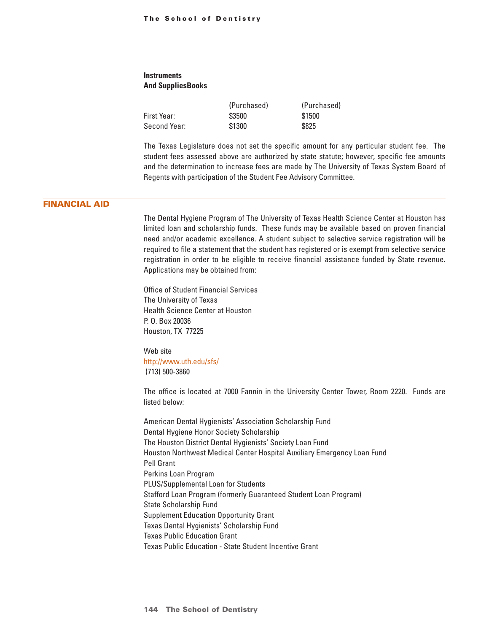# **Instruments And SuppliesBooks**

|              | (Purchased) | (Purchased) |
|--------------|-------------|-------------|
| First Year:  | \$3500      | \$1500      |
| Second Year: | \$1300      | \$825       |

The Texas Legislature does not set the specific amount for any particular student fee. The student fees assessed above are authorized by state statute; however, specific fee amounts and the determination to increase fees are made by The University of Texas System Board of Regents with participation of the Student Fee Advisory Committee.

## FINANCIAL AID

The Dental Hygiene Program of The University of Texas Health Science Center at Houston has limited loan and scholarship funds. These funds may be available based on proven financial need and/or academic excellence. A student subject to selective service registration will be required to file a statement that the student has registered or is exempt from selective service registration in order to be eligible to receive financial assistance funded by State revenue. Applications may be obtained from:

Office of Student Financial Services The University of Texas Health Science Center at Houston P. O. Box 20036 Houston, TX 77225

Web site http://www.uth.edu/sfs/ (713) 500-3860

The office is located at 7000 Fannin in the University Center Tower, Room 2220. Funds are listed below:

American Dental Hygienists' Association Scholarship Fund Dental Hygiene Honor Society Scholarship The Houston District Dental Hygienists' Society Loan Fund Houston Northwest Medical Center Hospital Auxiliary Emergency Loan Fund Pell Grant Perkins Loan Program PLUS/Supplemental Loan for Students Stafford Loan Program (formerly Guaranteed Student Loan Program) State Scholarship Fund Supplement Education Opportunity Grant Texas Dental Hygienists' Scholarship Fund Texas Public Education Grant Texas Public Education - State Student Incentive Grant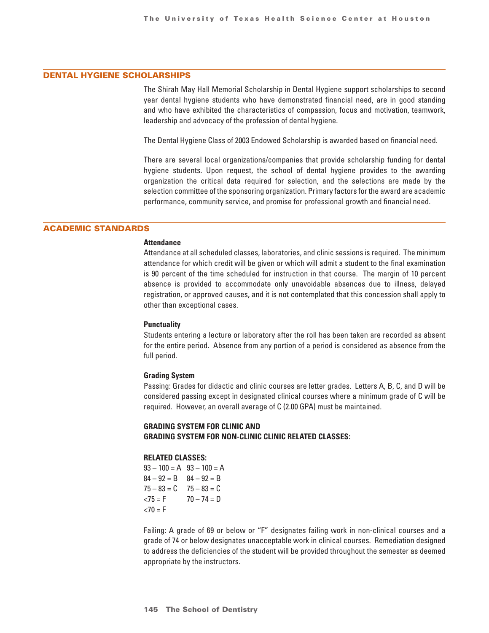## DENTAL HYGIENE SCHOLARSHIPS

The Shirah May Hall Memorial Scholarship in Dental Hygiene support scholarships to second year dental hygiene students who have demonstrated financial need, are in good standing and who have exhibited the characteristics of compassion, focus and motivation, teamwork, leadership and advocacy of the profession of dental hygiene.

The Dental Hygiene Class of 2003 Endowed Scholarship is awarded based on financial need.

There are several local organizations/companies that provide scholarship funding for dental hygiene students. Upon request, the school of dental hygiene provides to the awarding organization the critical data required for selection, and the selections are made by the selection committee of the sponsoring organization. Primary factors for the award are academic performance, community service, and promise for professional growth and financial need.

## ACADEMIC STANDARDS

#### **Attendance**

Attendance at all scheduled classes, laboratories, and clinic sessions is required. The minimum attendance for which credit will be given or which will admit a student to the final examination is 90 percent of the time scheduled for instruction in that course. The margin of 10 percent absence is provided to accommodate only unavoidable absences due to illness, delayed registration, or approved causes, and it is not contemplated that this concession shall apply to other than exceptional cases.

#### **Punctuality**

Students entering a lecture or laboratory after the roll has been taken are recorded as absent for the entire period. Absence from any portion of a period is considered as absence from the full period.

#### **Grading System**

Passing: Grades for didactic and clinic courses are letter grades. Letters A, B, C, and D will be considered passing except in designated clinical courses where a minimum grade of C will be required. However, an overall average of C (2.00 GPA) must be maintained.

## **GRADING SYSTEM FOR CLINIC AND GRADING SYSTEM FOR NON-CLINIC CLINIC RELATED CLASSES:**

## **RELATED CLASSES:**

 $93 - 100 = A$   $93 - 100 = A$  $84 - 92 = B$   $84 - 92 = B$  $75 - 83 = C$   $75 - 83 = C$  $\angle 75 = F$   $70 - 74 = D$  $<$ 70 = F

Failing: A grade of 69 or below or "F" designates failing work in non-clinical courses and a grade of 74 or below designates unacceptable work in clinical courses. Remediation designed to address the deficiencies of the student will be provided throughout the semester as deemed appropriate by the instructors.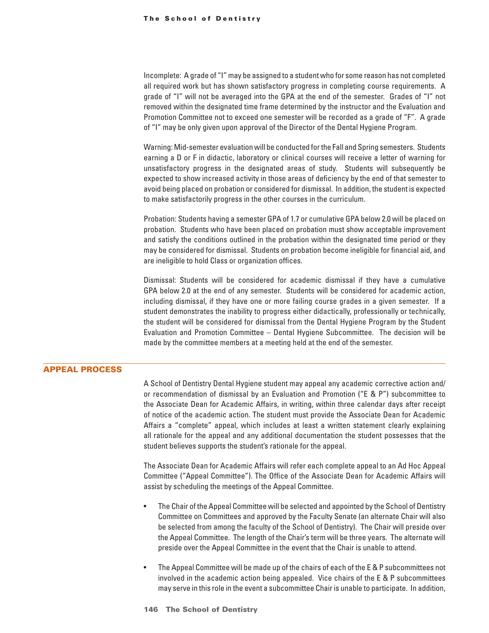Incomplete: A grade of "I" may be assigned to a student who for some reason has not completed all required work but has shown satisfactory progress in completing course requirements. A grade of "I" will not be averaged into the GPA at the end of the semester. Grades of "I" not removed within the designated time frame determined by the instructor and the Evaluation and Promotion Committee not to exceed one semester will be recorded as a grade of "F". A grade of "I" may be only given upon approval of the Director of the Dental Hygiene Program.

Warning: Mid-semester evaluation will be conducted for the Fall and Spring semesters. Students earning a D or F in didactic, laboratory or clinical courses will receive a letter of warning for unsatisfactory progress in the designated areas of study. Students will subsequently be expected to show increased activity in those areas of deficiency by the end of that semester to avoid being placed on probation or considered for dismissal. In addition, the student is expected to make satisfactorily progress in the other courses in the curriculum.

Probation: Students having a semester GPA of 1.7 or cumulative GPA below 2.0 will be placed on probation. Students who have been placed on probation must show acceptable improvement and satisfy the conditions outlined in the probation within the designated time period or they may be considered for dismissal. Students on probation become ineligible for financial aid, and are ineligible to hold Class or organization offices.

Dismissal: Students will be considered for academic dismissal if they have a cumulative GPA below 2.0 at the end of any semester. Students will be considered for academic action, including dismissal, if they have one or more failing course grades in a given semester. If a student demonstrates the inability to progress either didactically, professionally or technically, the student will be considered for dismissal from the Dental Hygiene Program by the Student Evaluation and Promotion Committee – Dental Hygiene Subcommittee. The decision will be made by the committee members at a meeting held at the end of the semester.

### APPEAL PROCESS

A School of Dentistry Dental Hygiene student may appeal any academic corrective action and/ or recommendation of dismissal by an Evaluation and Promotion ("E & P") subcommittee to the Associate Dean for Academic Affairs, in writing, within three calendar days after receipt of notice of the academic action. The student must provide the Associate Dean for Academic Affairs a "complete" appeal, which includes at least a written statement clearly explaining all rationale for the appeal and any additional documentation the student possesses that the student believes supports the student's rationale for the appeal.

The Associate Dean for Academic Affairs will refer each complete appeal to an Ad Hoc Appeal Committee ("Appeal Committee"). The Office of the Associate Dean for Academic Affairs will assist by scheduling the meetings of the Appeal Committee.

- The Chair of the Appeal Committee will be selected and appointed by the School of Dentistry Committee on Committees and approved by the Faculty Senate (an alternate Chair will also be selected from among the faculty of the School of Dentistry). The Chair will preside over the Appeal Committee. The length of the Chair's term will be three years. The alternate will preside over the Appeal Committee in the event that the Chair is unable to attend.
- The Appeal Committee will be made up of the chairs of each of the E & P subcommittees not involved in the academic action being appealed. Vice chairs of the E & P subcommittees may serve in this role in the event a subcommittee Chair is unable to participate. In addition,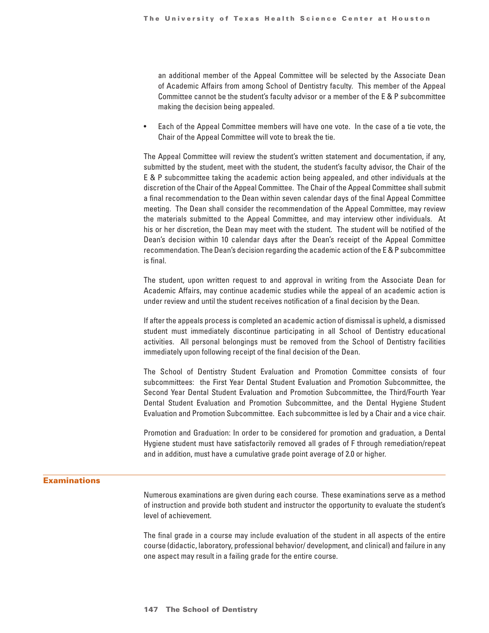an additional member of the Appeal Committee will be selected by the Associate Dean of Academic Affairs from among School of Dentistry faculty. This member of the Appeal Committee cannot be the student's faculty advisor or a member of the E & P subcommittee making the decision being appealed.

• Each of the Appeal Committee members will have one vote. In the case of a tie vote, the Chair of the Appeal Committee will vote to break the tie.

The Appeal Committee will review the student's written statement and documentation, if any, submitted by the student, meet with the student, the student's faculty advisor, the Chair of the E & P subcommittee taking the academic action being appealed, and other individuals at the discretion of the Chair of the Appeal Committee. The Chair of the Appeal Committee shall submit a final recommendation to the Dean within seven calendar days of the final Appeal Committee meeting. The Dean shall consider the recommendation of the Appeal Committee, may review the materials submitted to the Appeal Committee, and may interview other individuals. At his or her discretion, the Dean may meet with the student. The student will be notified of the Dean's decision within 10 calendar days after the Dean's receipt of the Appeal Committee recommendation. The Dean's decision regarding the academic action of the E & P subcommittee is final.

The student, upon written request to and approval in writing from the Associate Dean for Academic Affairs, may continue academic studies while the appeal of an academic action is under review and until the student receives notification of a final decision by the Dean.

If after the appeals process is completed an academic action of dismissal is upheld, a dismissed student must immediately discontinue participating in all School of Dentistry educational activities. All personal belongings must be removed from the School of Dentistry facilities immediately upon following receipt of the final decision of the Dean.

The School of Dentistry Student Evaluation and Promotion Committee consists of four subcommittees: the First Year Dental Student Evaluation and Promotion Subcommittee, the Second Year Dental Student Evaluation and Promotion Subcommittee, the Third/Fourth Year Dental Student Evaluation and Promotion Subcommittee, and the Dental Hygiene Student Evaluation and Promotion Subcommittee. Each subcommittee is led by a Chair and a vice chair.

Promotion and Graduation: In order to be considered for promotion and graduation, a Dental Hygiene student must have satisfactorily removed all grades of F through remediation/repeat and in addition, must have a cumulative grade point average of 2.0 or higher.

## **Examinations**

Numerous examinations are given during each course. These examinations serve as a method of instruction and provide both student and instructor the opportunity to evaluate the student's level of achievement.

The final grade in a course may include evaluation of the student in all aspects of the entire course (didactic, laboratory, professional behavior/ development, and clinical) and failure in any one aspect may result in a failing grade for the entire course.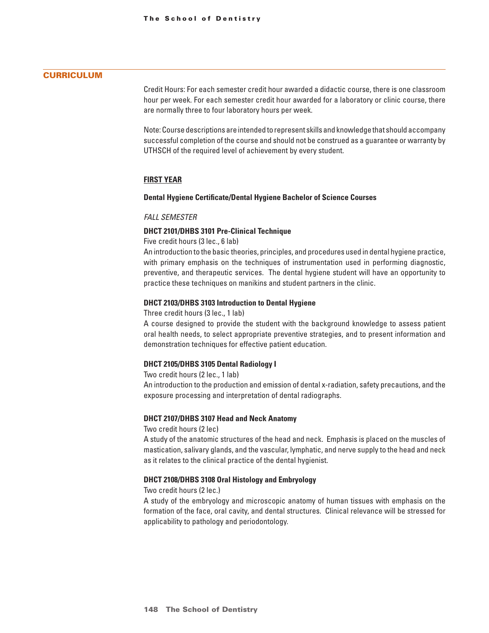## **CURRICULUM**

Credit Hours: For each semester credit hour awarded a didactic course, there is one classroom hour per week. For each semester credit hour awarded for a laboratory or clinic course, there are normally three to four laboratory hours per week.

Note: Course descriptions are intended to represent skills and knowledge that should accompany successful completion of the course and should not be construed as a guarantee or warranty by UTHSCH of the required level of achievement by every student.

### **First Year**

### **Dental Hygiene Certificate/Dental Hygiene Bachelor of Science Courses**

#### *FALL SEMESTER*

#### **DHCT 2101/DHBS 3101 Pre-Clinical Technique**

Five credit hours (3 lec., 6 lab)

An introduction to the basic theories, principles, and procedures used in dental hygiene practice, with primary emphasis on the techniques of instrumentation used in performing diagnostic, preventive, and therapeutic services. The dental hygiene student will have an opportunity to practice these techniques on manikins and student partners in the clinic.

#### **DHCT 2103/DHBS 3103 Introduction to Dental Hygiene**

Three credit hours (3 lec., 1 lab)

A course designed to provide the student with the background knowledge to assess patient oral health needs, to select appropriate preventive strategies, and to present information and demonstration techniques for effective patient education.

#### **DHCT 2105/DHBS 3105 Dental Radiology I**

Two credit hours (2 lec., 1 lab)

An introduction to the production and emission of dental x-radiation, safety precautions, and the exposure processing and interpretation of dental radiographs.

#### **DHCT 2107/DHBS 3107 Head and Neck Anatomy**

Two credit hours (2 lec)

A study of the anatomic structures of the head and neck. Emphasis is placed on the muscles of mastication, salivary glands, and the vascular, lymphatic, and nerve supply to the head and neck as it relates to the clinical practice of the dental hygienist.

### **DHCT 2108/DHBS 3108 Oral Histology and Embryology**

Two credit hours (2 lec.)

A study of the embryology and microscopic anatomy of human tissues with emphasis on the formation of the face, oral cavity, and dental structures. Clinical relevance will be stressed for applicability to pathology and periodontology.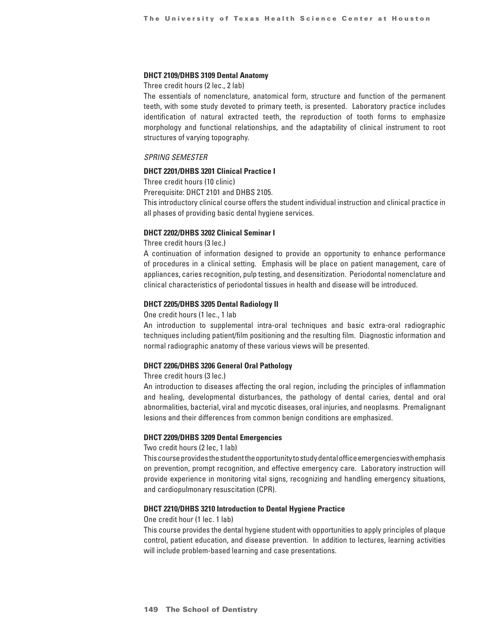#### **DHCT 2109/DHBS 3109 Dental Anatomy**

Three credit hours (2 lec., 2 lab)

The essentials of nomenclature, anatomical form, structure and function of the permanent teeth, with some study devoted to primary teeth, is presented. Laboratory practice includes identification of natural extracted teeth, the reproduction of tooth forms to emphasize morphology and functional relationships, and the adaptability of clinical instrument to root structures of varying topography.

#### *SPRING SEMESTER*

## **DHCT 2201/DHBS 3201 Clinical Practice I**

Three credit hours (10 clinic)

Prerequisite: DHCT 2101 and DHBS 2105.

This introductory clinical course offers the student individual instruction and clinical practice in all phases of providing basic dental hygiene services.

## **DHCT 2202/DHBS 3202 Clinical Seminar I**

Three credit hours (3 lec.)

A continuation of information designed to provide an opportunity to enhance performance of procedures in a clinical setting. Emphasis will be place on patient management, care of appliances, caries recognition, pulp testing, and desensitization. Periodontal nomenclature and clinical characteristics of periodontal tissues in health and disease will be introduced.

### **DHCT 2205/DHBS 3205 Dental Radiology II**

One credit hours (1 lec., 1 lab

An introduction to supplemental intra-oral techniques and basic extra-oral radiographic techniques including patient/film positioning and the resulting film. Diagnostic information and normal radiographic anatomy of these various views will be presented.

#### **DHCT 2206/DHBS 3206 General Oral Pathology**

Three credit hours (3 lec.)

An introduction to diseases affecting the oral region, including the principles of inflammation and healing, developmental disturbances, the pathology of dental caries, dental and oral abnormalities, bacterial, viral and mycotic diseases, oral injuries, and neoplasms. Premalignant lesions and their differences from common benign conditions are emphasized.

#### **DHCT 2209/DHBS 3209 Dental Emergencies**

Two credit hours (2 lec, 1 lab)

This course provides the student the opportunity to study dental office emergencies with emphasis on prevention, prompt recognition, and effective emergency care. Laboratory instruction will provide experience in monitoring vital signs, recognizing and handling emergency situations, and cardiopulmonary resuscitation (CPR).

#### **DHCT 2210/DHBS 3210 Introduction to Dental Hygiene Practice**

One credit hour (1 lec. 1 lab)

This course provides the dental hygiene student with opportunities to apply principles of plaque control, patient education, and disease prevention. In addition to lectures, learning activities will include problem-based learning and case presentations.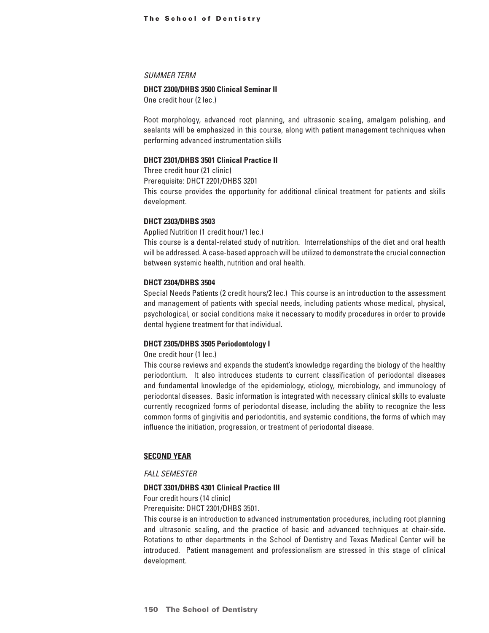#### *SUMMER TERM*

#### **DHCT 2300/DHBS 3500 Clinical Seminar II**

One credit hour (2 lec.)

Root morphology, advanced root planning, and ultrasonic scaling, amalgam polishing, and sealants will be emphasized in this course, along with patient management techniques when performing advanced instrumentation skills

#### **DHCT 2301/DHBS 3501 Clinical Practice II**

Three credit hour (21 clinic)

Prerequisite: DHCT 2201/DHBS 3201

This course provides the opportunity for additional clinical treatment for patients and skills development.

#### **DHCT 2303/DHBS 3503**

Applied Nutrition (1 credit hour/1 lec.)

This course is a dental-related study of nutrition. Interrelationships of the diet and oral health will be addressed. A case-based approach will be utilized to demonstrate the crucial connection between systemic health, nutrition and oral health.

#### **DHCT 2304/DHBS 3504**

Special Needs Patients (2 credit hours/2 lec.) This course is an introduction to the assessment and management of patients with special needs, including patients whose medical, physical, psychological, or social conditions make it necessary to modify procedures in order to provide dental hygiene treatment for that individual.

## **DHCT 2305/DHBS 3505 Periodontology I**

One credit hour (1 lec.)

This course reviews and expands the student's knowledge regarding the biology of the healthy periodontium. It also introduces students to current classification of periodontal diseases and fundamental knowledge of the epidemiology, etiology, microbiology, and immunology of periodontal diseases. Basic information is integrated with necessary clinical skills to evaluate currently recognized forms of periodontal disease, including the ability to recognize the less common forms of gingivitis and periodontitis, and systemic conditions, the forms of which may influence the initiation, progression, or treatment of periodontal disease.

### **Second Year**

#### *FALL SEMESTER*

#### **DHCT 3301/DHBS 4301 Clinical Practice III**

Four credit hours (14 clinic)

Prerequisite: DHCT 2301/DHBS 3501.

This course is an introduction to advanced instrumentation procedures, including root planning and ultrasonic scaling, and the practice of basic and advanced techniques at chair-side. Rotations to other departments in the School of Dentistry and Texas Medical Center will be introduced. Patient management and professionalism are stressed in this stage of clinical development.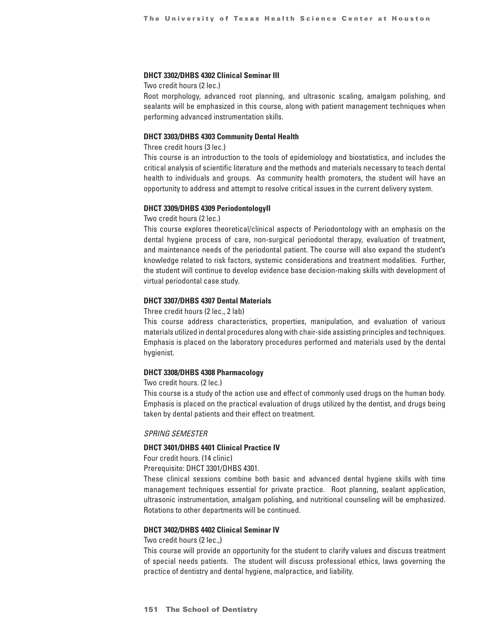### **DHCT 3302/DHBS 4302 Clinical Seminar III**

Two credit hours (2 lec.)

Root morphology, advanced root planning, and ultrasonic scaling, amalgam polishing, and sealants will be emphasized in this course, along with patient management techniques when performing advanced instrumentation skills.

### **DHCT 3303/DHBS 4303 Community Dental Health**

Three credit hours (3 lec.)

This course is an introduction to the tools of epidemiology and biostatistics, and includes the critical analysis of scientific literature and the methods and materials necessary to teach dental health to individuals and groups. As community health promoters, the student will have an opportunity to address and attempt to resolve critical issues in the current delivery system.

#### **DHCT 3309/DHBS 4309 PeriodontologyII**

Two credit hours (2 lec.)

This course explores theoretical/clinical aspects of Periodontology with an emphasis on the dental hygiene process of care, non-surgical periodontal therapy, evaluation of treatment, and maintenance needs of the periodontal patient. The course will also expand the student's knowledge related to risk factors, systemic considerations and treatment modalities. Further, the student will continue to develop evidence base decision-making skills with development of virtual periodontal case study.

### **DHCT 3307/DHBS 4307 Dental Materials**

Three credit hours (2 lec., 2 lab)

This course address characteristics, properties, manipulation, and evaluation of various materials utilized in dental procedures along with chair-side assisting principles and techniques. Emphasis is placed on the laboratory procedures performed and materials used by the dental hygienist.

#### **DHCT 3308/DHBS 4308 Pharmacology**

Two credit hours. (2 lec.)

This course is a study of the action use and effect of commonly used drugs on the human body. Emphasis is placed on the practical evaluation of drugs utilized by the dentist, and drugs being taken by dental patients and their effect on treatment.

### *SPRING SEMESTER*

## **DHCT 3401/DHBS 4401 Clinical Practice IV**

Four credit hours. (14 clinic)

Prerequisite: DHCT 3301/DHBS 4301.

These clinical sessions combine both basic and advanced dental hygiene skills with time management techniques essential for private practice. Root planning, sealant application, ultrasonic instrumentation, amalgam polishing, and nutritional counseling will be emphasized. Rotations to other departments will be continued.

#### **DHCT 3402/DHBS 4402 Clinical Seminar IV**

Two credit hours (2 lec.,)

This course will provide an opportunity for the student to clarify values and discuss treatment of special needs patients. The student will discuss professional ethics, laws governing the practice of dentistry and dental hygiene, malpractice, and liability.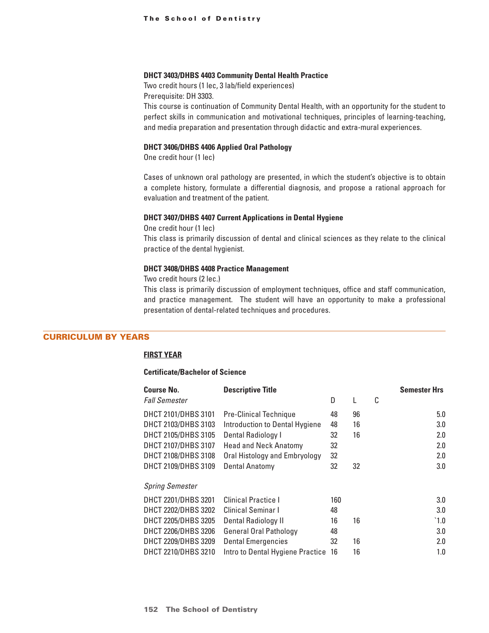#### **DHCT 3403/DHBS 4403 Community Dental Health Practice**

Two credit hours (1 lec, 3 lab/field experiences) Prerequisite: DH 3303.

This course is continuation of Community Dental Health, with an opportunity for the student to perfect skills in communication and motivational techniques, principles of learning-teaching, and media preparation and presentation through didactic and extra-mural experiences.

## **DHCT 3406/DHBS 4406 Applied Oral Pathology**

One credit hour (1 lec)

Cases of unknown oral pathology are presented, in which the student's objective is to obtain a complete history, formulate a differential diagnosis, and propose a rational approach for evaluation and treatment of the patient.

#### **DHCT 3407/DHBS 4407 Current Applications in Dental Hygiene**

One credit hour (1 lec) This class is primarily discussion of dental and clinical sciences as they relate to the clinical practice of the dental hygienist.

## **DHCT 3408/DHBS 4408 Practice Management**

Two credit hours (2 lec.)

This class is primarily discussion of employment techniques, office and staff communication, and practice management. The student will have an opportunity to make a professional presentation of dental-related techniques and procedures.

## CURRICULUM BY YEARS

## **First Year**

#### **Certificate/Bachelor of Science**

| <b>Course No.</b>      | <b>Descriptive Title</b>         |     |    |   | <b>Semester Hrs</b> |
|------------------------|----------------------------------|-----|----|---|---------------------|
| <b>Fall Semester</b>   |                                  | D   | L  | C |                     |
| DHCT 2101/DHBS 3101    | <b>Pre-Clinical Technique</b>    | 48  | 96 |   | 5.0                 |
| DHCT 2103/DHBS 3103    | Introduction to Dental Hygiene   | 48  | 16 |   | 3.0                 |
| DHCT 2105/DHBS 3105    | Dental Radiology I               | 32  | 16 |   | 2.0                 |
| DHCT 2107/DHBS 3107    | <b>Head and Neck Anatomy</b>     | 32  |    |   | 2.0                 |
| DHCT 2108/DHBS 3108    | Oral Histology and Embryology    | 32  |    |   | 2.0                 |
| DHCT 2109/DHBS 3109    | <b>Dental Anatomy</b>            | 32  | 32 |   | 3.0                 |
| <b>Spring Semester</b> |                                  |     |    |   |                     |
| DHCT 2201/DHBS 3201    | <b>Clinical Practice I</b>       | 160 |    |   | 3.0                 |
| DHCT 2202/DHBS 3202    | Clinical Seminar I               | 48  |    |   | 3.0                 |
| DHCT 2205/DHBS 3205    | <b>Dental Radiology II</b>       | 16  | 16 |   | $^{\circ}1.0$       |
| DHCT 2206/DHBS 3206    | <b>General Oral Pathology</b>    | 48  |    |   | 3.0                 |
| DHCT 2209/DHBS 3209    | <b>Dental Emergencies</b>        | 32  | 16 |   | 2.0                 |
| DHCT 2210/DHBS 3210    | Intro to Dental Hygiene Practice | 16  | 16 |   | 1.0                 |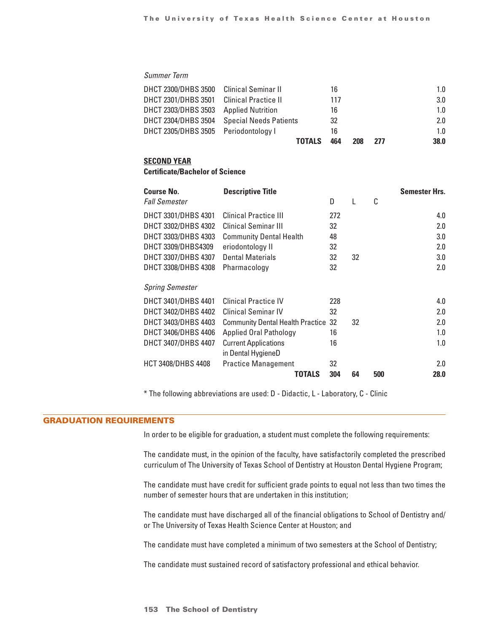## *Summer Term*

|                                         | <b>TOTALS</b>                              | 464 | 208 | 277 | 38.0 |
|-----------------------------------------|--------------------------------------------|-----|-----|-----|------|
| DHCT 2305/DHBS 3505 Periodontology I    |                                            | 16  |     |     | 1.0  |
|                                         | DHCT 2304/DHBS 3504 Special Needs Patients | 32  |     |     | 2.0  |
| DHCT 2303/DHBS 3503 Applied Nutrition   |                                            | 16  |     |     | 1.0  |
| DHCT 2301/DHBS 3501                     | Clinical Practice II                       | 117 |     |     | 3.0  |
| DHCT 2300/DHBS 3500 Clinical Seminar II |                                            | 16  |     |     | 1.0  |

#### **Second Year**

## **Certificate/Bachelor of Science**

| <b>Course No.</b>         | <b>Descriptive Title</b>                   |     |    |     | Semester Hrs. |
|---------------------------|--------------------------------------------|-----|----|-----|---------------|
| <b>Fall Semester</b>      |                                            | D   | L  | C   |               |
| DHCT 3301/DHBS 4301       | <b>Clinical Practice III</b>               | 272 |    |     | 4.0           |
| DHCT 3302/DHBS 4302       | Clinical Seminar III                       | 32  |    |     | 2.0           |
| DHCT 3303/DHBS 4303       | <b>Community Dental Health</b>             | 48  |    |     | 3.0           |
| DHCT 3309/DHBS4309        | eriodontology II                           | 32  |    |     | 2.0           |
| DHCT 3307/DHBS 4307       | <b>Dental Materials</b>                    | 32  | 32 |     | 3.0           |
| DHCT 3308/DHBS 4308       | Pharmacology                               | 32  |    |     | 2.0           |
|                           |                                            |     |    |     |               |
| <b>Spring Semester</b>    |                                            |     |    |     |               |
| DHCT 3401/DHBS 4401       | Clinical Practice IV                       | 228 |    |     | 4.0           |
| DHCT 3402/DHBS 4402       | <b>Clinical Seminar IV</b>                 | 32  |    |     | 2.0           |
| DHCT 3403/DHBS 4403       | <b>Community Dental Health Practice 32</b> |     | 32 |     | 2.0           |
| DHCT 3406/DHBS 4406       | <b>Applied Oral Pathology</b>              | 16  |    |     | 1.0           |
| DHCT 3407/DHBS 4407       | <b>Current Applications</b>                | 16  |    |     | 1.0           |
|                           | in Dental HygieneD                         |     |    |     |               |
| <b>HCT 3408/DHBS 4408</b> | <b>Practice Management</b>                 | 32  |    |     | 2.0           |
|                           | TOTALS                                     | 304 | 64 | 500 | 28.0          |

\* The following abbreviations are used: D - Didactic, L - Laboratory, C - Clinic

### GRADUATION REQUIREMENTS

In order to be eligible for graduation, a student must complete the following requirements:

The candidate must, in the opinion of the faculty, have satisfactorily completed the prescribed curriculum of The University of Texas School of Dentistry at Houston Dental Hygiene Program;

The candidate must have credit for sufficient grade points to equal not less than two times the number of semester hours that are undertaken in this institution;

The candidate must have discharged all of the financial obligations to School of Dentistry and/ or The University of Texas Health Science Center at Houston; and

The candidate must have completed a minimum of two semesters at the School of Dentistry;

The candidate must sustained record of satisfactory professional and ethical behavior.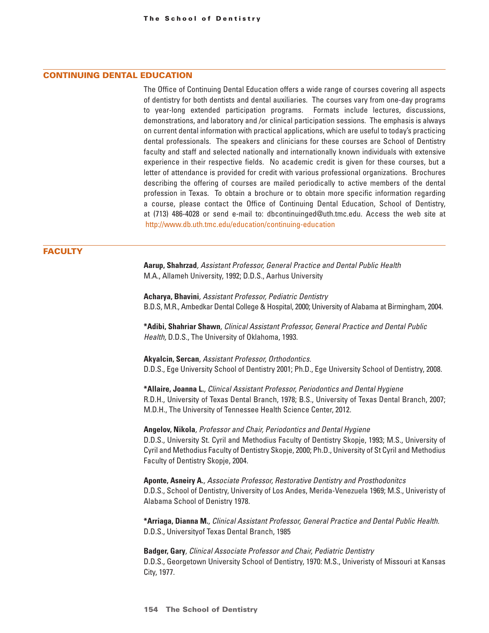## CONTINUING DENTAL EDUCATION

The Office of Continuing Dental Education offers a wide range of courses covering all aspects of dentistry for both dentists and dental auxiliaries. The courses vary from one-day programs to year-long extended participation programs. Formats include lectures, discussions, demonstrations, and laboratory and /or clinical participation sessions. The emphasis is always on current dental information with practical applications, which are useful to today's practicing dental professionals. The speakers and clinicians for these courses are School of Dentistry faculty and staff and selected nationally and internationally known individuals with extensive experience in their respective fields. No academic credit is given for these courses, but a letter of attendance is provided for credit with various professional organizations. Brochures describing the offering of courses are mailed periodically to active members of the dental profession in Texas. To obtain a brochure or to obtain more specific information regarding a course, please contact the Office of Continuing Dental Education, School of Dentistry, at (713) 486-4028 or send e-mail to: dbcontinuinged@uth.tmc.edu. Access the web site at http://www.db.uth.tmc.edu/education/continuing-education

#### **FACULTY**

**Aarup, Shahrzad***, Assistant Professor, General Practice and Dental Public Health* M.A., Allameh University, 1992; D.D.S., Aarhus University

**Acharya, Bhavini***, Assistant Professor, Pediatric Dentistry* B.D.S, M.R., Ambedkar Dental College & Hospital, 2000; University of Alabama at Birmingham, 2004.

**\*Adibi, Shahriar Shawn***, Clinical Assistant Professor, General Practice and Dental Public Health,* D.D.S., The University of Oklahoma, 1993.

**Akyalcin, Sercan***, Assistant Professor, Orthodontics.* D.D.S., Ege University School of Dentistry 2001; Ph.D., Ege University School of Dentistry, 2008.

**\*Allaire, Joanna L.***, Clinical Assistant Professor, Periodontics and Dental Hygiene* R.D.H., University of Texas Dental Branch, 1978; B.S., University of Texas Dental Branch, 2007; M.D.H., The University of Tennessee Health Science Center, 2012.

#### **Angelov, Nikola***, Professor and Chair, Periodontics and Dental Hygiene*

D.D.S., University St. Cyril and Methodius Faculty of Dentistry Skopje, 1993; M.S., University of Cyril and Methodius Faculty of Dentistry Skopje, 2000; Ph.D., University of St Cyril and Methodius Faculty of Dentistry Skopje, 2004.

**Aponte, Asneiry A.***, Associate Professor, Restorative Dentistry and Prosthodonitcs* D.D.S., School of Dentistry, University of Los Andes, Merida-Venezuela 1969; M.S., Univeristy of Alabama School of Denistry 1978.

**\*Arriaga, Dianna M.***, Clinical Assistant Professor, General Practice and Dental Public Health.* D.D.S., Universityof Texas Dental Branch, 1985

**Badger, Gary***, Clinical Associate Professor and Chair, Pediatric Dentistry* D.D.S., Georgetown University School of Dentistry, 1970: M.S., Univeristy of Missouri at Kansas City, 1977.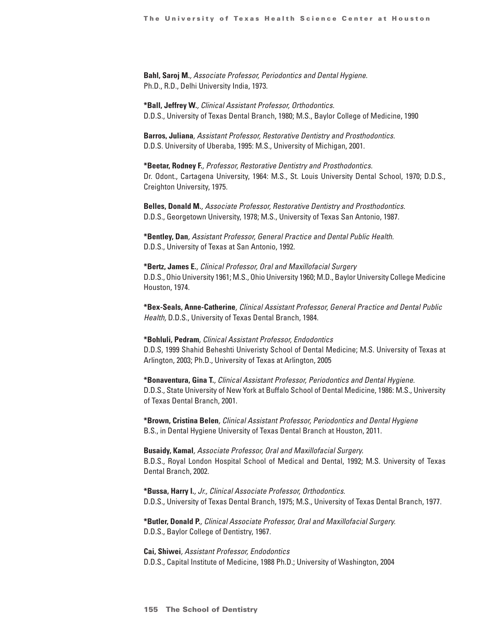**Bahl, Saroj M.***, Associate Professor, Periodontics and Dental Hygiene.* Ph.D., R.D., Delhi University India, 1973.

**\*Ball, Jeffrey W.***, Clinical Assistant Professor, Orthodontics.* D.D.S., University of Texas Dental Branch, 1980; M.S., Baylor College of Medicine, 1990

**Barros, Juliana***, Assistant Professor, Restorative Dentistry and Prosthodontics.* D.D.S. University of Uberaba, 1995: M.S., University of Michigan, 2001.

**\*Beetar, Rodney F.***, Professor, Restorative Dentistry and Prosthodontics.* Dr. Odont., Cartagena University, 1964: M.S., St. Louis University Dental School, 1970; D.D.S., Creighton University, 1975.

**Belles, Donald M.***, Associate Professor, Restorative Dentistry and Prosthodontics.* D.D.S., Georgetown University, 1978; M.S., University of Texas San Antonio, 1987.

**\*Bentley, Dan***, Assistant Professor, General Practice and Dental Public Health.* D.D.S., University of Texas at San Antonio, 1992.

**\*Bertz, James E.***, Clinical Professor, Oral and Maxillofacial Surgery* D.D.S., Ohio University 1961; M.S., Ohio University 1960; M.D., Baylor University College Medicine Houston, 1974.

**\*Bex-Seals, Anne-Catherine***, Clinical Assistant Professor, General Practice and Dental Public Health,* D.D.S., University of Texas Dental Branch, 1984.

**\*Bohluli, Pedram***, Clinical Assistant Professor, Endodontics* D.D.S, 1999 Shahid Beheshti Univeristy School of Dental Medicine; M.S. University of Texas at Arlington, 2003; Ph.D., University of Texas at Arlington, 2005

**\*Bonaventura, Gina T.***, Clinical Assistant Professor, Periodontics and Dental Hygiene.* D.D.S., State University of New York at Buffalo School of Dental Medicine, 1986: M.S., University of Texas Dental Branch, 2001.

**\*Brown, Cristina Belen***, Clinical Assistant Professor, Periodontics and Dental Hygiene* B.S., in Dental Hygiene University of Texas Dental Branch at Houston, 2011.

**Busaidy, Kamal***, Associate Professor, Oral and Maxillofacial Surgery.* B.D.S., Royal London Hospital School of Medical and Dental, 1992; M.S. University of Texas Dental Branch, 2002.

**\*Bussa, Harry I.***, Jr., Clinical Associate Professor, Orthodontics.* D.D.S., University of Texas Dental Branch, 1975; M.S., University of Texas Dental Branch, 1977.

**\*Butler, Donald P.***, Clinical Associate Professor, Oral and Maxillofacial Surgery.* D.D.S., Baylor College of Dentistry, 1967.

**Cai, Shiwei***, Assistant Professor, Endodontics* D.D.S., Capital Institute of Medicine, 1988 Ph.D.; University of Washington, 2004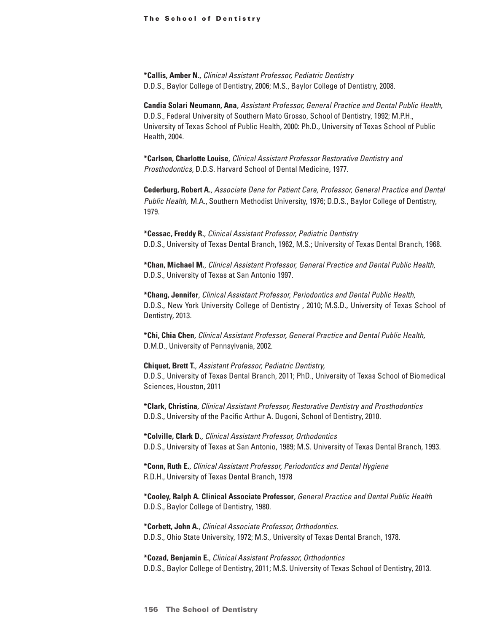**\*Callis, Amber N.***, Clinical Assistant Professor, Pediatric Dentistry* D.D.S., Baylor College of Dentistry, 2006; M.S., Baylor College of Dentistry, 2008.

**Candia Solari Neumann, Ana***, Assistant Professor, General Practice and Dental Public Health,* D.D.S., Federal University of Southern Mato Grosso, School of Dentistry, 1992; M.P.H., University of Texas School of Public Health, 2000: Ph.D., University of Texas School of Public Health, 2004.

**\*Carlson, Charlotte Louise***, Clinical Assistant Professor Restorative Dentistry and Prosthodontics,* D.D.S. Harvard School of Dental Medicine, 1977.

**Cederburg, Robert A.***, Associate Dena for Patient Care, Professor, General Practice and Dental Public Health,* M.A., Southern Methodist University, 1976; D.D.S., Baylor College of Dentistry, 1979.

**\*Cessac, Freddy R.***, Clinical Assistant Professor, Pediatric Dentistry* D.D.S., University of Texas Dental Branch, 1962, M.S.; University of Texas Dental Branch, 1968.

**\*Chan, Michael M.***, Clinical Assistant Professor, General Practice and Dental Public Health,* D.D.S., University of Texas at San Antonio 1997.

**\*Chang, Jennifer***, Clinical Assistant Professor, Periodontics and Dental Public Health,* D.D.S., New York University College of Dentistry , 2010; M.S.D., University of Texas School of Dentistry, 2013.

**\*Chi, Chia Chen***, Clinical Assistant Professor, General Practice and Dental Public Health,* D.M.D., University of Pennsylvania, 2002.

**Chiquet, Brett T.***, Assistant Professor, Pediatric Dentistry,* D.D.S., University of Texas Dental Branch, 2011; PhD., University of Texas School of Biomedical Sciences, Houston, 2011

**\*Clark, Christina***, Clinical Assistant Professor, Restorative Dentistry and Prosthodontics* D.D.S., University of the Pacific Arthur A. Dugoni, School of Dentistry, 2010.

**\*Colville, Clark D.***, Clinical Assistant Professor, Orthodontics* D.D.S., University of Texas at San Antonio, 1989; M.S. University of Texas Dental Branch, 1993.

**\*Conn, Ruth E.***, Clinical Assistant Professor, Periodontics and Dental Hygiene* R.D.H., University of Texas Dental Branch, 1978

**\*Cooley, Ralph A. Clinical Associate Professor***, General Practice and Dental Public Health* D.D.S., Baylor College of Dentistry, 1980.

**\*Corbett, John A.***, Clinical Associate Professor, Orthodontics.* D.D.S., Ohio State University, 1972; M.S., University of Texas Dental Branch, 1978.

**\*Cozad, Benjamin E.***, Clinical Assistant Professor, Orthodontics* D.D.S., Baylor College of Dentistry, 2011; M.S. University of Texas School of Dentistry, 2013.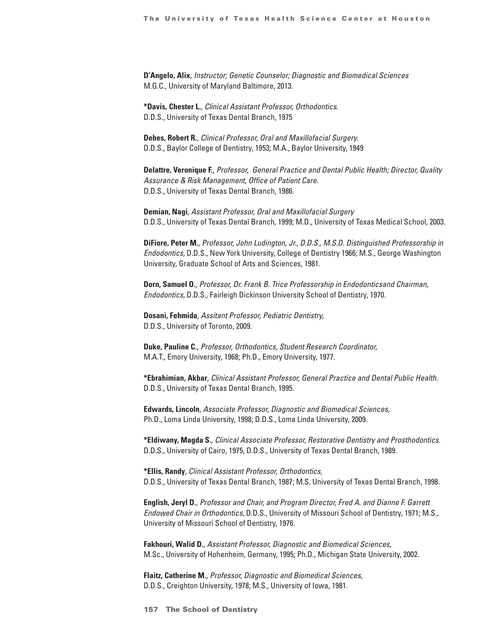**D'Angelo, Alix***, Instructor; Genetic Counselor; Diagnostic and Biomedical Sciences* M.G.C., University of Maryland Baltimore, 2013.

**\*Davis, Chester L.***, Clinical Assistant Professor, Orthodontics.* D.D.S., University of Texas Dental Branch, 1975

**Debes, Robert R.***, Clinical Professor, Oral and Maxillofacial Surgery.* D.D.S., Baylor College of Dentistry, 1953; M.A., Baylor University, 1949

**Delattre, Veronique F.***, Professor, General Practice and Dental Public Health; Director, Quality Assurance & Risk Management, Office of Patient Care.* D.D.S., University of Texas Dental Branch, 1986.

**Demian, Nagi***, Assistant Professor, Oral and Maxillofacial Surgery* D.D.S., University of Texas Dental Branch, 1999; M.D., University of Texas Medical School, 2003.

**DiFiore, Peter M.***, Professor, John Ludington, Jr., D.D.S., M.S.D. Distinguished Professorship in Endodontics,* D.D.S., New York University, College of Dentistry 1966; M.S., George Washington University, Graduate School of Arts and Sciences, 1981.

**Dorn, Samuel O.***, Professor, Dr. Frank B. Trice Professorship in Endodonticsand Chairman, Endodontics,* D.D.S., Fairleigh Dickinson University School of Dentistry, 1970.

**Dosani, Fehmida***, Assitant Professor, Pediatric Dentistry,* D.D.S., University of Toronto, 2009.

**Duke, Pauline C.***, Professor, Orthodontics, Student Research Coordinator,* M.A.T., Emory University, 1968; Ph.D., Emory University, 1977.

**\*Ebrahimian, Akbar***, Clinical Assistant Professor, General Practice and Dental Public Health.* D.D.S., University of Texas Dental Branch, 1995.

**Edwards, Lincoln***, Associate Professor, Diagnostic and Biomedical Sciences,* Ph.D., Loma Linda University, 1998; D.D.S., Loma Linda University, 2009.

**\*Eldiwany, Magda S.***, Clinical Associate Professor, Restorative Dentistry and Prosthodontics.* D.D.S., University of Cairo, 1975, D.D.S., University of Texas Dental Branch, 1989.

**\*Ellis, Randy***, Clinical Assistant Professor, Orthodontics,* D.D.S., University of Texas Dental Branch, 1987; M.S. University of Texas Dental Branch, 1998.

**English, Jeryl D.***, Professor and Chair, and Program Director, Fred A. and Dianne F. Garrett Endowed Chair in Orthodontics,* D.D.S., University of Missouri School of Dentistry, 1971; M.S., University of Missouri School of Dentistry, 1976.

**Fakhouri, Walid D.***, Assistant Professor, Diagnostic and Biomedical Sciences,* M.Sc., University of Hohenheim, Germany, 1995; Ph.D., Michigan State University, 2002.

**Flaitz, Catherine M.***, Professor, Diagnostic and Biomedical Sciences,* D.D.S., Creighton University, 1978; M.S., University of Iowa, 1981.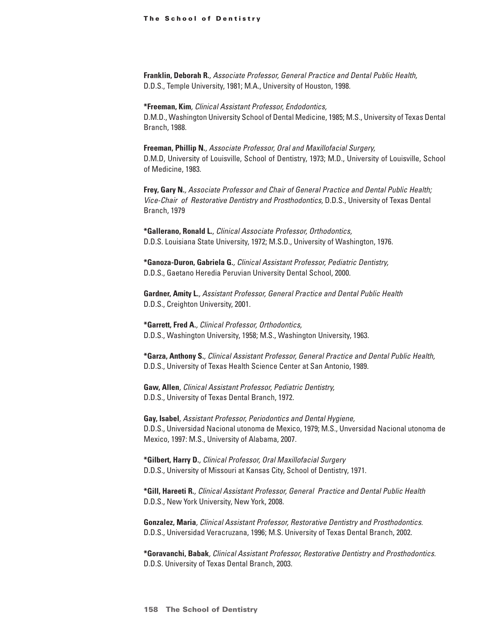**Franklin, Deborah R.***, Associate Professor, General Practice and Dental Public Health,* D.D.S., Temple University, 1981; M.A., University of Houston, 1998.

**\*Freeman, Kim***, Clinical Assistant Professor, Endodontics,* D.M.D., Washington University School of Dental Medicine, 1985; M.S., University of Texas Dental Branch, 1988.

**Freeman, Phillip N.***, Associate Professor, Oral and Maxillofacial Surgery,* D.M.D, University of Louisville, School of Dentistry, 1973; M.D., University of Louisville, School of Medicine, 1983.

**Frey, Gary N.***, Associate Professor and Chair of General Practice and Dental Public Health; Vice-Chair of Restorative Dentistry and Prosthodontics,* D.D.S., University of Texas Dental Branch, 1979

**\*Gallerano, Ronald L.***, Clinical Associate Professor, Orthodontics,* D.D.S. Louisiana State University, 1972; M.S.D., University of Washington, 1976.

**\*Ganoza-Duron, Gabriela G.***, Clinical Assistant Professor, Pediatric Dentistry,* D.D.S., Gaetano Heredia Peruvian University Dental School, 2000.

**Gardner, Amity L.***, Assistant Professor, General Practice and Dental Public Health* D.D.S., Creighton University, 2001.

**\*Garrett, Fred A.***, Clinical Professor, Orthodontics,* D.D.S., Washington University, 1958; M.S., Washington University, 1963.

**\*Garza, Anthony S.***, Clinical Assistant Professor, General Practice and Dental Public Health,* D.D.S., University of Texas Health Science Center at San Antonio, 1989.

**Gaw, Allen***, Clinical Assistant Professor, Pediatric Dentistry,* D.D.S., University of Texas Dental Branch, 1972.

**Gay, Isabel***, Assistant Professor, Periodontics and Dental Hygiene,* D.D.S., Universidad Nacional utonoma de Mexico, 1979; M.S., Unversidad Nacional utonoma de Mexico, 1997: M.S., University of Alabama, 2007.

**\*Gilbert, Harry D.***, Clinical Professor, Oral Maxillofacial Surgery* D.D.S., University of Missouri at Kansas City, School of Dentistry, 1971.

**\*Gill, Hareeti R.***, Clinical Assistant Professor, General Practice and Dental Public Health* D.D.S., New York University, New York, 2008.

**Gonzalez, Maria***, Clinical Assistant Professor, Restorative Dentistry and Prosthodontics.* D.D.S., Universidad Veracruzana, 1996; M.S. University of Texas Dental Branch, 2002.

**\*Goravanchi, Babak***, Clinical Assistant Professor, Restorative Dentistry and Prosthodontics.* D.D.S. University of Texas Dental Branch, 2003.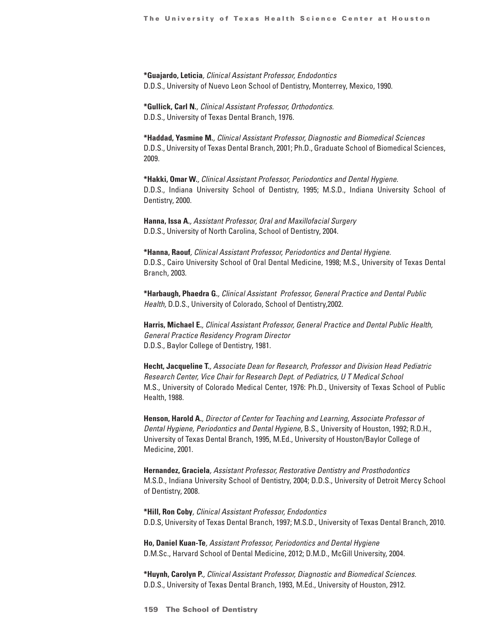**\*Guajardo, Leticia***, Clinical Assistant Professor, Endodontics* D.D.S., University of Nuevo Leon School of Dentistry, Monterrey, Mexico, 1990.

**\*Gullick, Carl N.***, Clinical Assistant Professor, Orthodontics.*  D.D.S., University of Texas Dental Branch, 1976.

**\*Haddad, Yasmine M.***, Clinical Assistant Professor, Diagnostic and Biomedical Sciences* D.D.S., University of Texas Dental Branch, 2001; Ph.D., Graduate School of Biomedical Sciences, 2009.

**\*Hakki, Omar W.***, Clinical Assistant Professor, Periodontics and Dental Hygiene.* D.D.S., Indiana University School of Dentistry, 1995; M.S.D., Indiana University School of Dentistry, 2000.

**Hanna, Issa A.***, Assistant Professor, Oral and Maxillofacial Surgery* D.D.S., University of North Carolina, School of Dentistry, 2004.

**\*Hanna, Raouf***, Clinical Assistant Professor, Periodontics and Dental Hygiene.* D.D.S., Cairo University School of Oral Dental Medicine, 1998; M.S., University of Texas Dental Branch, 2003.

**\*Harbaugh, Phaedra G.***, Clinical Assistant Professor, General Practice and Dental Public Health,* D.D.S., University of Colorado, School of Dentistry,2002.

**Harris, Michael E.***, Clinical Assistant Professor, General Practice and Dental Public Health, General Practice Residency Program Director* D.D.S., Baylor College of Dentistry, 1981.

**Hecht, Jacqueline T.***, Associate Dean for Research, Professor and Division Head Pediatric Research Center, Vice Chair for Research Dept. of Pediatrics, U T Medical School* M.S., University of Colorado Medical Center, 1976: Ph.D., University of Texas School of Public Health, 1988.

**Henson, Harold A.***, Director of Center for Teaching and Learning, Associate Professor of Dental Hygiene, Periodontics and Dental Hygiene,* B.S., University of Houston, 1992; R.D.H., University of Texas Dental Branch, 1995, M.Ed., University of Houston/Baylor College of Medicine, 2001.

**Hernandez, Graciela***, Assistant Professor, Restorative Dentistry and Prosthodontics* M.S.D., Indiana University School of Dentistry, 2004; D.D.S., University of Detroit Mercy School of Dentistry, 2008.

**\*Hill, Ron Coby***, Clinical Assistant Professor, Endodontics* D.D.S, University of Texas Dental Branch, 1997; M.S.D., University of Texas Dental Branch, 2010.

**Ho, Daniel Kuan-Te***, Assistant Professor, Periodontics and Dental Hygiene* D.M.Sc., Harvard School of Dental Medicine, 2012; D.M.D., McGill University, 2004.

**\*Huynh, Carolyn P.***, Clinical Assistant Professor, Diagnostic and Biomedical Sciences.* D.D.S., University of Texas Dental Branch, 1993, M.Ed., University of Houston, 2912.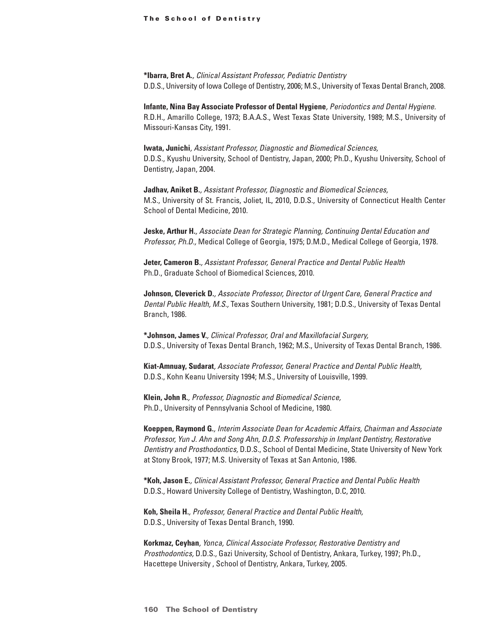**\*Ibarra, Bret A.***, Clinical Assistant Professor, Pediatric Dentistry* D.D.S., University of Iowa College of Dentistry, 2006; M.S., University of Texas Dental Branch, 2008.

**Infante, Nina Bay Associate Professor of Dental Hygiene***, Periodontics and Dental Hygiene.* R.D.H., Amarillo College, 1973; B.A.A.S., West Texas State University, 1989; M.S., University of Missouri-Kansas City, 1991.

**Iwata, Junichi***, Assistant Professor, Diagnostic and Biomedical Sciences,* D.D.S., Kyushu University, School of Dentistry, Japan, 2000; Ph.D., Kyushu University, School of Dentistry, Japan, 2004.

**Jadhav, Aniket B.***, Assistant Professor, Diagnostic and Biomedical Sciences,* M.S., University of St. Francis, Joliet, IL, 2010, D.D.S., University of Connecticut Health Center School of Dental Medicine, 2010.

**Jeske, Arthur H.***, Associate Dean for Strategic Planning, Continuing Dental Education and Professor, Ph.D.,* Medical College of Georgia, 1975; D.M.D., Medical College of Georgia, 1978.

**Jeter, Cameron B.***, Assistant Professor, General Practice and Dental Public Health* Ph.D., Graduate School of Biomedical Sciences, 2010.

**Johnson, Cleverick D.***, Associate Professor, Director of Urgent Care, General Practice and Dental Public Health, M.S.,* Texas Southern University, 1981; D.D.S., University of Texas Dental Branch, 1986.

**\*Johnson, James V.***, Clinical Professor, Oral and Maxillofacial Surgery,* D.D.S., University of Texas Dental Branch, 1962; M.S., University of Texas Dental Branch, 1986.

**Kiat-Amnuay, Sudarat***, Associate Professor, General Practice and Dental Public Health,* D.D.S., Kohn Keanu University 1994; M.S., University of Louisville, 1999.

**Klein, John R.***, Professor, Diagnostic and Biomedical Science,* Ph.D., University of Pennsylvania School of Medicine, 1980.

**Koeppen, Raymond G.***, Interim Associate Dean for Academic Affairs, Chairman and Associate Professor, Yun J. Ahn and Song Ahn, D.D.S. Professorship in Implant Dentistry, Restorative Dentistry and Prosthodontics,* D.D.S., School of Dental Medicine, State University of New York at Stony Brook, 1977; M.S. University of Texas at San Antonio, 1986.

**\*Koh, Jason E.***, Clinical Assistant Professor, General Practice and Dental Public Health* D.D.S., Howard University College of Dentistry, Washington, D.C, 2010.

**Koh, Sheila H.***, Professor, General Practice and Dental Public Health,* D.D.S., University of Texas Dental Branch, 1990.

**Korkmaz, Ceyhan***, Yonca, Clinical Associate Professor, Restorative Dentistry and Prosthodontics,* D.D.S., Gazi University, School of Dentistry, Ankara, Turkey, 1997; Ph.D., Hacettepe University , School of Dentistry, Ankara, Turkey, 2005.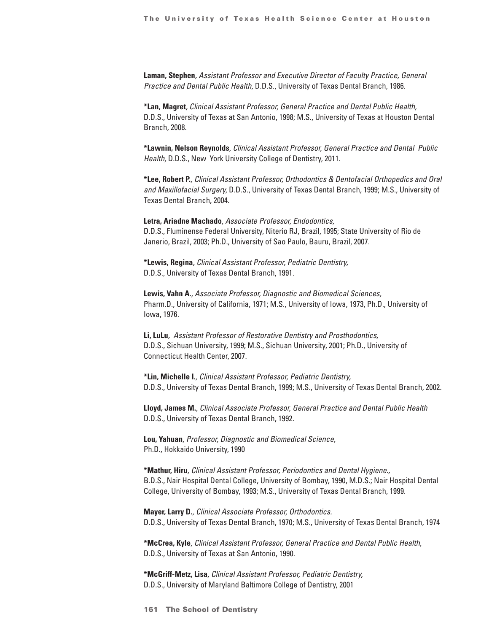**Laman, Stephen***, Assistant Professor and Executive Director of Faculty Practice, General Practice and Dental Public Health,* D.D.S., University of Texas Dental Branch, 1986.

**\*Lan, Magret***, Clinical Assistant Professor, General Practice and Dental Public Health,* D.D.S., University of Texas at San Antonio, 1998; M.S., University of Texas at Houston Dental Branch, 2008.

**\*Lawnin, Nelson Reynolds***, Clinical Assistant Professor, General Practice and Dental Public Health,* D.D.S., New York University College of Dentistry, 2011.

**\*Lee, Robert P.***, Clinical Assistant Professor, Orthodontics & Dentofacial Orthopedics and Oral and Maxillofacial Surgery,* D.D.S., University of Texas Dental Branch, 1999; M.S., University of Texas Dental Branch, 2004.

**Letra, Ariadne Machado***, Associate Professor, Endodontics,* D.D.S., Fluminense Federal University, Niterio RJ, Brazil, 1995; State University of Rio de Janerio, Brazil, 2003; Ph.D., University of Sao Paulo, Bauru, Brazil, 2007.

**\*Lewis, Regina***, Clinical Assistant Professor, Pediatric Dentistry,* D.D.S., University of Texas Dental Branch, 1991.

**Lewis, Vahn A.***, Associate Professor, Diagnostic and Biomedical Sciences,* Pharm.D., University of California, 1971; M.S., University of Iowa, 1973, Ph.D., University of Iowa, 1976.

**Li, LuLu***, Assistant Professor of Restorative Dentistry and Prosthodontics,* D.D.S., Sichuan University, 1999; M.S., Sichuan University, 2001; Ph.D., University of Connecticut Health Center, 2007.

**\*Lin, Michelle I.***, Clinical Assistant Professor, Pediatric Dentistry,* D.D.S., University of Texas Dental Branch, 1999; M.S., University of Texas Dental Branch, 2002.

**Lloyd, James M.***, Clinical Associate Professor, General Practice and Dental Public Health* D.D.S., University of Texas Dental Branch, 1992.

**Lou, Yahuan***, Professor, Diagnostic and Biomedical Science,* Ph.D., Hokkaido University, 1990

**\*Mathur, Hiru***, Clinical Assistant Professor, Periodontics and Dental Hygiene.,* B.D.S., Nair Hospital Dental College, University of Bombay, 1990, M.D.S.; Nair Hospital Dental College, University of Bombay, 1993; M.S., University of Texas Dental Branch, 1999.

**Mayer, Larry D.***, Clinical Associate Professor, Orthodontics.* D.D.S., University of Texas Dental Branch, 1970; M.S., University of Texas Dental Branch, 1974

**\*McCrea, Kyle***, Clinical Assistant Professor, General Practice and Dental Public Health,* D.D.S., University of Texas at San Antonio, 1990.

**\*McGriff-Metz, Lisa***, Clinical Assistant Professor, Pediatric Dentistry,* D.D.S., University of Maryland Baltimore College of Dentistry, 2001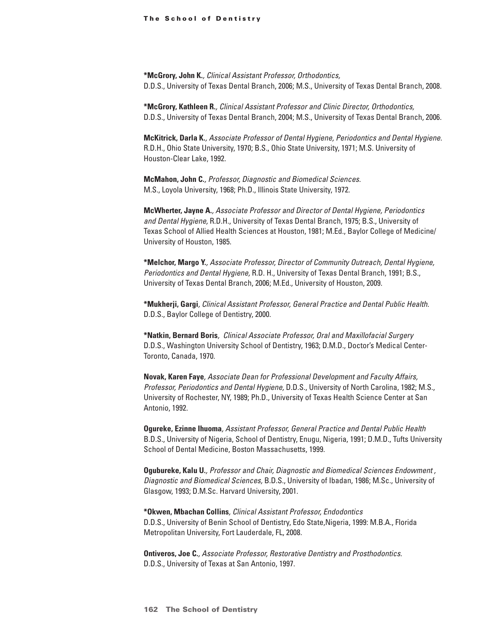**\*McGrory, John K.***, Clinical Assistant Professor, Orthodontics,* D.D.S., University of Texas Dental Branch, 2006; M.S., University of Texas Dental Branch, 2008.

**\*McGrory, Kathleen R.***, Clinical Assistant Professor and Clinic Director, Orthodontics,* D.D.S., University of Texas Dental Branch, 2004; M.S., University of Texas Dental Branch, 2006.

**McKitrick, Darla K.***, Associate Professor of Dental Hygiene, Periodontics and Dental Hygiene.* R.D.H., Ohio State University, 1970; B.S., Ohio State University, 1971; M.S. University of Houston-Clear Lake, 1992.

**McMahon, John C.***, Professor, Diagnostic and Biomedical Sciences.* M.S., Loyola University, 1968; Ph.D., Illinois State University, 1972.

**McWherter, Jayne A.***, Associate Professor and Director of Dental Hygiene, Periodontics and Dental Hygiene,* R.D.H., University of Texas Dental Branch, 1975; B.S., University of Texas School of Allied Health Sciences at Houston, 1981; M.Ed., Baylor College of Medicine/ University of Houston, 1985.

**\*Melchor, Margo Y.***, Associate Professor, Director of Community Outreach, Dental Hygiene, Periodontics and Dental Hygiene,* R.D. H., University of Texas Dental Branch, 1991; B.S., University of Texas Dental Branch, 2006; M.Ed., University of Houston, 2009.

**\*Mukherji, Gargi***, Clinical Assistant Professor, General Practice and Dental Public Health.* D.D.S., Baylor College of Dentistry, 2000.

**\*Natkin, Bernard Boris***, Clinical Associate Professor, Oral and Maxillofacial Surgery* D.D.S., Washington University School of Dentistry, 1963; D.M.D., Doctor's Medical Center-Toronto, Canada, 1970.

**Novak, Karen Faye***, Associate Dean for Professional Development and Faculty Affairs, Professor, Periodontics and Dental Hygiene,* D.D.S., University of North Carolina, 1982; M.S., University of Rochester, NY, 1989; Ph.D., University of Texas Health Science Center at San Antonio, 1992.

**Ogureke, Ezinne Ihuoma***, Assistant Professor, General Practice and Dental Public Health* B.D.S., University of Nigeria, School of Dentistry, Enugu, Nigeria, 1991; D.M.D., Tufts University School of Dental Medicine, Boston Massachusetts, 1999.

**Ogubureke, Kalu U.***, Professor and Chair, Diagnostic and Biomedical Sciences Endowment , Diagnostic and Biomedical Sciences,* B.D.S., University of Ibadan, 1986; M.Sc., University of Glasgow, 1993; D.M.Sc. Harvard University, 2001.

**\*Okwen, Mbachan Collins***, Clinical Assistant Professor, Endodontics* D.D.S., University of Benin School of Dentistry, Edo State,Nigeria, 1999: M.B.A., Florida Metropolitan University, Fort Lauderdale, FL, 2008.

**Ontiveros, Joe C.***, Associate Professor, Restorative Dentistry and Prosthodontics.* D.D.S., University of Texas at San Antonio, 1997.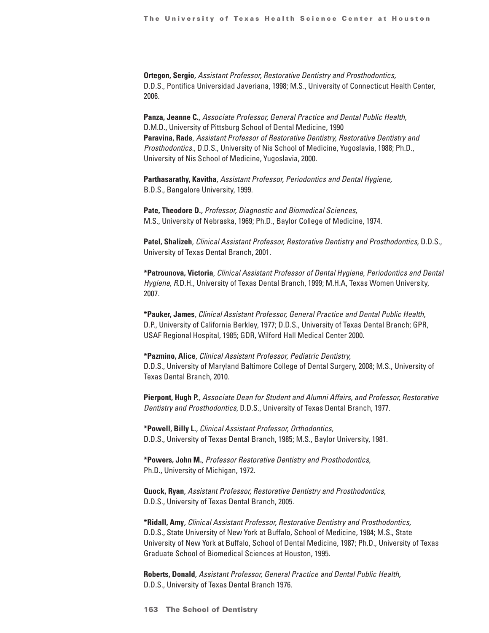**Ortegon, Sergio***, Assistant Professor, Restorative Dentistry and Prosthodontics,* D.D.S., Pontifica Universidad Javeriana, 1998; M.S., University of Connecticut Health Center, 2006.

**Panza, Jeanne C.***, Associate Professor, General Practice and Dental Public Health,* D.M.D., University of Pittsburg School of Dental Medicine, 1990 **Paravina, Rade***, Assistant Professor of Restorative Dentistry, Restorative Dentistry and Prosthodontics.,* D.D.S., University of Nis School of Medicine, Yugoslavia, 1988; Ph.D., University of Nis School of Medicine, Yugoslavia, 2000.

**Parthasarathy, Kavitha***, Assistant Professor, Periodontics and Dental Hygiene,* B.D.S., Bangalore University, 1999.

**Pate, Theodore D.***, Professor, Diagnostic and Biomedical Sciences,* M.S., University of Nebraska, 1969; Ph.D., Baylor College of Medicine, 1974.

**Patel, Shalizeh***, Clinical Assistant Professor, Restorative Dentistry and Prosthodontics,* D.D.S., University of Texas Dental Branch, 2001.

**\*Patrounova, Victoria***, Clinical Assistant Professor of Dental Hygiene, Periodontics and Dental Hygiene, R*.D.H., University of Texas Dental Branch, 1999; M.H.A, Texas Women University, 2007.

**\*Pauker, James***, Clinical Assistant Professor, General Practice and Dental Public Health,* D.P., University of California Berkley, 1977; D.D.S., University of Texas Dental Branch; GPR, USAF Regional Hospital, 1985; GDR, Wilford Hall Medical Center 2000.

**\*Pazmino, Alice***, Clinical Assistant Professor, Pediatric Dentistry,* D.D.S., University of Maryland Baltimore College of Dental Surgery, 2008; M.S., University of Texas Dental Branch, 2010.

**Pierpont, Hugh P.***, Associate Dean for Student and Alumni Affairs, and Professor, Restorative Dentistry and Prosthodontics,* D.D.S., University of Texas Dental Branch, 1977.

**\*Powell, Billy L.***, Clinical Assistant Professor, Orthodontics,* D.D.S., University of Texas Dental Branch, 1985; M.S., Baylor University, 1981.

**\*Powers, John M.***, Professor Restorative Dentistry and Prosthodontics,* Ph.D., University of Michigan, 1972.

**Quock, Ryan***, Assistant Professor, Restorative Dentistry and Prosthodontics,* D.D.S., University of Texas Dental Branch, 2005.

**\*Ridall, Amy***, Clinical Assistant Professor, Restorative Dentistry and Prosthodontics,* D.D.S., State University of New York at Buffalo, School of Medicine, 1984; M.S., State University of New York at Buffalo, School of Dental Medicine, 1987; Ph.D., University of Texas Graduate School of Biomedical Sciences at Houston, 1995.

**Roberts, Donald***, Assistant Professor, General Practice and Dental Public Health,* D.D.S., University of Texas Dental Branch 1976.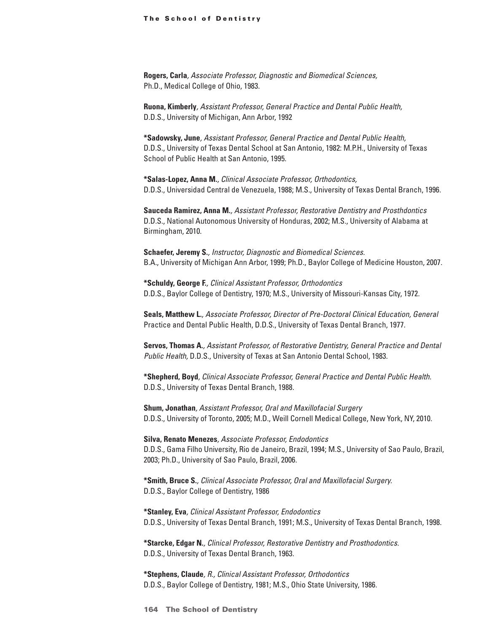**Rogers, Carla***, Associate Professor, Diagnostic and Biomedical Sciences,* Ph.D., Medical College of Ohio, 1983.

**Ruona, Kimberly***, Assistant Professor, General Practice and Dental Public Health,* D.D.S., University of Michigan, Ann Arbor, 1992

**\*Sadowsky, June***, Assistant Professor, General Practice and Dental Public Health,* D.D.S., University of Texas Dental School at San Antonio, 1982: M.P.H., University of Texas School of Public Health at San Antonio, 1995.

**\*Salas-Lopez, Anna M.***, Clinical Associate Professor, Orthodontics,* D.D.S., Universidad Central de Venezuela, 1988; M.S., University of Texas Dental Branch, 1996.

**Sauceda Ramirez, Anna M.***, Assistant Professor, Restorative Dentistry and Prosthdontics* D.D.S., National Autonomous University of Honduras, 2002; M.S., University of Alabama at Birmingham, 2010.

**Schaefer, Jeremy S.***, Instructor, Diagnostic and Biomedical Sciences.* B.A., University of Michigan Ann Arbor, 1999; Ph.D., Baylor College of Medicine Houston, 2007.

**\*Schuldy, George F.***, Clinical Assistant Professor, Orthodontics* D.D.S., Baylor College of Dentistry, 1970; M.S., University of Missouri-Kansas City, 1972.

**Seals, Matthew L.***, Associate Professor, Director of Pre-Doctoral Clinical Education, General*  Practice and Dental Public Health, D.D.S., University of Texas Dental Branch, 1977.

**Servos, Thomas A.***, Assistant Professor, of Restorative Dentistry, General Practice and Dental Public Health,* D.D.S., University of Texas at San Antonio Dental School, 1983.

**\*Shepherd, Boyd***, Clinical Associate Professor, General Practice and Dental Public Health.* D.D.S., University of Texas Dental Branch, 1988.

**Shum, Jonathan***, Assistant Professor, Oral and Maxillofacial Surgery* D.D.S., University of Toronto, 2005; M.D., Weill Cornell Medical College, New York, NY, 2010.

**Silva, Renato Menezes***, Associate Professor, Endodontics* D.D.S., Gama Filho University, Rio de Janeiro, Brazil, 1994; M.S., University of Sao Paulo, Brazil, 2003; Ph.D., University of Sao Paulo, Brazil, 2006.

**\*Smith, Bruce S.***, Clinical Associate Professor, Oral and Maxillofacial Surgery.* D.D.S., Baylor College of Dentistry, 1986

**\*Stanley, Eva***, Clinical Assistant Professor, Endodontics* D.D.S., University of Texas Dental Branch, 1991; M.S., University of Texas Dental Branch, 1998.

**\*Starcke, Edgar N.***, Clinical Professor, Restorative Dentistry and Prosthodontics.* D.D.S., University of Texas Dental Branch, 1963.

**\*Stephens, Claude***, R., Clinical Assistant Professor, Orthodontics* D.D.S., Baylor College of Dentistry, 1981; M.S., Ohio State University, 1986.

**164 The School of Dentistry**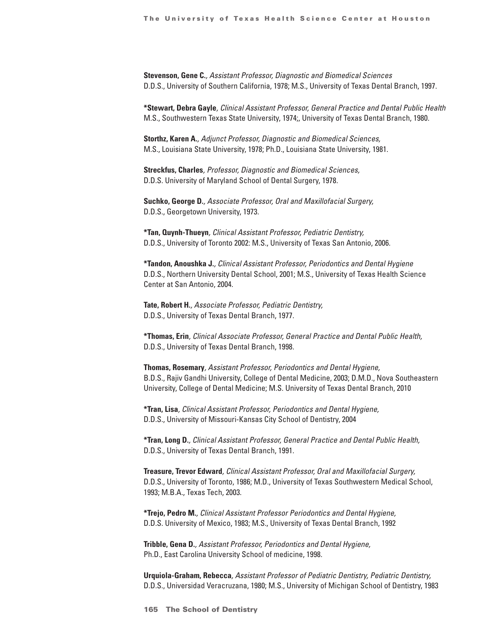**Stevenson, Gene C.***, Assistant Professor, Diagnostic and Biomedical Sciences* D.D.S., University of Southern California, 1978; M.S., University of Texas Dental Branch, 1997.

**\*Stewart, Debra Gayle***, Clinical Assistant Professor, General Practice and Dental Public Health* M.S., Southwestern Texas State University, 1974;, University of Texas Dental Branch, 1980.

**Storthz, Karen A.***, Adjunct Professor, Diagnostic and Biomedical Sciences,* M.S., Louisiana State University, 1978; Ph.D., Louisiana State University, 1981.

**Streckfus, Charles***, Professor, Diagnostic and Biomedical Sciences,* D.D.S. University of Maryland School of Dental Surgery, 1978.

**Suchko, George D.***, Associate Professor, Oral and Maxillofacial Surgery,* D.D.S., Georgetown University, 1973.

**\*Tan, Quynh-Thueyn***, Clinical Assistant Professor, Pediatric Dentistry,* D.D.S., University of Toronto 2002: M.S., University of Texas San Antonio, 2006.

**\*Tandon, Anoushka J.***, Clinical Assistant Professor, Periodontics and Dental Hygiene* D.D.S., Northern University Dental School, 2001; M.S., University of Texas Health Science Center at San Antonio, 2004.

**Tate, Robert H.***, Associate Professor, Pediatric Dentistry,* D.D.S., University of Texas Dental Branch, 1977.

**\*Thomas, Erin***, Clinical Associate Professor, General Practice and Dental Public Health,* D.D.S., University of Texas Dental Branch, 1998.

**Thomas, Rosemary***, Assistant Professor, Periodontics and Dental Hygiene,* B.D.S., Rajiv Gandhi University, College of Dental Medicine, 2003; D.M.D., Nova Southeastern University, College of Dental Medicine; M.S. University of Texas Dental Branch, 2010

**\*Tran, Lisa***, Clinical Assistant Professor, Periodontics and Dental Hygiene,* D.D.S., University of Missouri-Kansas City School of Dentistry, 2004

**\*Tran, Long D.***, Clinical Assistant Professor, General Practice and Dental Public Health,* D.D.S., University of Texas Dental Branch, 1991.

**Treasure, Trevor Edward***, Clinical Assistant Professor, Oral and Maxillofacial Surgery,* D.D.S., University of Toronto, 1986; M.D., University of Texas Southwestern Medical School, 1993; M.B.A., Texas Tech, 2003.

**\*Trejo, Pedro M.***, Clinical Assistant Professor Periodontics and Dental Hygiene,* D.D.S. University of Mexico, 1983; M.S., University of Texas Dental Branch, 1992

**Tribble, Gena D.***, Assistant Professor, Periodontics and Dental Hygiene,* Ph.D., East Carolina University School of medicine, 1998.

**Urquiola-Graham, Rebecca***, Assistant Professor of Pediatric Dentistry, Pediatric Dentistry,* D.D.S., Universidad Veracruzana, 1980; M.S., University of Michigan School of Dentistry, 1983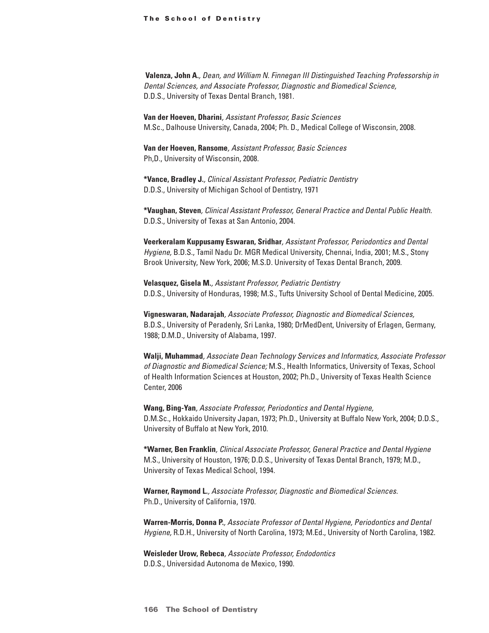**Valenza, John A.***, Dean, and William N. Finnegan III Distinguished Teaching Professorship in Dental Sciences, and Associate Professor, Diagnostic and Biomedical Science,*  D.D.S., University of Texas Dental Branch, 1981.

**Van der Hoeven, Dharini***, Assistant Professor, Basic Sciences* M.Sc., Dalhouse University, Canada, 2004; Ph. D., Medical College of Wisconsin, 2008.

**Van der Hoeven, Ransome***, Assistant Professor, Basic Sciences* Ph,D., University of Wisconsin, 2008.

**\*Vance, Bradley J.***, Clinical Assistant Professor, Pediatric Dentistry* D.D.S., University of Michigan School of Dentistry, 1971

**\*Vaughan, Steven***, Clinical Assistant Professor, General Practice and Dental Public Health.* D.D.S., University of Texas at San Antonio, 2004.

**Veerkeralam Kuppusamy Eswaran, Sridhar***, Assistant Professor, Periodontics and Dental Hygiene,* B.D.S., Tamil Nadu Dr. MGR Medical University, Chennai, India, 2001; M.S., Stony Brook University, New York, 2006; M.S.D. University of Texas Dental Branch, 2009.

**Velasquez, Gisela M.***, Assistant Professor, Pediatric Dentistry* D.D.S., University of Honduras, 1998; M.S., Tufts University School of Dental Medicine, 2005.

**Vigneswaran, Nadarajah***, Associate Professor, Diagnostic and Biomedical Sciences,* B.D.S., University of Peradenly, Sri Lanka, 1980; DrMedDent, University of Erlagen, Germany, 1988; D.M.D., University of Alabama, 1997.

**Walji, Muhammad***, Associate Dean Technology Services and Informatics, Associate Professor of Diagnostic and Biomedical Science;* M.S., Health Informatics, University of Texas, School of Health Information Sciences at Houston, 2002; Ph.D., University of Texas Health Science Center, 2006

**Wang, Bing-Yan***, Associate Professor, Periodontics and Dental Hygiene,* D.M.Sc., Hokkaido University Japan, 1973; Ph.D., University at Buffalo New York, 2004; D.D.S., University of Buffalo at New York, 2010.

**\*Warner, Ben Franklin***, Clinical Associate Professor, General Practice and Dental Hygiene* M.S., University of Houston, 1976; D.D.S., University of Texas Dental Branch, 1979; M.D., University of Texas Medical School, 1994.

**Warner, Raymond L.***, Associate Professor, Diagnostic and Biomedical Sciences.* Ph.D., University of California, 1970.

**Warren-Morris, Donna P.***, Associate Professor of Dental Hygiene, Periodontics and Dental Hygiene,* R.D.H., University of North Carolina, 1973; M.Ed., University of North Carolina, 1982.

**Weisleder Urow, Rebeca***, Associate Professor, Endodontics* D.D.S., Universidad Autonoma de Mexico, 1990.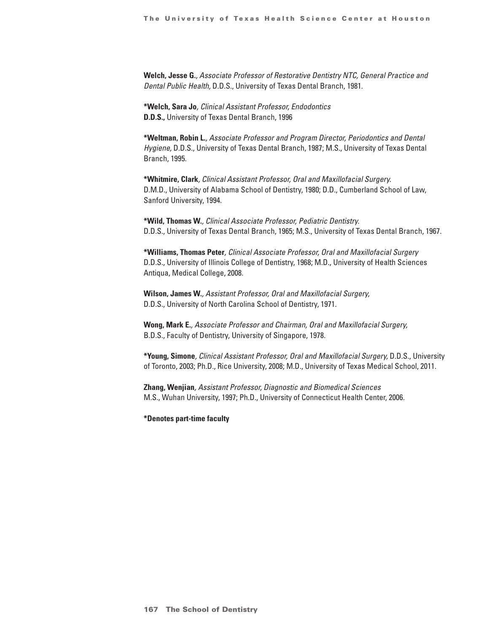**Welch, Jesse G.***, Associate Professor of Restorative Dentistry NTC, General Practice and Dental Public Health,* D.D.S., University of Texas Dental Branch, 1981.

**\*Welch, Sara Jo***, Clinical Assistant Professor, Endodontics* **D.D.S.,** University of Texas Dental Branch, 1996

**\*Weltman, Robin L.***, Associate Professor and Program Director, Periodontics and Dental Hygiene,* D.D.S., University of Texas Dental Branch, 1987; M.S., University of Texas Dental Branch, 1995.

**\*Whitmire, Clark***, Clinical Assistant Professor, Oral and Maxillofacial Surgery.* D.M.D., University of Alabama School of Dentistry, 1980; D.D., Cumberland School of Law, Sanford University, 1994.

**\*Wild, Thomas W.***, Clinical Associate Professor, Pediatric Dentistry.* D.D.S., University of Texas Dental Branch, 1965; M.S., University of Texas Dental Branch, 1967.

**\*Williams, Thomas Peter***, Clinical Associate Professor, Oral and Maxillofacial Surgery* D.D.S., University of Illinois College of Dentistry, 1968; M.D., University of Health Sciences Antiqua, Medical College, 2008.

**Wilson, James W.***, Assistant Professor, Oral and Maxillofacial Surgery,* D.D.S., University of North Carolina School of Dentistry, 1971.

**Wong, Mark E.***, Associate Professor and Chairman, Oral and Maxillofacial Surgery,* B.D.S., Faculty of Dentistry, University of Singapore, 1978.

**\*Young, Simone***, Clinical Assistant Professor, Oral and Maxillofacial Surgery,* D.D.S., University of Toronto, 2003; Ph.D., Rice University, 2008; M.D., University of Texas Medical School, 2011.

**Zhang, Wenjian***, Assistant Professor, Diagnostic and Biomedical Sciences* M.S., Wuhan University, 1997; Ph.D., University of Connecticut Health Center, 2006.

**\*Denotes part-time faculty**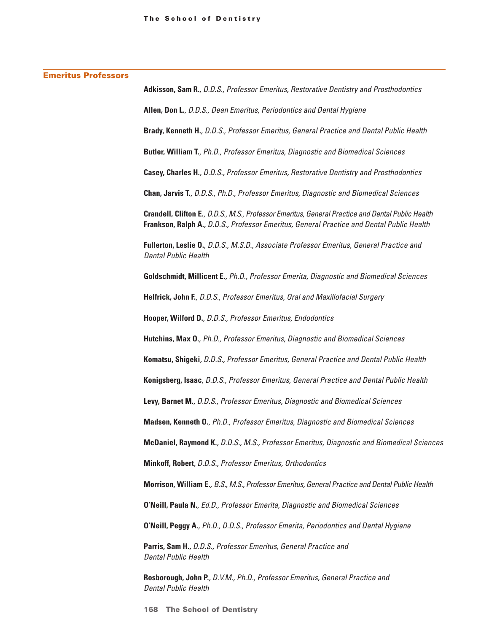| Adkisson, Sam R., D.D.S., Professor Emeritus, Restorative Dentistry and Prosthodontics                                                                                                         |
|------------------------------------------------------------------------------------------------------------------------------------------------------------------------------------------------|
| Allen, Don L., D.D.S., Dean Emeritus, Periodontics and Dental Hygiene                                                                                                                          |
| Brady, Kenneth H., D.D.S., Professor Emeritus, General Practice and Dental Public Health                                                                                                       |
| Butler, William T., Ph.D., Professor Emeritus, Diagnostic and Biomedical Sciences                                                                                                              |
| Casey, Charles H., D.D.S., Professor Emeritus, Restorative Dentistry and Prosthodontics                                                                                                        |
| Chan, Jarvis T., D.D.S., Ph.D., Professor Emeritus, Diagnostic and Biomedical Sciences                                                                                                         |
| Crandell, Clifton E., D.D.S., M.S., Professor Emeritus, General Practice and Dental Public Health<br>Frankson, Ralph A., D.D.S., Professor Emeritus, General Practice and Dental Public Health |
| Fullerton, Leslie O., D.D.S., M.S.D., Associate Professor Emeritus, General Practice and<br><b>Dental Public Health</b>                                                                        |
| Goldschmidt, Millicent E., Ph.D., Professor Emerita, Diagnostic and Biomedical Sciences                                                                                                        |
| Helfrick, John F., D.D.S., Professor Emeritus, Oral and Maxillofacial Surgery                                                                                                                  |
| Hooper, Wilford D., D.D.S., Professor Emeritus, Endodontics                                                                                                                                    |
| Hutchins, Max O., Ph.D., Professor Emeritus, Diagnostic and Biomedical Sciences                                                                                                                |
| Komatsu, Shigeki, D.D.S., Professor Emeritus, General Practice and Dental Public Health                                                                                                        |
| Konigsberg, Isaac, D.D.S., Professor Emeritus, General Practice and Dental Public Health                                                                                                       |
| Levy, Barnet M., D.D.S., Professor Emeritus, Diagnostic and Biomedical Sciences                                                                                                                |
| Madsen, Kenneth O., Ph.D., Professor Emeritus, Diagnostic and Biomedical Sciences                                                                                                              |
| McDaniel, Raymond K., D.D.S., M.S., Professor Emeritus, Diagnostic and Biomedical Sciences                                                                                                     |
| Minkoff, Robert, D.D.S., Professor Emeritus, Orthodontics                                                                                                                                      |
| Morrison, William E., B.S., M.S., Professor Emeritus, General Practice and Dental Public Health                                                                                                |
| O'Neill, Paula N., Ed.D., Professor Emerita, Diagnostic and Biomedical Sciences                                                                                                                |
| O'Neill, Peggy A., Ph.D., D.D.S., Professor Emerita, Periodontics and Dental Hygiene                                                                                                           |
| Parris, Sam H., D.D.S., Professor Emeritus, General Practice and<br><b>Dental Public Health</b>                                                                                                |
| Rosborough, John P., D.V.M., Ph.D., Professor Emeritus, General Practice and<br><b>Dental Public Health</b>                                                                                    |

**168 The School of Dentistry**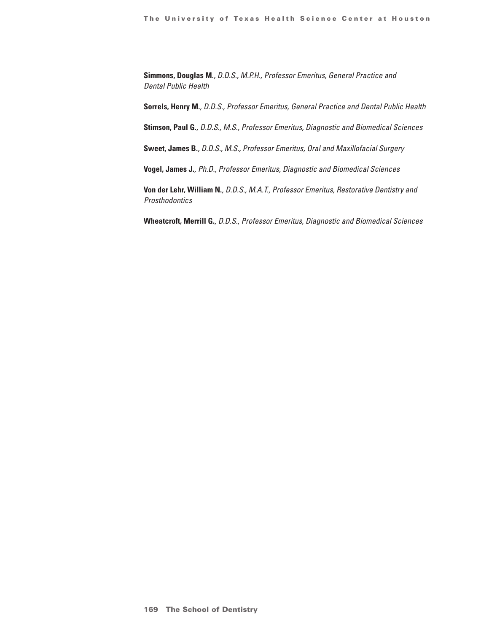**Simmons, Douglas M.***, D.D.S., M.P.H., Professor Emeritus, General Practice and Dental Public Health*

**Sorrels, Henry M.***, D.D.S., Professor Emeritus, General Practice and Dental Public Health*

**Stimson, Paul G.***, D.D.S., M.S., Professor Emeritus, Diagnostic and Biomedical Sciences*

**Sweet, James B.***, D.D.S., M.S., Professor Emeritus, Oral and Maxillofacial Surgery*

**Vogel, James J.***, Ph.D., Professor Emeritus, Diagnostic and Biomedical Sciences*

**Von der Lehr, William N.***, D.D.S., M.A.T., Professor Emeritus, Restorative Dentistry and Prosthodontics*

**Wheatcroft, Merrill G.***, D.D.S., Professor Emeritus, Diagnostic and Biomedical Sciences*